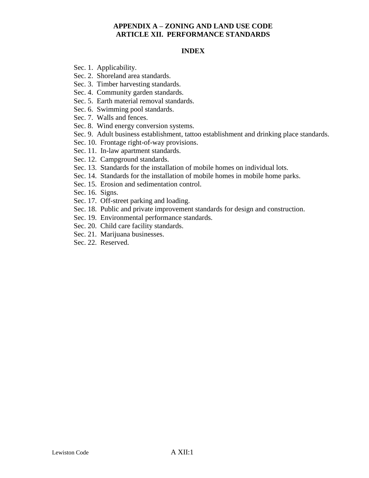#### **INDEX**

- Sec. 1. Applicability.
- Sec. 2. Shoreland area standards.
- Sec. 3. Timber harvesting standards.
- Sec. 4. Community garden standards.
- Sec. 5. Earth material removal standards.
- Sec. 6. Swimming pool standards.
- Sec. 7. Walls and fences.
- Sec. 8. Wind energy conversion systems.
- Sec. 9. Adult business establishment, tattoo establishment and drinking place standards.
- Sec. 10. Frontage right-of-way provisions.
- Sec. 11. In-law apartment standards.
- Sec. 12. Campground standards.
- Sec. 13. Standards for the installation of mobile homes on individual lots.
- Sec. 14. Standards for the installation of mobile homes in mobile home parks.
- Sec. 15. Erosion and sedimentation control.
- Sec. 16. Signs.
- Sec. 17. Off-street parking and loading.
- Sec. 18. Public and private improvement standards for design and construction.
- Sec. 19. Environmental performance standards.
- Sec. 20. Child care facility standards.
- Sec. 21. Marijuana businesses.
- Sec. 22. Reserved.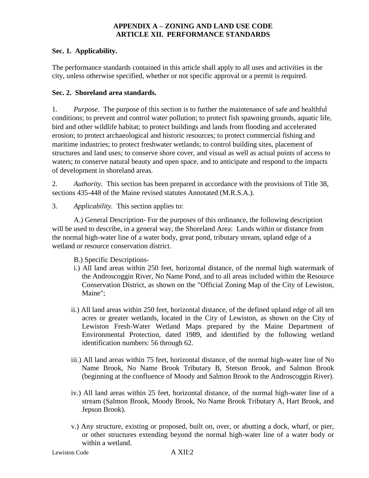#### **Sec. 1. Applicability.**

The performance standards contained in this article shall apply to all uses and activities in the city, unless otherwise specified, whether or not specific approval or a permit is required.

### **Sec. 2. Shoreland area standards.**

1. *Purpose*. The purpose of this section is to further the maintenance of safe and healthful conditions; to prevent and control water pollution; to protect fish spawning grounds, aquatic life, bird and other wildlife habitat; to protect buildings and lands from flooding and accelerated erosion; to protect archaeological and historic resources; to protect commercial fishing and maritime industries; to protect freshwater wetlands; to control building sites, placement of structures and land uses; to conserve shore cover, and visual as well as actual points of access to waters; to conserve natural beauty and open space, and to anticipate and respond to the impacts of development in shoreland areas.

2. *Authority.* This section has been prepared in accordance with the provisions of Title 38, sections 435-448 of the Maine revised statutes Annotated (M.R.S.A.).

3. *Applicability.* This section applies to:

A.) General Description- For the purposes of this ordinance, the following description will be used to describe, in a general way, the Shoreland Area: Lands within or distance from the normal high-water line of a water body, great pond, tributary stream, upland edge of a wetland or resource conservation district.

B.) Specific Descriptions-

- i.) All land areas within 250 feet, horizontal distance, of the normal high watermark of the Androscoggin River, No Name Pond, and to all areas included within the Resource Conservation District, as shown on the "Official Zoning Map of the City of Lewiston, Maine";
- ii.) All land areas within 250 feet, horizontal distance, of the defined upland edge of all ten acres or greater wetlands, located in the City of Lewiston, as shown on the City of Lewiston Fresh-Water Wetland Maps prepared by the Maine Department of Environmental Protection, dated 1989, and identified by the following wetland identification numbers: 56 through 62.
- iii.) All land areas within 75 feet, horizontal distance, of the normal high-water line of No Name Brook, No Name Brook Tributary B, Stetson Brook, and Salmon Brook (beginning at the confluence of Moody and Salmon Brook to the Androscoggin River).
- iv.) All land areas within 25 feet, horizontal distance, of the normal high-water line of a stream (Salmon Brook, Moody Brook, No Name Brook Tributary A, Hart Brook, and Jepson Brook).
- v.) Any structure, existing or proposed, built on, over, or abutting a dock, wharf, or pier, or other structures extending beyond the normal high-water line of a water body or within a wetland.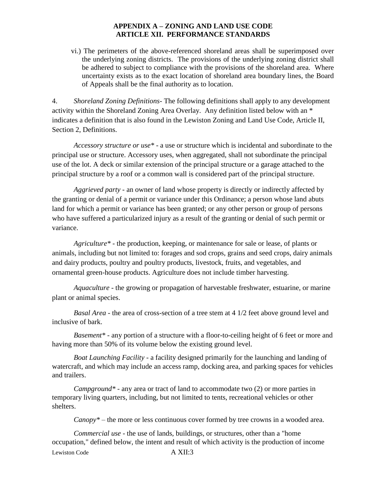vi.) The perimeters of the above-referenced shoreland areas shall be superimposed over the underlying zoning districts. The provisions of the underlying zoning district shall be adhered to subject to compliance with the provisions of the shoreland area. Where uncertainty exists as to the exact location of shoreland area boundary lines, the Board of Appeals shall be the final authority as to location.

4. *Shoreland Zoning Definitions*- The following definitions shall apply to any development activity within the Shoreland Zoning Area Overlay. Any definition listed below with an \* indicates a definition that is also found in the Lewiston Zoning and Land Use Code, Article II, Section 2, Definitions.

*Accessory structure or use\** - a use or structure which is incidental and subordinate to the principal use or structure. Accessory uses, when aggregated, shall not subordinate the principal use of the lot. A deck or similar extension of the principal structure or a garage attached to the principal structure by a roof or a common wall is considered part of the principal structure.

*Aggrieved party* - an owner of land whose property is directly or indirectly affected by the granting or denial of a permit or variance under this Ordinance; a person whose land abuts land for which a permit or variance has been granted; or any other person or group of persons who have suffered a particularized injury as a result of the granting or denial of such permit or variance.

*Agriculture\** - the production, keeping, or maintenance for sale or lease, of plants or animals, including but not limited to: forages and sod crops, grains and seed crops, dairy animals and dairy products, poultry and poultry products, livestock, fruits, and vegetables, and ornamental green-house products. Agriculture does not include timber harvesting.

*Aquaculture* - the growing or propagation of harvestable freshwater, estuarine, or marine plant or animal species.

*Basal Area* - the area of cross-section of a tree stem at 4 1/2 feet above ground level and inclusive of bark.

*Basement\** - any portion of a structure with a floor-to-ceiling height of 6 feet or more and having more than 50% of its volume below the existing ground level.

*Boat Launching Facility* - a facility designed primarily for the launching and landing of watercraft, and which may include an access ramp, docking area, and parking spaces for vehicles and trailers.

*Campground\** - any area or tract of land to accommodate two (2) or more parties in temporary living quarters, including, but not limited to tents, recreational vehicles or other shelters.

*Canopy\** – the more or less continuous cover formed by tree crowns in a wooded area.

Lewiston Code A XII:3 *Commercial use* - the use of lands, buildings, or structures, other than a "home occupation," defined below, the intent and result of which activity is the production of income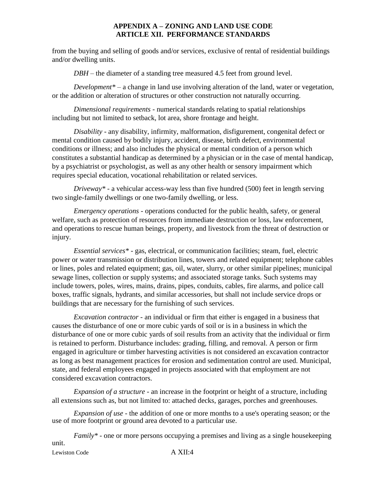from the buying and selling of goods and/or services, exclusive of rental of residential buildings and/or dwelling units.

*DBH* – the diameter of a standing tree measured 4.5 feet from ground level.

*Development\** – a change in land use involving alteration of the land, water or vegetation, or the addition or alteration of structures or other construction not naturally occurring.

*Dimensional requirements* - numerical standards relating to spatial relationships including but not limited to setback, lot area, shore frontage and height.

*Disability* - any disability, infirmity, malformation, disfigurement, congenital defect or mental condition caused by bodily injury, accident, disease, birth defect, environmental conditions or illness; and also includes the physical or mental condition of a person which constitutes a substantial handicap as determined by a physician or in the case of mental handicap, by a psychiatrist or psychologist, as well as any other health or sensory impairment which requires special education, vocational rehabilitation or related services.

*Driveway\** - a vehicular access-way less than five hundred (500) feet in length serving two single-family dwellings or one two-family dwelling, or less.

*Emergency operations* - operations conducted for the public health, safety, or general welfare, such as protection of resources from immediate destruction or loss, law enforcement, and operations to rescue human beings, property, and livestock from the threat of destruction or injury.

*Essential services\** - gas, electrical, or communication facilities; steam, fuel, electric power or water transmission or distribution lines, towers and related equipment; telephone cables or lines, poles and related equipment; gas, oil, water, slurry, or other similar pipelines; municipal sewage lines, collection or supply systems; and associated storage tanks. Such systems may include towers, poles, wires, mains, drains, pipes, conduits, cables, fire alarms, and police call boxes, traffic signals, hydrants, and similar accessories, but shall not include service drops or buildings that are necessary for the furnishing of such services.

*Excavation contractor* - an individual or firm that either is engaged in a business that causes the disturbance of one or more cubic yards of soil or is in a business in which the disturbance of one or more cubic yards of soil results from an activity that the individual or firm is retained to perform. Disturbance includes: grading, filling, and removal. A person or firm engaged in agriculture or timber harvesting activities is not considered an excavation contractor as long as best management practices for erosion and sedimentation control are used. Municipal, state, and federal employees engaged in projects associated with that employment are not considered excavation contractors.

*Expansion of a structure* - an increase in the footprint or height of a structure, including all extensions such as, but not limited to: attached decks, garages, porches and greenhouses.

*Expansion of use* - the addition of one or more months to a use's operating season; or the use of more footprint or ground area devoted to a particular use.

Lewiston Code A XII:4 *Family\** - one or more persons occupying a premises and living as a single housekeeping unit.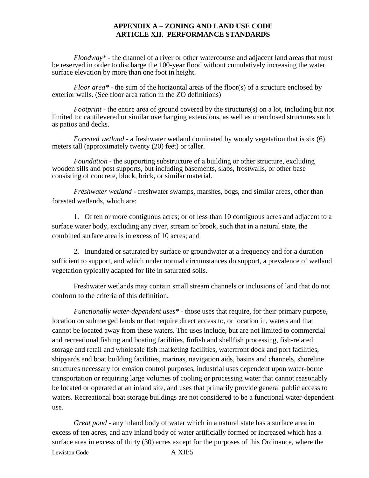*Floodway\** - the channel of a river or other watercourse and adjacent land areas that must be reserved in order to discharge the 100-year flood without cumulatively increasing the water surface elevation by more than one foot in height.

*Floor area\** - the sum of the horizontal areas of the floor(s) of a structure enclosed by exterior walls. (See floor area ration in the ZO definitions)

*Footprint* - the entire area of ground covered by the structure(s) on a lot, including but not limited to: cantilevered or similar overhanging extensions, as well as unenclosed structures such as patios and decks.

*Forested wetland* - a freshwater wetland dominated by woody vegetation that is six (6) meters tall (approximately twenty (20) feet) or taller.

*Foundation* - the supporting substructure of a building or other structure, excluding wooden sills and post supports, but including basements, slabs, frostwalls, or other base consisting of concrete, block, brick, or similar material.

*Freshwater wetland* - freshwater swamps, marshes, bogs, and similar areas, other than forested wetlands, which are:

1. Of ten or more contiguous acres; or of less than 10 contiguous acres and adjacent to a surface water body, excluding any river, stream or brook, such that in a natural state, the combined surface area is in excess of 10 acres; and

2. Inundated or saturated by surface or groundwater at a frequency and for a duration sufficient to support, and which under normal circumstances do support, a prevalence of wetland vegetation typically adapted for life in saturated soils.

Freshwater wetlands may contain small stream channels or inclusions of land that do not conform to the criteria of this definition.

*Functionally water-dependent uses\** - those uses that require, for their primary purpose, location on submerged lands or that require direct access to, or location in, waters and that cannot be located away from these waters. The uses include, but are not limited to commercial and recreational fishing and boating facilities, finfish and shellfish processing, fish-related storage and retail and wholesale fish marketing facilities, waterfront dock and port facilities, shipyards and boat building facilities, marinas, navigation aids, basins and channels, shoreline structures necessary for erosion control purposes, industrial uses dependent upon water-borne transportation or requiring large volumes of cooling or processing water that cannot reasonably be located or operated at an inland site, and uses that primarily provide general public access to waters. Recreational boat storage buildings are not considered to be a functional water-dependent use.

Lewiston Code A XII:5 *Great pond* - any inland body of water which in a natural state has a surface area in excess of ten acres, and any inland body of water artificially formed or increased which has a surface area in excess of thirty (30) acres except for the purposes of this Ordinance, where the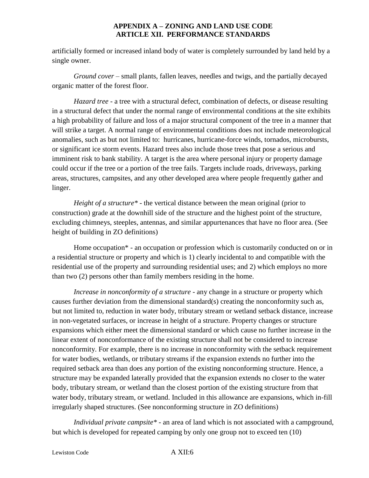artificially formed or increased inland body of water is completely surrounded by land held by a single owner.

*Ground cover* – small plants, fallen leaves, needles and twigs, and the partially decayed organic matter of the forest floor.

*Hazard tree* - a tree with a structural defect, combination of defects, or disease resulting in a structural defect that under the normal range of environmental conditions at the site exhibits a high probability of failure and loss of a major structural component of the tree in a manner that will strike a target. A normal range of environmental conditions does not include meteorological anomalies, such as but not limited to: hurricanes, hurricane-force winds, tornados, microbursts, or significant ice storm events. Hazard trees also include those trees that pose a serious and imminent risk to bank stability. A target is the area where personal injury or property damage could occur if the tree or a portion of the tree fails. Targets include roads, driveways, parking areas, structures, campsites, and any other developed area where people frequently gather and linger.

*Height of a structure\** - the vertical distance between the mean original (prior to construction) grade at the downhill side of the structure and the highest point of the structure, excluding chimneys, steeples, antennas, and similar appurtenances that have no floor area. (See height of building in ZO definitions)

Home occupation\* - an occupation or profession which is customarily conducted on or in a residential structure or property and which is 1) clearly incidental to and compatible with the residential use of the property and surrounding residential uses; and 2) which employs no more than two (2) persons other than family members residing in the home.

*Increase in nonconformity of a structure* - any change in a structure or property which causes further deviation from the dimensional standard(s) creating the nonconformity such as, but not limited to, reduction in water body, tributary stream or wetland setback distance, increase in non-vegetated surfaces, or increase in height of a structure. Property changes or structure expansions which either meet the dimensional standard or which cause no further increase in the linear extent of nonconformance of the existing structure shall not be considered to increase nonconformity. For example, there is no increase in nonconformity with the setback requirement for water bodies, wetlands, or tributary streams if the expansion extends no further into the required setback area than does any portion of the existing nonconforming structure. Hence, a structure may be expanded laterally provided that the expansion extends no closer to the water body, tributary stream, or wetland than the closest portion of the existing structure from that water body, tributary stream, or wetland. Included in this allowance are expansions, which in-fill irregularly shaped structures. (See nonconforming structure in ZO definitions)

*Individual private campsite\** - an area of land which is not associated with a campground, but which is developed for repeated camping by only one group not to exceed ten (10)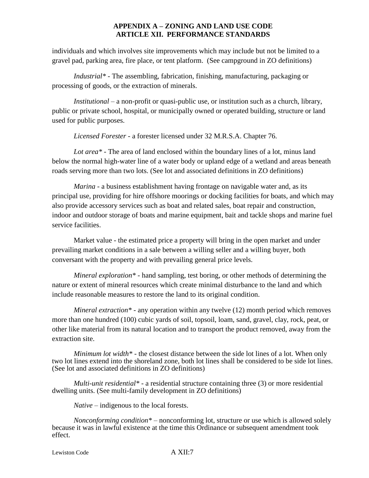individuals and which involves site improvements which may include but not be limited to a gravel pad, parking area, fire place, or tent platform. (See campground in ZO definitions)

*Industrial\** - The assembling, fabrication, finishing, manufacturing, packaging or processing of goods, or the extraction of minerals.

*Institutional* – a non-profit or quasi-public use, or institution such as a church, library, public or private school, hospital, or municipally owned or operated building, structure or land used for public purposes.

*Licensed Forester* - a forester licensed under 32 M.R.S.A. Chapter 76.

*Lot area\** - The area of land enclosed within the boundary lines of a lot, minus land below the normal high-water line of a water body or upland edge of a wetland and areas beneath roads serving more than two lots. (See lot and associated definitions in ZO definitions)

*Marina* - a business establishment having frontage on navigable water and, as its principal use, providing for hire offshore moorings or docking facilities for boats, and which may also provide accessory services such as boat and related sales, boat repair and construction, indoor and outdoor storage of boats and marine equipment, bait and tackle shops and marine fuel service facilities.

Market value - the estimated price a property will bring in the open market and under prevailing market conditions in a sale between a willing seller and a willing buyer, both conversant with the property and with prevailing general price levels.

*Mineral exploration\** - hand sampling, test boring, or other methods of determining the nature or extent of mineral resources which create minimal disturbance to the land and which include reasonable measures to restore the land to its original condition.

*Mineral extraction\** - any operation within any twelve (12) month period which removes more than one hundred (100) cubic yards of soil, topsoil, loam, sand, gravel, clay, rock, peat, or other like material from its natural location and to transport the product removed, away from the extraction site.

*Minimum lot width\** - the closest distance between the side lot lines of a lot. When only two lot lines extend into the shoreland zone, both lot lines shall be considered to be side lot lines. (See lot and associated definitions in ZO definitions)

*Multi-unit residential\** - a residential structure containing three (3) or more residential dwelling units. (See multi-family development in ZO definitions)

*Native* – indigenous to the local forests.

*Nonconforming condition\** – nonconforming lot, structure or use which is allowed solely because it was in lawful existence at the time this Ordinance or subsequent amendment took effect.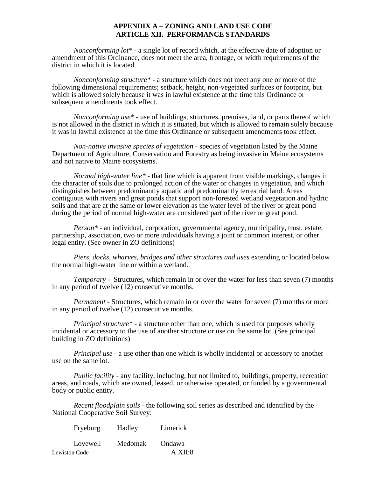*Nonconforming lot\** - a single lot of record which, at the effective date of adoption or amendment of this Ordinance, does not meet the area, frontage, or width requirements of the district in which it is located.

*Nonconforming structure\** - a structure which does not meet any one or more of the following dimensional requirements; setback, height, non-vegetated surfaces or footprint, but which is allowed solely because it was in lawful existence at the time this Ordinance or subsequent amendments took effect.

*Nonconforming use\** - use of buildings, structures, premises, land, or parts thereof which is not allowed in the district in which it is situated, but which is allowed to remain solely because it was in lawful existence at the time this Ordinance or subsequent amendments took effect.

*Non-native invasive species of vegetation* - species of vegetation listed by the Maine Department of Agriculture, Conservation and Forestry as being invasive in Maine ecosystems and not native to Maine ecosystems.

*Normal high-water line\** - that line which is apparent from visible markings, changes in the character of soils due to prolonged action of the water or changes in vegetation, and which distinguishes between predominantly aquatic and predominantly terrestrial land. Areas contiguous with rivers and great ponds that support non-forested wetland vegetation and hydric soils and that are at the same or lower elevation as the water level of the river or great pond during the period of normal high-water are considered part of the river or great pond.

*Person\** - an individual, corporation, governmental agency, municipality, trust, estate, partnership, association, two or more individuals having a joint or common interest, or other legal entity. (See owner in ZO definitions)

*Piers, docks, wharves, bridges and other structures and uses* extending or located below the normal high-water line or within a wetland.

*Temporary -* Structures, which remain in or over the water for less than seven (7) months in any period of twelve (12) consecutive months.

*Permanent* - Structures, which remain in or over the water for seven (7) months or more in any period of twelve (12) consecutive months.

*Principal structure\** - a structure other than one, which is used for purposes wholly incidental or accessory to the use of another structure or use on the same lot. (See principal building in ZO definitions)

*Principal use* - a use other than one which is wholly incidental or accessory to another use on the same lot.

*Public facility* - any facility, including, but not limited to, buildings, property, recreation areas, and roads, which are owned, leased, or otherwise operated, or funded by a governmental body or public entity.

*Recent floodplain soils* - the following soil series as described and identified by the National Cooperative Soil Survey:

| Fryeburg             | Hadley         | Limerick      |
|----------------------|----------------|---------------|
| Lovewell             | <b>Medomak</b> | <b>Ondawa</b> |
| <b>Lewiston Code</b> |                | A XII:8       |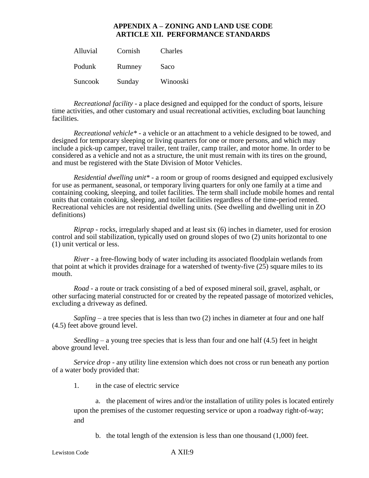| Alluvial | Cornish | Charles  |
|----------|---------|----------|
| Podunk   | Rumney  | Saco     |
| Suncook  | Sunday  | Winooski |

*Recreational facility* - a place designed and equipped for the conduct of sports, leisure time activities, and other customary and usual recreational activities, excluding boat launching facilities.

*Recreational vehicle\** - a vehicle or an attachment to a vehicle designed to be towed, and designed for temporary sleeping or living quarters for one or more persons, and which may include a pick-up camper, travel trailer, tent trailer, camp trailer, and motor home. In order to be considered as a vehicle and not as a structure, the unit must remain with its tires on the ground, and must be registered with the State Division of Motor Vehicles.

*Residential dwelling unit\** - a room or group of rooms designed and equipped exclusively for use as permanent, seasonal, or temporary living quarters for only one family at a time and containing cooking, sleeping, and toilet facilities. The term shall include mobile homes and rental units that contain cooking, sleeping, and toilet facilities regardless of the time-period rented. Recreational vehicles are not residential dwelling units. (See dwelling and dwelling unit in ZO definitions)

*Riprap* - rocks, irregularly shaped and at least six (6) inches in diameter, used for erosion control and soil stabilization, typically used on ground slopes of two (2) units horizontal to one (1) unit vertical or less.

*River* - a free-flowing body of water including its associated floodplain wetlands from that point at which it provides drainage for a watershed of twenty-five (25) square miles to its mouth.

*Road* - a route or track consisting of a bed of exposed mineral soil, gravel, asphalt, or other surfacing material constructed for or created by the repeated passage of motorized vehicles, excluding a driveway as defined.

*Sapling* – a tree species that is less than two (2) inches in diameter at four and one half (4.5) feet above ground level.

*Seedling* – a young tree species that is less than four and one half  $(4.5)$  feet in height above ground level.

*Service drop* - any utility line extension which does not cross or run beneath any portion of a water body provided that:

1. in the case of electric service

a. the placement of wires and/or the installation of utility poles is located entirely upon the premises of the customer requesting service or upon a roadway right-of-way; and

b. the total length of the extension is less than one thousand (1,000) feet.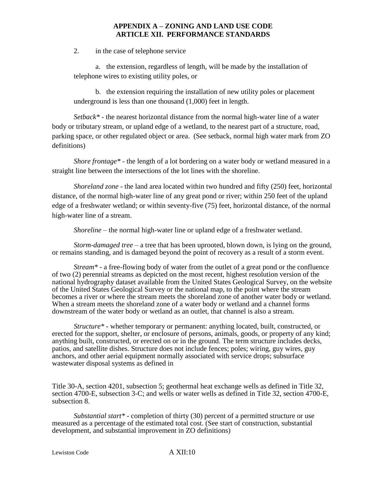2. in the case of telephone service

a. the extension, regardless of length, will be made by the installation of telephone wires to existing utility poles, or

b. the extension requiring the installation of new utility poles or placement underground is less than one thousand (1,000) feet in length.

*Setback\** - the nearest horizontal distance from the normal high-water line of a water body or tributary stream, or upland edge of a wetland, to the nearest part of a structure, road, parking space, or other regulated object or area. (See setback, normal high water mark from ZO definitions)

*Shore frontage\** - the length of a lot bordering on a water body or wetland measured in a straight line between the intersections of the lot lines with the shoreline.

*Shoreland zone* - the land area located within two hundred and fifty (250) feet, horizontal distance, of the normal high-water line of any great pond or river; within 250 feet of the upland edge of a freshwater wetland; or within seventy-five (75) feet, horizontal distance, of the normal high-water line of a stream.

*Shoreline* – the normal high-water line or upland edge of a freshwater wetland.

*Storm-damaged tree* – a tree that has been uprooted, blown down, is lying on the ground, or remains standing, and is damaged beyond the point of recovery as a result of a storm event.

*Stream\** - a free-flowing body of water from the outlet of a great pond or the confluence of two (2) perennial streams as depicted on the most recent, highest resolution version of the national hydrography dataset available from the United States Geological Survey, on the website of the United States Geological Survey or the national map, to the point where the stream becomes a river or where the stream meets the shoreland zone of another water body or wetland. When a stream meets the shoreland zone of a water body or wetland and a channel forms downstream of the water body or wetland as an outlet, that channel is also a stream.

*Structure\** - whether temporary or permanent: anything located, built, constructed, or erected for the support, shelter, or enclosure of persons, animals, goods, or property of any kind; anything built, constructed, or erected on or in the ground. The term structure includes decks, patios, and satellite dishes. Structure does not include fences; poles; wiring, guy wires, guy anchors, and other aerial equipment normally associated with service drops; subsurface wastewater disposal systems as defined in

Title 30-A, section 4201, subsection 5; geothermal heat exchange wells as defined in Title 32, section 4700-E, subsection 3-C; and wells or water wells as defined in Title 32, section 4700-E, subsection 8.

*Substantial start\** - completion of thirty (30) percent of a permitted structure or use measured as a percentage of the estimated total cost. (See start of construction, substantial development, and substantial improvement in ZO definitions)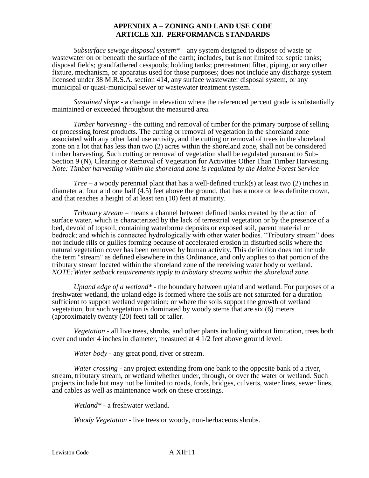*Subsurface sewage disposal system\** – any system designed to dispose of waste or wastewater on or beneath the surface of the earth; includes, but is not limited to: septic tanks; disposal fields; grandfathered cesspools; holding tanks; pretreatment filter, piping, or any other fixture, mechanism, or apparatus used for those purposes; does not include any discharge system licensed under 38 M.R.S.A. section 414, any surface wastewater disposal system, or any municipal or quasi-municipal sewer or wastewater treatment system.

*Sustained slope* - a change in elevation where the referenced percent grade is substantially maintained or exceeded throughout the measured area.

*Timber harvesting* - the cutting and removal of timber for the primary purpose of selling or processing forest products. The cutting or removal of vegetation in the shoreland zone associated with any other land use activity, and the cutting or removal of trees in the shoreland zone on a lot that has less than two (2) acres within the shoreland zone, shall not be considered timber harvesting. Such cutting or removal of vegetation shall be regulated pursuant to Sub-Section 9 (N), Clearing or Removal of Vegetation for Activities Other Than Timber Harvesting. *Note: Timber harvesting within the shoreland zone is regulated by the Maine Forest Service*

*Tree* – a woody perennial plant that has a well-defined trunk(s) at least two (2) inches in diameter at four and one half (4.5) feet above the ground, that has a more or less definite crown, and that reaches a height of at least ten (10) feet at maturity.

*Tributary stream* – means a channel between defined banks created by the action of surface water, which is characterized by the lack of terrestrial vegetation or by the presence of a bed, devoid of topsoil, containing waterborne deposits or exposed soil, parent material or bedrock; and which is connected hydrologically with other water bodies. "Tributary stream" does not include rills or gullies forming because of accelerated erosion in disturbed soils where the natural vegetation cover has been removed by human activity. This definition does not include the term "stream" as defined elsewhere in this Ordinance, and only applies to that portion of the tributary stream located within the shoreland zone of the receiving water body or wetland. *NOTE:Water setback requirements apply to tributary streams within the shoreland zone.*

*Upland edge of a wetland\** - the boundary between upland and wetland. For purposes of a freshwater wetland, the upland edge is formed where the soils are not saturated for a duration sufficient to support wetland vegetation; or where the soils support the growth of wetland vegetation, but such vegetation is dominated by woody stems that are six (6) meters (approximately twenty (20) feet) tall or taller.

*Vegetation* - all live trees, shrubs, and other plants including without limitation, trees both over and under 4 inches in diameter, measured at 4 1/2 feet above ground level.

*Water body* - any great pond, river or stream.

*Water crossing* - any project extending from one bank to the opposite bank of a river, stream, tributary stream, or wetland whether under, through, or over the water or wetland. Such projects include but may not be limited to roads, fords, bridges, culverts, water lines, sewer lines, and cables as well as maintenance work on these crossings.

*Wetland\** - a freshwater wetland.

*Woody Vegetation* - live trees or woody, non-herbaceous shrubs.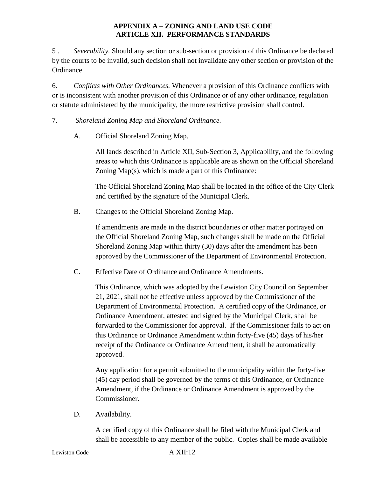5 . *Severability.* Should any section or sub-section or provision of this Ordinance be declared by the courts to be invalid, such decision shall not invalidate any other section or provision of the Ordinance.

6. *Conflicts with Other Ordinances.* Whenever a provision of this Ordinance conflicts with or is inconsistent with another provision of this Ordinance or of any other ordinance, regulation or statute administered by the municipality, the more restrictive provision shall control.

# 7. *Shoreland Zoning Map and Shoreland Ordinance.*

A. Official Shoreland Zoning Map.

All lands described in Article XII, Sub-Section 3, Applicability, and the following areas to which this Ordinance is applicable are as shown on the Official Shoreland Zoning Map(s), which is made a part of this Ordinance:

The Official Shoreland Zoning Map shall be located in the office of the City Clerk and certified by the signature of the Municipal Clerk.

B. Changes to the Official Shoreland Zoning Map.

If amendments are made in the district boundaries or other matter portrayed on the Official Shoreland Zoning Map, such changes shall be made on the Official Shoreland Zoning Map within thirty (30) days after the amendment has been approved by the Commissioner of the Department of Environmental Protection.

C. Effective Date of Ordinance and Ordinance Amendments.

This Ordinance, which was adopted by the Lewiston City Council on September 21, 2021, shall not be effective unless approved by the Commissioner of the Department of Environmental Protection. A certified copy of the Ordinance, or Ordinance Amendment, attested and signed by the Municipal Clerk, shall be forwarded to the Commissioner for approval. If the Commissioner fails to act on this Ordinance or Ordinance Amendment within forty-five (45) days of his/her receipt of the Ordinance or Ordinance Amendment, it shall be automatically approved.

Any application for a permit submitted to the municipality within the forty-five (45) day period shall be governed by the terms of this Ordinance, or Ordinance Amendment, if the Ordinance or Ordinance Amendment is approved by the Commissioner.

D. Availability.

A certified copy of this Ordinance shall be filed with the Municipal Clerk and shall be accessible to any member of the public. Copies shall be made available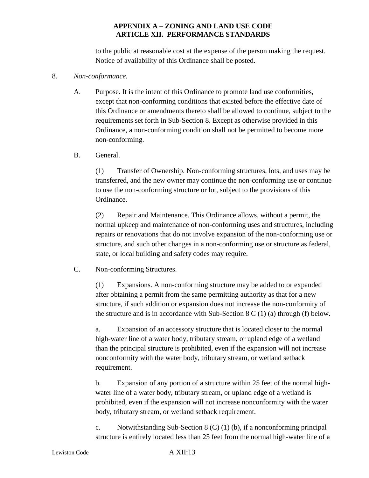to the public at reasonable cost at the expense of the person making the request. Notice of availability of this Ordinance shall be posted.

#### 8. *Non-conformance.*

A. Purpose. It is the intent of this Ordinance to promote land use conformities, except that non-conforming conditions that existed before the effective date of this Ordinance or amendments thereto shall be allowed to continue, subject to the requirements set forth in Sub-Section 8. Except as otherwise provided in this Ordinance, a non-conforming condition shall not be permitted to become more non-conforming.

#### B. General.

(1) Transfer of Ownership. Non-conforming structures, lots, and uses may be transferred, and the new owner may continue the non-conforming use or continue to use the non-conforming structure or lot, subject to the provisions of this Ordinance.

(2) Repair and Maintenance. This Ordinance allows, without a permit, the normal upkeep and maintenance of non-conforming uses and structures, including repairs or renovations that do not involve expansion of the non-conforming use or structure, and such other changes in a non-conforming use or structure as federal, state, or local building and safety codes may require.

## C. Non-conforming Structures.

(1) Expansions. A non-conforming structure may be added to or expanded after obtaining a permit from the same permitting authority as that for a new structure, if such addition or expansion does not increase the non-conformity of the structure and is in accordance with Sub-Section  $8 \text{ C } (1)$  (a) through (f) below.

a. Expansion of an accessory structure that is located closer to the normal high-water line of a water body, tributary stream, or upland edge of a wetland than the principal structure is prohibited, even if the expansion will not increase nonconformity with the water body, tributary stream, or wetland setback requirement.

b. Expansion of any portion of a structure within 25 feet of the normal highwater line of a water body, tributary stream, or upland edge of a wetland is prohibited, even if the expansion will not increase nonconformity with the water body, tributary stream, or wetland setback requirement.

c. Notwithstanding Sub-Section 8 (C) (1) (b), if a nonconforming principal structure is entirely located less than 25 feet from the normal high-water line of a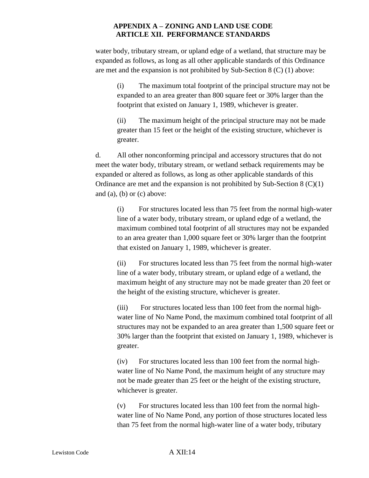water body, tributary stream, or upland edge of a wetland, that structure may be expanded as follows, as long as all other applicable standards of this Ordinance are met and the expansion is not prohibited by Sub-Section 8 (C) (1) above:

(i) The maximum total footprint of the principal structure may not be expanded to an area greater than 800 square feet or 30% larger than the footprint that existed on January 1, 1989, whichever is greater.

(ii) The maximum height of the principal structure may not be made greater than 15 feet or the height of the existing structure, whichever is greater.

d. All other nonconforming principal and accessory structures that do not meet the water body, tributary stream, or wetland setback requirements may be expanded or altered as follows, as long as other applicable standards of this Ordinance are met and the expansion is not prohibited by Sub-Section 8 (C)(1) and  $(a)$ ,  $(b)$  or  $(c)$  above:

(i) For structures located less than 75 feet from the normal high-water line of a water body, tributary stream, or upland edge of a wetland, the maximum combined total footprint of all structures may not be expanded to an area greater than 1,000 square feet or 30% larger than the footprint that existed on January 1, 1989, whichever is greater.

(ii) For structures located less than 75 feet from the normal high-water line of a water body, tributary stream, or upland edge of a wetland, the maximum height of any structure may not be made greater than 20 feet or the height of the existing structure, whichever is greater.

(iii) For structures located less than 100 feet from the normal highwater line of No Name Pond, the maximum combined total footprint of all structures may not be expanded to an area greater than 1,500 square feet or 30% larger than the footprint that existed on January 1, 1989, whichever is greater.

(iv) For structures located less than 100 feet from the normal highwater line of No Name Pond, the maximum height of any structure may not be made greater than 25 feet or the height of the existing structure, whichever is greater.

(v) For structures located less than 100 feet from the normal highwater line of No Name Pond, any portion of those structures located less than 75 feet from the normal high-water line of a water body, tributary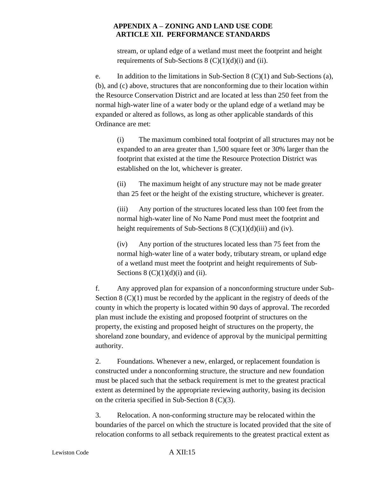stream, or upland edge of a wetland must meet the footprint and height requirements of Sub-Sections  $8 (C)(1)(d)(i)$  and (ii).

e. In addition to the limitations in Sub-Section 8 (C)(1) and Sub-Sections (a), (b), and (c) above, structures that are nonconforming due to their location within the Resource Conservation District and are located at less than 250 feet from the normal high-water line of a water body or the upland edge of a wetland may be expanded or altered as follows, as long as other applicable standards of this Ordinance are met:

(i) The maximum combined total footprint of all structures may not be expanded to an area greater than 1,500 square feet or 30% larger than the footprint that existed at the time the Resource Protection District was established on the lot, whichever is greater.

(ii) The maximum height of any structure may not be made greater than 25 feet or the height of the existing structure, whichever is greater.

(iii) Any portion of the structures located less than 100 feet from the normal high-water line of No Name Pond must meet the footprint and height requirements of Sub-Sections  $8 \left( \frac{C}{1} \right) \left( d \right)$  (iii) and (iv).

(iv) Any portion of the structures located less than 75 feet from the normal high-water line of a water body, tributary stream, or upland edge of a wetland must meet the footprint and height requirements of Sub-Sections  $8 (C)(1)(d)(i)$  and (ii).

f. Any approved plan for expansion of a nonconforming structure under Sub-Section 8 (C)(1) must be recorded by the applicant in the registry of deeds of the county in which the property is located within 90 days of approval. The recorded plan must include the existing and proposed footprint of structures on the property, the existing and proposed height of structures on the property, the shoreland zone boundary, and evidence of approval by the municipal permitting authority.

2. Foundations. Whenever a new, enlarged, or replacement foundation is constructed under a nonconforming structure, the structure and new foundation must be placed such that the setback requirement is met to the greatest practical extent as determined by the appropriate reviewing authority, basing its decision on the criteria specified in Sub-Section 8 (C)(3).

3. Relocation. A non-conforming structure may be relocated within the boundaries of the parcel on which the structure is located provided that the site of relocation conforms to all setback requirements to the greatest practical extent as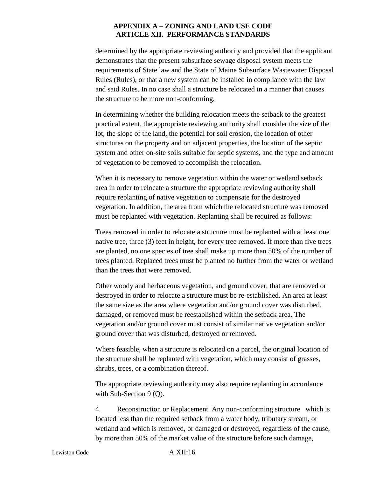determined by the appropriate reviewing authority and provided that the applicant demonstrates that the present subsurface sewage disposal system meets the requirements of State law and the State of Maine Subsurface Wastewater Disposal Rules (Rules), or that a new system can be installed in compliance with the law and said Rules. In no case shall a structure be relocated in a manner that causes the structure to be more non-conforming.

In determining whether the building relocation meets the setback to the greatest practical extent, the appropriate reviewing authority shall consider the size of the lot, the slope of the land, the potential for soil erosion, the location of other structures on the property and on adjacent properties, the location of the septic system and other on-site soils suitable for septic systems, and the type and amount of vegetation to be removed to accomplish the relocation.

When it is necessary to remove vegetation within the water or wetland setback area in order to relocate a structure the appropriate reviewing authority shall require replanting of native vegetation to compensate for the destroyed vegetation. In addition, the area from which the relocated structure was removed must be replanted with vegetation. Replanting shall be required as follows:

Trees removed in order to relocate a structure must be replanted with at least one native tree, three (3) feet in height, for every tree removed. If more than five trees are planted, no one species of tree shall make up more than 50% of the number of trees planted. Replaced trees must be planted no further from the water or wetland than the trees that were removed.

Other woody and herbaceous vegetation, and ground cover, that are removed or destroyed in order to relocate a structure must be re-established. An area at least the same size as the area where vegetation and/or ground cover was disturbed, damaged, or removed must be reestablished within the setback area. The vegetation and/or ground cover must consist of similar native vegetation and/or ground cover that was disturbed, destroyed or removed.

Where feasible, when a structure is relocated on a parcel, the original location of the structure shall be replanted with vegetation, which may consist of grasses, shrubs, trees, or a combination thereof.

The appropriate reviewing authority may also require replanting in accordance with Sub-Section 9 (Q).

4. Reconstruction or Replacement. Any non-conforming structure which is located less than the required setback from a water body, tributary stream, or wetland and which is removed, or damaged or destroyed, regardless of the cause, by more than 50% of the market value of the structure before such damage,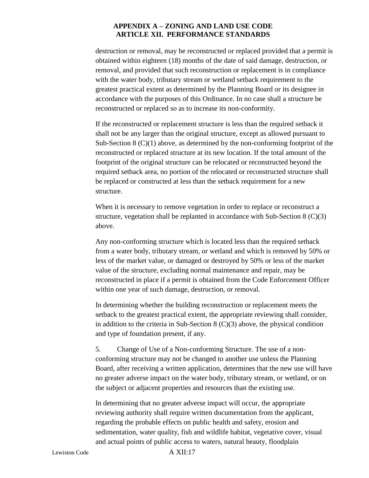destruction or removal, may be reconstructed or replaced provided that a permit is obtained within eighteen (18) months of the date of said damage, destruction, or removal, and provided that such reconstruction or replacement is in compliance with the water body, tributary stream or wetland setback requirement to the greatest practical extent as determined by the Planning Board or its designee in accordance with the purposes of this Ordinance. In no case shall a structure be reconstructed or replaced so as to increase its non-conformity.

If the reconstructed or replacement structure is less than the required setback it shall not be any larger than the original structure, except as allowed pursuant to Sub-Section 8 (C)(1) above, as determined by the non-conforming footprint of the reconstructed or replaced structure at its new location. If the total amount of the footprint of the original structure can be relocated or reconstructed beyond the required setback area, no portion of the relocated or reconstructed structure shall be replaced or constructed at less than the setback requirement for a new structure.

When it is necessary to remove vegetation in order to replace or reconstruct a structure, vegetation shall be replanted in accordance with Sub-Section 8 (C)(3) above.

Any non-conforming structure which is located less than the required setback from a water body, tributary stream, or wetland and which is removed by 50% or less of the market value, or damaged or destroyed by 50% or less of the market value of the structure, excluding normal maintenance and repair, may be reconstructed in place if a permit is obtained from the Code Enforcement Officer within one year of such damage, destruction, or removal.

In determining whether the building reconstruction or replacement meets the setback to the greatest practical extent, the appropriate reviewing shall consider, in addition to the criteria in Sub-Section 8  $(C)(3)$  above, the physical condition and type of foundation present, if any.

5. Change of Use of a Non-conforming Structure. The use of a nonconforming structure may not be changed to another use unless the Planning Board, after receiving a written application, determines that the new use will have no greater adverse impact on the water body, tributary stream, or wetland, or on the subject or adjacent properties and resources than the existing use.

In determining that no greater adverse impact will occur, the appropriate reviewing authority shall require written documentation from the applicant, regarding the probable effects on public health and safety, erosion and sedimentation, water quality, fish and wildlife habitat, vegetative cover, visual and actual points of public access to waters, natural beauty, floodplain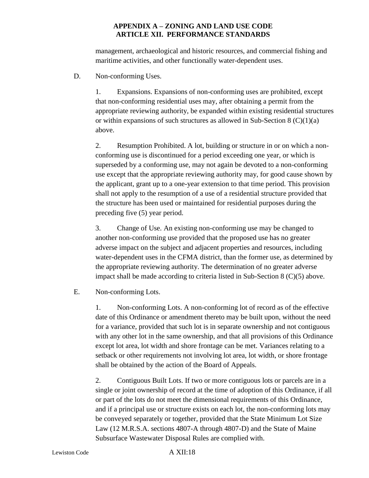management, archaeological and historic resources, and commercial fishing and maritime activities, and other functionally water-dependent uses.

D. Non-conforming Uses.

1. Expansions. Expansions of non-conforming uses are prohibited, except that non-conforming residential uses may, after obtaining a permit from the appropriate reviewing authority, be expanded within existing residential structures or within expansions of such structures as allowed in Sub-Section  $8 \left( \frac{C}{1} \right)$ above.

2. Resumption Prohibited. A lot, building or structure in or on which a nonconforming use is discontinued for a period exceeding one year, or which is superseded by a conforming use, may not again be devoted to a non-conforming use except that the appropriate reviewing authority may, for good cause shown by the applicant, grant up to a one-year extension to that time period. This provision shall not apply to the resumption of a use of a residential structure provided that the structure has been used or maintained for residential purposes during the preceding five (5) year period.

3. Change of Use. An existing non-conforming use may be changed to another non-conforming use provided that the proposed use has no greater adverse impact on the subject and adjacent properties and resources, including water-dependent uses in the CFMA district, than the former use, as determined by the appropriate reviewing authority. The determination of no greater adverse impact shall be made according to criteria listed in Sub-Section 8 (C)(5) above.

E. Non-conforming Lots.

1. Non-conforming Lots. A non-conforming lot of record as of the effective date of this Ordinance or amendment thereto may be built upon, without the need for a variance, provided that such lot is in separate ownership and not contiguous with any other lot in the same ownership, and that all provisions of this Ordinance except lot area, lot width and shore frontage can be met. Variances relating to a setback or other requirements not involving lot area, lot width, or shore frontage shall be obtained by the action of the Board of Appeals.

2. Contiguous Built Lots. If two or more contiguous lots or parcels are in a single or joint ownership of record at the time of adoption of this Ordinance, if all or part of the lots do not meet the dimensional requirements of this Ordinance, and if a principal use or structure exists on each lot, the non-conforming lots may be conveyed separately or together, provided that the State Minimum Lot Size Law (12 M.R.S.A. sections 4807-A through 4807-D) and the State of Maine Subsurface Wastewater Disposal Rules are complied with.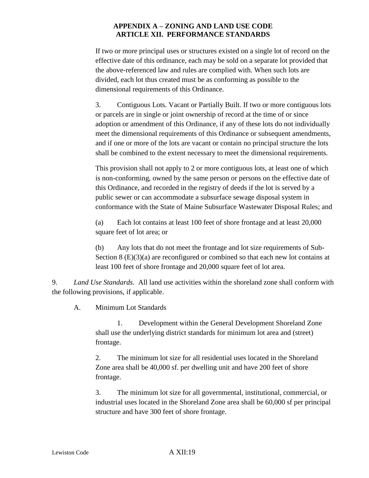If two or more principal uses or structures existed on a single lot of record on the effective date of this ordinance, each may be sold on a separate lot provided that the above-referenced law and rules are complied with. When such lots are divided, each lot thus created must be as conforming as possible to the dimensional requirements of this Ordinance.

3. Contiguous Lots. Vacant or Partially Built. If two or more contiguous lots or parcels are in single or joint ownership of record at the time of or since adoption or amendment of this Ordinance, if any of these lots do not individually meet the dimensional requirements of this Ordinance or subsequent amendments, and if one or more of the lots are vacant or contain no principal structure the lots shall be combined to the extent necessary to meet the dimensional requirements.

This provision shall not apply to 2 or more contiguous lots, at least one of which is non-conforming, owned by the same person or persons on the effective date of this Ordinance, and recorded in the registry of deeds if the lot is served by a public sewer or can accommodate a subsurface sewage disposal system in conformance with the State of Maine Subsurface Wastewater Disposal Rules; and

(a) Each lot contains at least 100 feet of shore frontage and at least 20,000 square feet of lot area; or

(b) Any lots that do not meet the frontage and lot size requirements of Sub-Section  $8 \times (E)(3)(a)$  are reconfigured or combined so that each new lot contains at least 100 feet of shore frontage and 20,000 square feet of lot area.

9. *Land Use Standards.* All land use activities within the shoreland zone shall conform with the following provisions, if applicable.

A. Minimum Lot Standards

1. Development within the General Development Shoreland Zone shall use the underlying district standards for minimum lot area and (street) frontage.

2. The minimum lot size for all residential uses located in the Shoreland Zone area shall be 40,000 sf. per dwelling unit and have 200 feet of shore frontage.

3. The minimum lot size for all governmental, institutional, commercial, or industrial uses located in the Shoreland Zone area shall be 60,000 sf per principal structure and have 300 feet of shore frontage.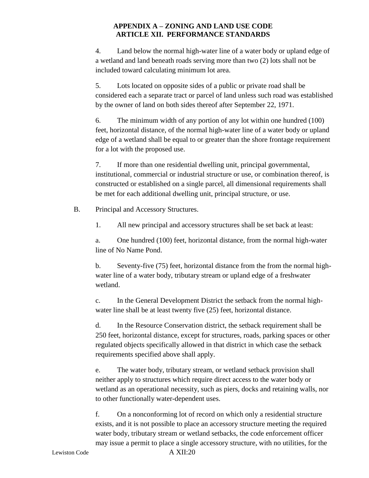4. Land below the normal high-water line of a water body or upland edge of a wetland and land beneath roads serving more than two (2) lots shall not be included toward calculating minimum lot area.

5. Lots located on opposite sides of a public or private road shall be considered each a separate tract or parcel of land unless such road was established by the owner of land on both sides thereof after September 22, 1971.

6. The minimum width of any portion of any lot within one hundred (100) feet, horizontal distance, of the normal high-water line of a water body or upland edge of a wetland shall be equal to or greater than the shore frontage requirement for a lot with the proposed use.

7. If more than one residential dwelling unit, principal governmental, institutional, commercial or industrial structure or use, or combination thereof, is constructed or established on a single parcel, all dimensional requirements shall be met for each additional dwelling unit, principal structure, or use.

B. Principal and Accessory Structures.

1. All new principal and accessory structures shall be set back at least:

a. One hundred (100) feet, horizontal distance, from the normal high-water line of No Name Pond.

b. Seventy-five (75) feet, horizontal distance from the from the normal highwater line of a water body, tributary stream or upland edge of a freshwater wetland.

c. In the General Development District the setback from the normal highwater line shall be at least twenty five (25) feet, horizontal distance.

d. In the Resource Conservation district, the setback requirement shall be 250 feet, horizontal distance, except for structures, roads, parking spaces or other regulated objects specifically allowed in that district in which case the setback requirements specified above shall apply.

e. The water body, tributary stream, or wetland setback provision shall neither apply to structures which require direct access to the water body or wetland as an operational necessity, such as piers, docks and retaining walls, nor to other functionally water-dependent uses.

f. On a nonconforming lot of record on which only a residential structure exists, and it is not possible to place an accessory structure meeting the required water body, tributary stream or wetland setbacks, the code enforcement officer may issue a permit to place a single accessory structure, with no utilities, for the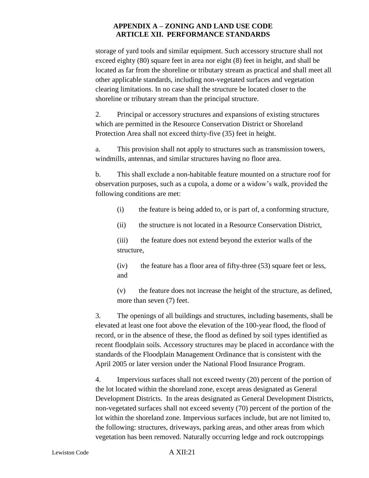storage of yard tools and similar equipment. Such accessory structure shall not exceed eighty (80) square feet in area nor eight (8) feet in height, and shall be located as far from the shoreline or tributary stream as practical and shall meet all other applicable standards, including non-vegetated surfaces and vegetation clearing limitations. In no case shall the structure be located closer to the shoreline or tributary stream than the principal structure.

2. Principal or accessory structures and expansions of existing structures which are permitted in the Resource Conservation District or Shoreland Protection Area shall not exceed thirty-five (35) feet in height.

a. This provision shall not apply to structures such as transmission towers, windmills, antennas, and similar structures having no floor area.

b. This shall exclude a non-habitable feature mounted on a structure roof for observation purposes, such as a cupola, a dome or a widow's walk, provided the following conditions are met:

- (i) the feature is being added to, or is part of, a conforming structure,
- (ii) the structure is not located in a Resource Conservation District,

(iii) the feature does not extend beyond the exterior walls of the structure,

(iv) the feature has a floor area of fifty-three (53) square feet or less, and

(v) the feature does not increase the height of the structure, as defined, more than seven (7) feet.

3. The openings of all buildings and structures, including basements, shall be elevated at least one foot above the elevation of the 100-year flood, the flood of record, or in the absence of these, the flood as defined by soil types identified as recent floodplain soils. Accessory structures may be placed in accordance with the standards of the Floodplain Management Ordinance that is consistent with the April 2005 or later version under the National Flood Insurance Program.

4. Impervious surfaces shall not exceed twenty (20) percent of the portion of the lot located within the shoreland zone, except areas designated as General Development Districts. In the areas designated as General Development Districts, non-vegetated surfaces shall not exceed seventy (70) percent of the portion of the lot within the shoreland zone. Impervious surfaces include, but are not limited to, the following: structures, driveways, parking areas, and other areas from which vegetation has been removed. Naturally occurring ledge and rock outcroppings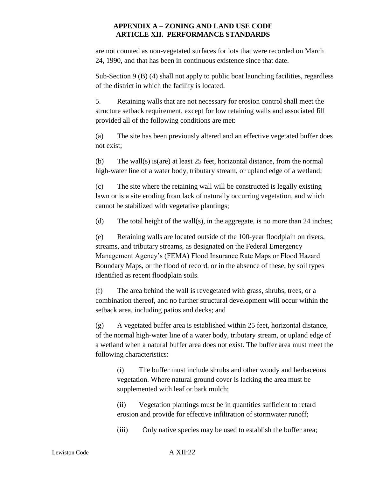are not counted as non-vegetated surfaces for lots that were recorded on March 24, 1990, and that has been in continuous existence since that date.

Sub-Section 9 (B) (4) shall not apply to public boat launching facilities, regardless of the district in which the facility is located.

5. Retaining walls that are not necessary for erosion control shall meet the structure setback requirement, except for low retaining walls and associated fill provided all of the following conditions are met:

(a) The site has been previously altered and an effective vegetated buffer does not exist;

(b) The wall(s) is(are) at least 25 feet, horizontal distance, from the normal high-water line of a water body, tributary stream, or upland edge of a wetland;

(c) The site where the retaining wall will be constructed is legally existing lawn or is a site eroding from lack of naturally occurring vegetation, and which cannot be stabilized with vegetative plantings;

(d) The total height of the wall(s), in the aggregate, is no more than 24 inches;

(e) Retaining walls are located outside of the 100-year floodplain on rivers, streams, and tributary streams, as designated on the Federal Emergency Management Agency's (FEMA) Flood Insurance Rate Maps or Flood Hazard Boundary Maps, or the flood of record, or in the absence of these, by soil types identified as recent floodplain soils.

(f) The area behind the wall is revegetated with grass, shrubs, trees, or a combination thereof, and no further structural development will occur within the setback area, including patios and decks; and

(g) A vegetated buffer area is established within 25 feet, horizontal distance, of the normal high-water line of a water body, tributary stream, or upland edge of a wetland when a natural buffer area does not exist. The buffer area must meet the following characteristics:

(i) The buffer must include shrubs and other woody and herbaceous vegetation. Where natural ground cover is lacking the area must be supplemented with leaf or bark mulch;

(ii) Vegetation plantings must be in quantities sufficient to retard erosion and provide for effective infiltration of stormwater runoff;

(iii) Only native species may be used to establish the buffer area;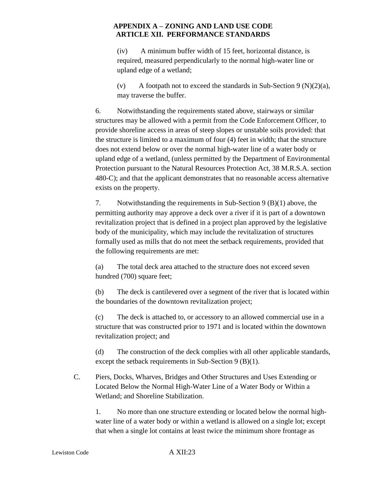(iv) A minimum buffer width of 15 feet, horizontal distance, is required, measured perpendicularly to the normal high-water line or upland edge of a wetland;

(v) A footpath not to exceed the standards in Sub-Section 9 (N)(2)(a), may traverse the buffer.

6. Notwithstanding the requirements stated above, stairways or similar structures may be allowed with a permit from the Code Enforcement Officer, to provide shoreline access in areas of steep slopes or unstable soils provided: that the structure is limited to a maximum of four (4) feet in width; that the structure does not extend below or over the normal high-water line of a water body or upland edge of a wetland, (unless permitted by the Department of Environmental Protection pursuant to the Natural Resources Protection Act, 38 M.R.S.A. section 480-C); and that the applicant demonstrates that no reasonable access alternative exists on the property.

7. Notwithstanding the requirements in Sub-Section 9 (B)(1) above, the permitting authority may approve a deck over a river if it is part of a downtown revitalization project that is defined in a project plan approved by the legislative body of the municipality, which may include the revitalization of structures formally used as mills that do not meet the setback requirements, provided that the following requirements are met:

(a) The total deck area attached to the structure does not exceed seven hundred (700) square feet;

(b) The deck is cantilevered over a segment of the river that is located within the boundaries of the downtown revitalization project;

(c) The deck is attached to, or accessory to an allowed commercial use in a structure that was constructed prior to 1971 and is located within the downtown revitalization project; and

(d) The construction of the deck complies with all other applicable standards, except the setback requirements in Sub-Section 9 (B)(1).

C. Piers, Docks, Wharves, Bridges and Other Structures and Uses Extending or Located Below the Normal High-Water Line of a Water Body or Within a Wetland; and Shoreline Stabilization.

1. No more than one structure extending or located below the normal highwater line of a water body or within a wetland is allowed on a single lot; except that when a single lot contains at least twice the minimum shore frontage as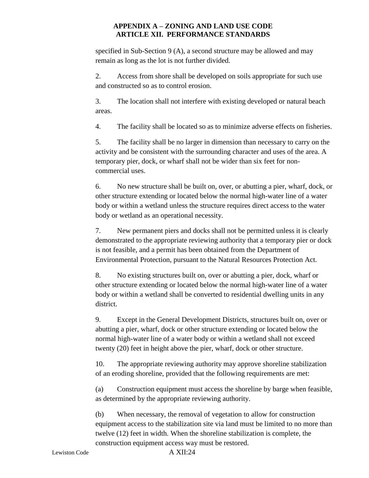specified in Sub-Section 9 (A), a second structure may be allowed and may remain as long as the lot is not further divided.

2. Access from shore shall be developed on soils appropriate for such use and constructed so as to control erosion.

3. The location shall not interfere with existing developed or natural beach areas.

4. The facility shall be located so as to minimize adverse effects on fisheries.

5. The facility shall be no larger in dimension than necessary to carry on the activity and be consistent with the surrounding character and uses of the area. A temporary pier, dock, or wharf shall not be wider than six feet for noncommercial uses.

6. No new structure shall be built on, over, or abutting a pier, wharf, dock, or other structure extending or located below the normal high-water line of a water body or within a wetland unless the structure requires direct access to the water body or wetland as an operational necessity.

7. New permanent piers and docks shall not be permitted unless it is clearly demonstrated to the appropriate reviewing authority that a temporary pier or dock is not feasible, and a permit has been obtained from the Department of Environmental Protection, pursuant to the Natural Resources Protection Act.

8. No existing structures built on, over or abutting a pier, dock, wharf or other structure extending or located below the normal high-water line of a water body or within a wetland shall be converted to residential dwelling units in any district.

9. Except in the General Development Districts, structures built on, over or abutting a pier, wharf, dock or other structure extending or located below the normal high-water line of a water body or within a wetland shall not exceed twenty (20) feet in height above the pier, wharf, dock or other structure.

10. The appropriate reviewing authority may approve shoreline stabilization of an eroding shoreline, provided that the following requirements are met:

(a) Construction equipment must access the shoreline by barge when feasible, as determined by the appropriate reviewing authority.

(b) When necessary, the removal of vegetation to allow for construction equipment access to the stabilization site via land must be limited to no more than twelve (12) feet in width. When the shoreline stabilization is complete, the construction equipment access way must be restored.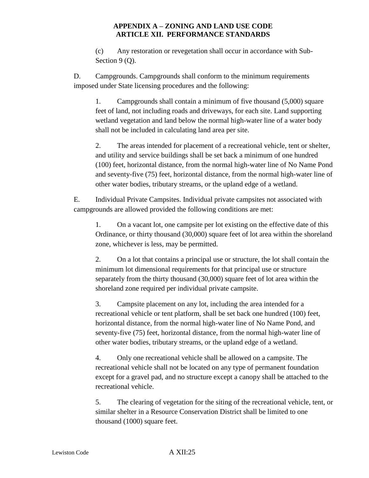(c) Any restoration or revegetation shall occur in accordance with Sub-Section 9 (Q).

D. Campgrounds. Campgrounds shall conform to the minimum requirements imposed under State licensing procedures and the following:

1. Campgrounds shall contain a minimum of five thousand (5,000) square feet of land, not including roads and driveways, for each site. Land supporting wetland vegetation and land below the normal high-water line of a water body shall not be included in calculating land area per site.

2. The areas intended for placement of a recreational vehicle, tent or shelter, and utility and service buildings shall be set back a minimum of one hundred (100) feet, horizontal distance, from the normal high-water line of No Name Pond and seventy-five (75) feet, horizontal distance, from the normal high-water line of other water bodies, tributary streams, or the upland edge of a wetland.

E. Individual Private Campsites. Individual private campsites not associated with campgrounds are allowed provided the following conditions are met:

1. On a vacant lot, one campsite per lot existing on the effective date of this Ordinance, or thirty thousand (30,000) square feet of lot area within the shoreland zone, whichever is less, may be permitted.

2. On a lot that contains a principal use or structure, the lot shall contain the minimum lot dimensional requirements for that principal use or structure separately from the thirty thousand (30,000) square feet of lot area within the shoreland zone required per individual private campsite.

3. Campsite placement on any lot, including the area intended for a recreational vehicle or tent platform, shall be set back one hundred (100) feet, horizontal distance, from the normal high-water line of No Name Pond, and seventy-five (75) feet, horizontal distance, from the normal high-water line of other water bodies, tributary streams, or the upland edge of a wetland.

4. Only one recreational vehicle shall be allowed on a campsite. The recreational vehicle shall not be located on any type of permanent foundation except for a gravel pad, and no structure except a canopy shall be attached to the recreational vehicle.

5. The clearing of vegetation for the siting of the recreational vehicle, tent, or similar shelter in a Resource Conservation District shall be limited to one thousand (1000) square feet.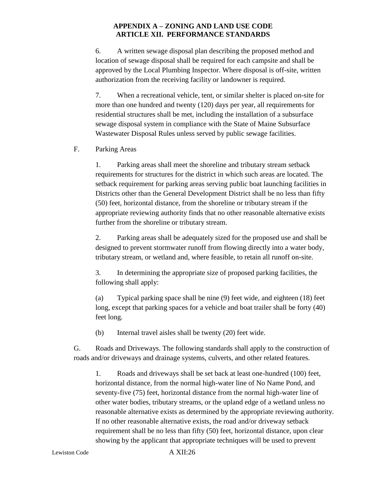6. A written sewage disposal plan describing the proposed method and location of sewage disposal shall be required for each campsite and shall be approved by the Local Plumbing Inspector. Where disposal is off-site, written authorization from the receiving facility or landowner is required.

7. When a recreational vehicle, tent, or similar shelter is placed on-site for more than one hundred and twenty (120) days per year, all requirements for residential structures shall be met, including the installation of a subsurface sewage disposal system in compliance with the State of Maine Subsurface Wastewater Disposal Rules unless served by public sewage facilities.

#### F. Parking Areas

1. Parking areas shall meet the shoreline and tributary stream setback requirements for structures for the district in which such areas are located. The setback requirement for parking areas serving public boat launching facilities in Districts other than the General Development District shall be no less than fifty (50) feet, horizontal distance, from the shoreline or tributary stream if the appropriate reviewing authority finds that no other reasonable alternative exists further from the shoreline or tributary stream.

2. Parking areas shall be adequately sized for the proposed use and shall be designed to prevent stormwater runoff from flowing directly into a water body, tributary stream, or wetland and, where feasible, to retain all runoff on-site.

3. In determining the appropriate size of proposed parking facilities, the following shall apply:

(a) Typical parking space shall be nine (9) feet wide, and eighteen (18) feet long, except that parking spaces for a vehicle and boat trailer shall be forty (40) feet long.

(b) Internal travel aisles shall be twenty (20) feet wide.

G. Roads and Driveways. The following standards shall apply to the construction of roads and/or driveways and drainage systems, culverts, and other related features.

1. Roads and driveways shall be set back at least one-hundred (100) feet, horizontal distance, from the normal high-water line of No Name Pond, and seventy-five (75) feet, horizontal distance from the normal high-water line of other water bodies, tributary streams, or the upland edge of a wetland unless no reasonable alternative exists as determined by the appropriate reviewing authority. If no other reasonable alternative exists, the road and/or driveway setback requirement shall be no less than fifty (50) feet, horizontal distance, upon clear showing by the applicant that appropriate techniques will be used to prevent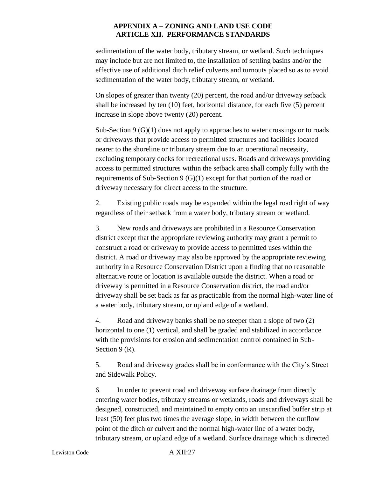sedimentation of the water body, tributary stream, or wetland. Such techniques may include but are not limited to, the installation of settling basins and/or the effective use of additional ditch relief culverts and turnouts placed so as to avoid sedimentation of the water body, tributary stream, or wetland.

On slopes of greater than twenty (20) percent, the road and/or driveway setback shall be increased by ten (10) feet, horizontal distance, for each five (5) percent increase in slope above twenty (20) percent.

Sub-Section 9 (G)(1) does not apply to approaches to water crossings or to roads or driveways that provide access to permitted structures and facilities located nearer to the shoreline or tributary stream due to an operational necessity, excluding temporary docks for recreational uses. Roads and driveways providing access to permitted structures within the setback area shall comply fully with the requirements of Sub-Section 9 (G)(1) except for that portion of the road or driveway necessary for direct access to the structure.

2. Existing public roads may be expanded within the legal road right of way regardless of their setback from a water body, tributary stream or wetland.

3. New roads and driveways are prohibited in a Resource Conservation district except that the appropriate reviewing authority may grant a permit to construct a road or driveway to provide access to permitted uses within the district. A road or driveway may also be approved by the appropriate reviewing authority in a Resource Conservation District upon a finding that no reasonable alternative route or location is available outside the district. When a road or driveway is permitted in a Resource Conservation district, the road and/or driveway shall be set back as far as practicable from the normal high-water line of a water body, tributary stream, or upland edge of a wetland.

4. Road and driveway banks shall be no steeper than a slope of two (2) horizontal to one (1) vertical, and shall be graded and stabilized in accordance with the provisions for erosion and sedimentation control contained in Sub-Section 9 (R).

5. Road and driveway grades shall be in conformance with the City's Street and Sidewalk Policy.

6. In order to prevent road and driveway surface drainage from directly entering water bodies, tributary streams or wetlands, roads and driveways shall be designed, constructed, and maintained to empty onto an unscarified buffer strip at least (50) feet plus two times the average slope, in width between the outflow point of the ditch or culvert and the normal high-water line of a water body, tributary stream, or upland edge of a wetland. Surface drainage which is directed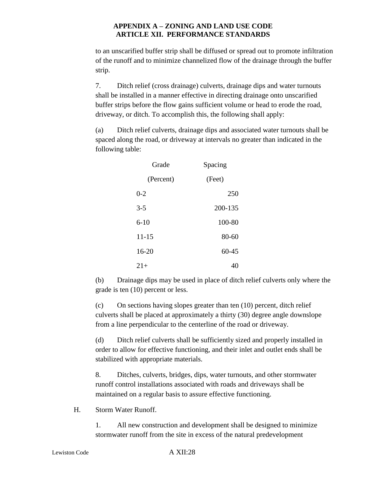to an unscarified buffer strip shall be diffused or spread out to promote infiltration of the runoff and to minimize channelized flow of the drainage through the buffer strip.

7. Ditch relief (cross drainage) culverts, drainage dips and water turnouts shall be installed in a manner effective in directing drainage onto unscarified buffer strips before the flow gains sufficient volume or head to erode the road, driveway, or ditch. To accomplish this, the following shall apply:

(a) Ditch relief culverts, drainage dips and associated water turnouts shall be spaced along the road, or driveway at intervals no greater than indicated in the following table:

| Grade     | Spacing   |  |
|-----------|-----------|--|
| (Percent) | (Feet)    |  |
| $0 - 2$   | 250       |  |
| $3 - 5$   | 200-135   |  |
| $6 - 10$  | 100-80    |  |
| $11 - 15$ | 80-60     |  |
| $16 - 20$ | $60 - 45$ |  |
| $21+$     | 40        |  |

(b) Drainage dips may be used in place of ditch relief culverts only where the grade is ten (10) percent or less.

(c) On sections having slopes greater than ten (10) percent, ditch relief culverts shall be placed at approximately a thirty (30) degree angle downslope from a line perpendicular to the centerline of the road or driveway.

(d) Ditch relief culverts shall be sufficiently sized and properly installed in order to allow for effective functioning, and their inlet and outlet ends shall be stabilized with appropriate materials.

8. Ditches, culverts, bridges, dips, water turnouts, and other stormwater runoff control installations associated with roads and driveways shall be maintained on a regular basis to assure effective functioning.

H. Storm Water Runoff.

1. All new construction and development shall be designed to minimize stormwater runoff from the site in excess of the natural predevelopment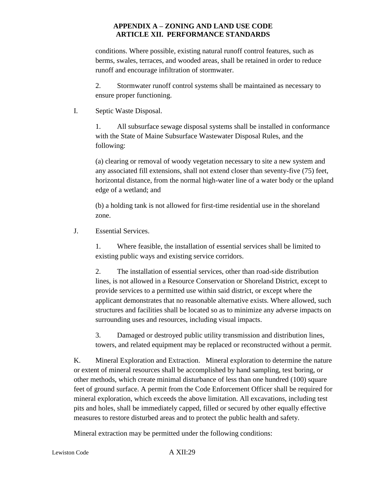conditions. Where possible, existing natural runoff control features, such as berms, swales, terraces, and wooded areas, shall be retained in order to reduce runoff and encourage infiltration of stormwater.

2. Stormwater runoff control systems shall be maintained as necessary to ensure proper functioning.

I. Septic Waste Disposal.

1. All subsurface sewage disposal systems shall be installed in conformance with the State of Maine Subsurface Wastewater Disposal Rules, and the following:

(a) clearing or removal of woody vegetation necessary to site a new system and any associated fill extensions, shall not extend closer than seventy-five (75) feet, horizontal distance, from the normal high-water line of a water body or the upland edge of a wetland; and

(b) a holding tank is not allowed for first-time residential use in the shoreland zone.

J. Essential Services.

1. Where feasible, the installation of essential services shall be limited to existing public ways and existing service corridors.

2. The installation of essential services, other than road-side distribution lines, is not allowed in a Resource Conservation or Shoreland District, except to provide services to a permitted use within said district, or except where the applicant demonstrates that no reasonable alternative exists. Where allowed, such structures and facilities shall be located so as to minimize any adverse impacts on surrounding uses and resources, including visual impacts.

3. Damaged or destroyed public utility transmission and distribution lines, towers, and related equipment may be replaced or reconstructed without a permit.

K. Mineral Exploration and Extraction. Mineral exploration to determine the nature or extent of mineral resources shall be accomplished by hand sampling, test boring, or other methods, which create minimal disturbance of less than one hundred (100) square feet of ground surface. A permit from the Code Enforcement Officer shall be required for mineral exploration, which exceeds the above limitation. All excavations, including test pits and holes, shall be immediately capped, filled or secured by other equally effective measures to restore disturbed areas and to protect the public health and safety.

Mineral extraction may be permitted under the following conditions: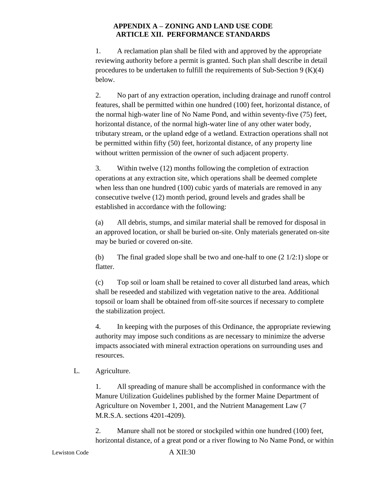1. A reclamation plan shall be filed with and approved by the appropriate reviewing authority before a permit is granted. Such plan shall describe in detail procedures to be undertaken to fulfill the requirements of Sub-Section  $9 \times (K)(4)$ below.

2. No part of any extraction operation, including drainage and runoff control features, shall be permitted within one hundred (100) feet, horizontal distance, of the normal high-water line of No Name Pond, and within seventy-five (75) feet, horizontal distance, of the normal high-water line of any other water body, tributary stream, or the upland edge of a wetland. Extraction operations shall not be permitted within fifty (50) feet, horizontal distance, of any property line without written permission of the owner of such adjacent property.

3. Within twelve (12) months following the completion of extraction operations at any extraction site, which operations shall be deemed complete when less than one hundred (100) cubic yards of materials are removed in any consecutive twelve (12) month period, ground levels and grades shall be established in accordance with the following:

(a) All debris, stumps, and similar material shall be removed for disposal in an approved location, or shall be buried on-site. Only materials generated on-site may be buried or covered on-site.

(b) The final graded slope shall be two and one-half to one (2 1/2:1) slope or flatter.

(c) Top soil or loam shall be retained to cover all disturbed land areas, which shall be reseeded and stabilized with vegetation native to the area. Additional topsoil or loam shall be obtained from off-site sources if necessary to complete the stabilization project.

4. In keeping with the purposes of this Ordinance, the appropriate reviewing authority may impose such conditions as are necessary to minimize the adverse impacts associated with mineral extraction operations on surrounding uses and resources.

# L. Agriculture.

1. All spreading of manure shall be accomplished in conformance with the Manure Utilization Guidelines published by the former Maine Department of Agriculture on November 1, 2001, and the Nutrient Management Law (7 M.R.S.A. sections 4201-4209).

2. Manure shall not be stored or stockpiled within one hundred (100) feet, horizontal distance, of a great pond or a river flowing to No Name Pond, or within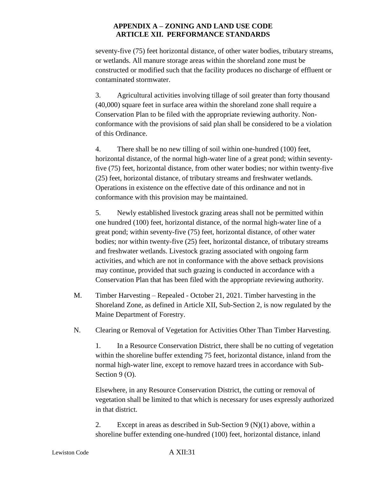seventy-five (75) feet horizontal distance, of other water bodies, tributary streams, or wetlands. All manure storage areas within the shoreland zone must be constructed or modified such that the facility produces no discharge of effluent or contaminated stormwater.

3. Agricultural activities involving tillage of soil greater than forty thousand (40,000) square feet in surface area within the shoreland zone shall require a Conservation Plan to be filed with the appropriate reviewing authority. Nonconformance with the provisions of said plan shall be considered to be a violation of this Ordinance.

4. There shall be no new tilling of soil within one-hundred (100) feet, horizontal distance, of the normal high-water line of a great pond; within seventyfive (75) feet, horizontal distance, from other water bodies; nor within twenty-five (25) feet, horizontal distance, of tributary streams and freshwater wetlands. Operations in existence on the effective date of this ordinance and not in conformance with this provision may be maintained.

5. Newly established livestock grazing areas shall not be permitted within one hundred (100) feet, horizontal distance, of the normal high-water line of a great pond; within seventy-five (75) feet, horizontal distance, of other water bodies; nor within twenty-five (25) feet, horizontal distance, of tributary streams and freshwater wetlands. Livestock grazing associated with ongoing farm activities, and which are not in conformance with the above setback provisions may continue, provided that such grazing is conducted in accordance with a Conservation Plan that has been filed with the appropriate reviewing authority.

- M. Timber Harvesting Repealed October 21, 2021. Timber harvesting in the Shoreland Zone, as defined in Article XII, Sub-Section 2, is now regulated by the Maine Department of Forestry.
- N. Clearing or Removal of Vegetation for Activities Other Than Timber Harvesting.

1. In a Resource Conservation District, there shall be no cutting of vegetation within the shoreline buffer extending 75 feet, horizontal distance, inland from the normal high-water line, except to remove hazard trees in accordance with Sub-Section 9 (O).

Elsewhere, in any Resource Conservation District, the cutting or removal of vegetation shall be limited to that which is necessary for uses expressly authorized in that district.

2. Except in areas as described in Sub-Section 9 (N)(1) above, within a shoreline buffer extending one-hundred (100) feet, horizontal distance, inland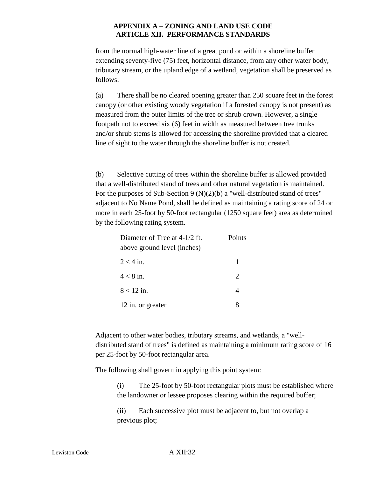from the normal high-water line of a great pond or within a shoreline buffer extending seventy-five (75) feet, horizontal distance, from any other water body, tributary stream, or the upland edge of a wetland, vegetation shall be preserved as follows:

(a) There shall be no cleared opening greater than 250 square feet in the forest canopy (or other existing woody vegetation if a forested canopy is not present) as measured from the outer limits of the tree or shrub crown. However, a single footpath not to exceed six (6) feet in width as measured between tree trunks and/or shrub stems is allowed for accessing the shoreline provided that a cleared line of sight to the water through the shoreline buffer is not created.

(b) Selective cutting of trees within the shoreline buffer is allowed provided that a well-distributed stand of trees and other natural vegetation is maintained. For the purposes of Sub-Section 9 (N)(2)(b) a "well-distributed stand of trees" adjacent to No Name Pond, shall be defined as maintaining a rating score of 24 or more in each 25-foot by 50-foot rectangular (1250 square feet) area as determined by the following rating system.

| Diameter of Tree at 4-1/2 ft. | Points                      |  |
|-------------------------------|-----------------------------|--|
| above ground level (inches)   |                             |  |
| $2 < 4$ in.                   | 1                           |  |
| $4 < 8$ in.                   | $\mathcal{D}_{\mathcal{L}}$ |  |
| $8 < 12$ in.                  | 4                           |  |
| 12 in. or greater             |                             |  |

Adjacent to other water bodies, tributary streams, and wetlands, a "welldistributed stand of trees" is defined as maintaining a minimum rating score of 16 per 25-foot by 50-foot rectangular area.

The following shall govern in applying this point system:

(i) The 25-foot by 50-foot rectangular plots must be established where the landowner or lessee proposes clearing within the required buffer;

(ii) Each successive plot must be adjacent to, but not overlap a previous plot;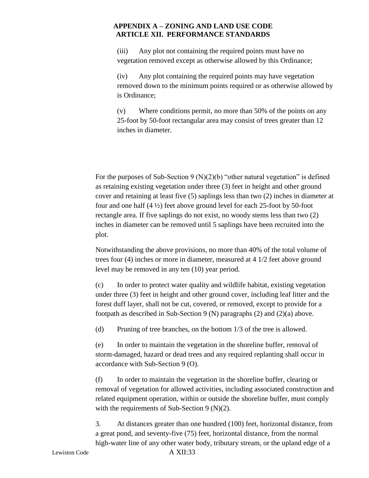(iii) Any plot not containing the required points must have no vegetation removed except as otherwise allowed by this Ordinance;

(iv) Any plot containing the required points may have vegetation removed down to the minimum points required or as otherwise allowed by is Ordinance;

(v) Where conditions permit, no more than 50% of the points on any 25-foot by 50-foot rectangular area may consist of trees greater than 12 inches in diameter.

For the purposes of Sub-Section 9 (N)(2)(b) "other natural vegetation" is defined as retaining existing vegetation under three (3) feet in height and other ground cover and retaining at least five (5) saplings less than two (2) inches in diameter at four and one half (4 ½) feet above ground level for each 25-foot by 50-foot rectangle area. If five saplings do not exist, no woody stems less than two (2) inches in diameter can be removed until 5 saplings have been recruited into the plot.

Notwithstanding the above provisions, no more than 40% of the total volume of trees four (4) inches or more in diameter, measured at 4 1/2 feet above ground level may be removed in any ten (10) year period.

(c) In order to protect water quality and wildlife habitat, existing vegetation under three (3) feet in height and other ground cover, including leaf litter and the forest duff layer, shall not be cut, covered, or removed, except to provide for a footpath as described in Sub-Section 9 (N) paragraphs (2) and (2)(a) above.

(d) Pruning of tree branches, on the bottom 1/3 of the tree is allowed.

(e) In order to maintain the vegetation in the shoreline buffer, removal of storm-damaged, hazard or dead trees and any required replanting shall occur in accordance with Sub-Section 9 (O).

(f) In order to maintain the vegetation in the shoreline buffer, clearing or removal of vegetation for allowed activities, including associated construction and related equipment operation, within or outside the shoreline buffer, must comply with the requirements of Sub-Section 9 (N)(2).

3. At distances greater than one hundred (100) feet, horizontal distance, from a great pond, and seventy-five (75) feet, horizontal distance, from the normal high-water line of any other water body, tributary stream, or the upland edge of a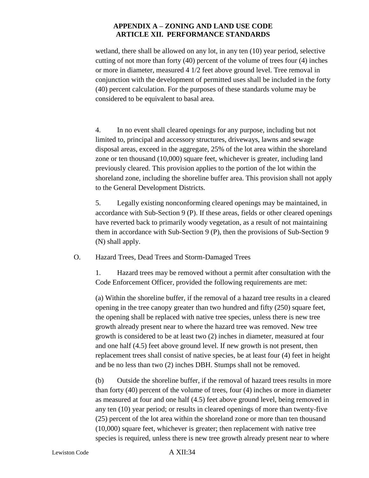wetland, there shall be allowed on any lot, in any ten (10) year period, selective cutting of not more than forty (40) percent of the volume of trees four (4) inches or more in diameter, measured 4 1/2 feet above ground level. Tree removal in conjunction with the development of permitted uses shall be included in the forty (40) percent calculation. For the purposes of these standards volume may be considered to be equivalent to basal area.

4. In no event shall cleared openings for any purpose, including but not limited to, principal and accessory structures, driveways, lawns and sewage disposal areas, exceed in the aggregate, 25% of the lot area within the shoreland zone or ten thousand (10,000) square feet, whichever is greater, including land previously cleared. This provision applies to the portion of the lot within the shoreland zone, including the shoreline buffer area. This provision shall not apply to the General Development Districts.

5. Legally existing nonconforming cleared openings may be maintained, in accordance with Sub-Section 9 (P). If these areas, fields or other cleared openings have reverted back to primarily woody vegetation, as a result of not maintaining them in accordance with Sub-Section 9 (P), then the provisions of Sub-Section 9 (N) shall apply.

O. Hazard Trees, Dead Trees and Storm-Damaged Trees

1. Hazard trees may be removed without a permit after consultation with the Code Enforcement Officer, provided the following requirements are met:

(a) Within the shoreline buffer, if the removal of a hazard tree results in a cleared opening in the tree canopy greater than two hundred and fifty (250) square feet, the opening shall be replaced with native tree species, unless there is new tree growth already present near to where the hazard tree was removed. New tree growth is considered to be at least two (2) inches in diameter, measured at four and one half (4.5) feet above ground level. If new growth is not present, then replacement trees shall consist of native species, be at least four (4) feet in height and be no less than two (2) inches DBH. Stumps shall not be removed.

(b) Outside the shoreline buffer, if the removal of hazard trees results in more than forty (40) percent of the volume of trees, four (4) inches or more in diameter as measured at four and one half (4.5) feet above ground level, being removed in any ten (10) year period; or results in cleared openings of more than twenty-five (25) percent of the lot area within the shoreland zone or more than ten thousand (10,000) square feet, whichever is greater; then replacement with native tree species is required, unless there is new tree growth already present near to where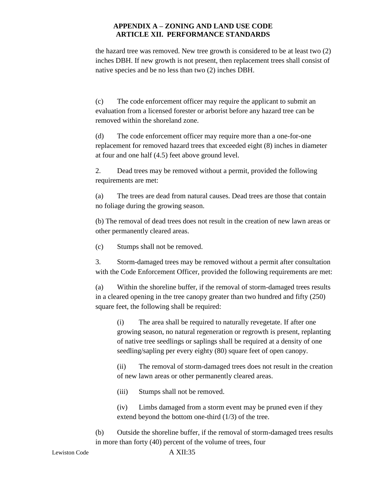the hazard tree was removed. New tree growth is considered to be at least two (2) inches DBH. If new growth is not present, then replacement trees shall consist of native species and be no less than two (2) inches DBH.

(c) The code enforcement officer may require the applicant to submit an evaluation from a licensed forester or arborist before any hazard tree can be removed within the shoreland zone.

(d) The code enforcement officer may require more than a one-for-one replacement for removed hazard trees that exceeded eight (8) inches in diameter at four and one half (4.5) feet above ground level.

2. Dead trees may be removed without a permit, provided the following requirements are met:

(a) The trees are dead from natural causes. Dead trees are those that contain no foliage during the growing season.

(b) The removal of dead trees does not result in the creation of new lawn areas or other permanently cleared areas.

(c) Stumps shall not be removed.

3. Storm-damaged trees may be removed without a permit after consultation with the Code Enforcement Officer, provided the following requirements are met:

(a) Within the shoreline buffer, if the removal of storm-damaged trees results in a cleared opening in the tree canopy greater than two hundred and fifty (250) square feet, the following shall be required:

(i) The area shall be required to naturally revegetate. If after one growing season, no natural regeneration or regrowth is present, replanting of native tree seedlings or saplings shall be required at a density of one seedling/sapling per every eighty (80) square feet of open canopy.

(ii) The removal of storm-damaged trees does not result in the creation of new lawn areas or other permanently cleared areas.

(iii) Stumps shall not be removed.

(iv) Limbs damaged from a storm event may be pruned even if they extend beyond the bottom one-third (1/3) of the tree.

(b) Outside the shoreline buffer, if the removal of storm-damaged trees results in more than forty (40) percent of the volume of trees, four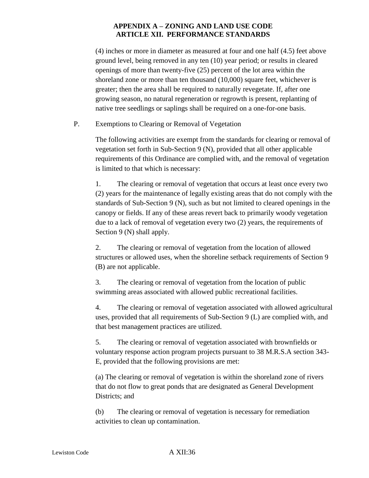(4) inches or more in diameter as measured at four and one half (4.5) feet above ground level, being removed in any ten (10) year period; or results in cleared openings of more than twenty-five (25) percent of the lot area within the shoreland zone or more than ten thousand (10,000) square feet, whichever is greater; then the area shall be required to naturally revegetate. If, after one growing season, no natural regeneration or regrowth is present, replanting of native tree seedlings or saplings shall be required on a one-for-one basis.

P. Exemptions to Clearing or Removal of Vegetation

The following activities are exempt from the standards for clearing or removal of vegetation set forth in Sub-Section 9 (N), provided that all other applicable requirements of this Ordinance are complied with, and the removal of vegetation is limited to that which is necessary:

1. The clearing or removal of vegetation that occurs at least once every two (2) years for the maintenance of legally existing areas that do not comply with the standards of Sub-Section 9 (N), such as but not limited to cleared openings in the canopy or fields. If any of these areas revert back to primarily woody vegetation due to a lack of removal of vegetation every two (2) years, the requirements of Section 9 (N) shall apply.

2. The clearing or removal of vegetation from the location of allowed structures or allowed uses, when the shoreline setback requirements of Section 9 (B) are not applicable.

3. The clearing or removal of vegetation from the location of public swimming areas associated with allowed public recreational facilities.

4. The clearing or removal of vegetation associated with allowed agricultural uses, provided that all requirements of Sub-Section 9 (L) are complied with, and that best management practices are utilized.

5. The clearing or removal of vegetation associated with brownfields or voluntary response action program projects pursuant to 38 M.R.S.A section 343- E, provided that the following provisions are met:

(a) The clearing or removal of vegetation is within the shoreland zone of rivers that do not flow to great ponds that are designated as General Development Districts; and

(b) The clearing or removal of vegetation is necessary for remediation activities to clean up contamination.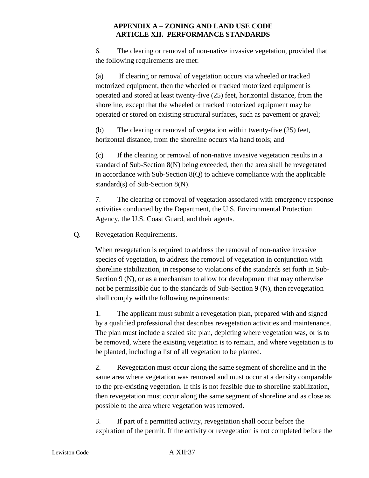6. The clearing or removal of non-native invasive vegetation, provided that the following requirements are met:

(a) If clearing or removal of vegetation occurs via wheeled or tracked motorized equipment, then the wheeled or tracked motorized equipment is operated and stored at least twenty-five (25) feet, horizontal distance, from the shoreline, except that the wheeled or tracked motorized equipment may be operated or stored on existing structural surfaces, such as pavement or gravel;

(b) The clearing or removal of vegetation within twenty-five (25) feet, horizontal distance, from the shoreline occurs via hand tools; and

(c) If the clearing or removal of non-native invasive vegetation results in a standard of Sub-Section 8(N) being exceeded, then the area shall be revegetated in accordance with Sub-Section 8(Q) to achieve compliance with the applicable standard(s) of Sub-Section 8(N).

7. The clearing or removal of vegetation associated with emergency response activities conducted by the Department, the U.S. Environmental Protection Agency, the U.S. Coast Guard, and their agents.

Q. Revegetation Requirements.

When revegetation is required to address the removal of non-native invasive species of vegetation, to address the removal of vegetation in conjunction with shoreline stabilization, in response to violations of the standards set forth in Sub-Section 9 (N), or as a mechanism to allow for development that may otherwise not be permissible due to the standards of Sub-Section 9 (N), then revegetation shall comply with the following requirements:

1. The applicant must submit a revegetation plan, prepared with and signed by a qualified professional that describes revegetation activities and maintenance. The plan must include a scaled site plan, depicting where vegetation was, or is to be removed, where the existing vegetation is to remain, and where vegetation is to be planted, including a list of all vegetation to be planted.

2. Revegetation must occur along the same segment of shoreline and in the same area where vegetation was removed and must occur at a density comparable to the pre-existing vegetation. If this is not feasible due to shoreline stabilization, then revegetation must occur along the same segment of shoreline and as close as possible to the area where vegetation was removed.

3. If part of a permitted activity, revegetation shall occur before the expiration of the permit. If the activity or revegetation is not completed before the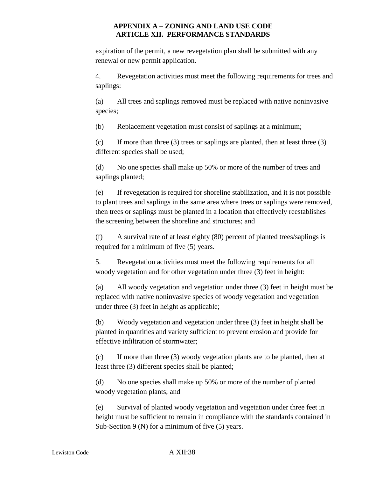expiration of the permit, a new revegetation plan shall be submitted with any renewal or new permit application.

4. Revegetation activities must meet the following requirements for trees and saplings:

(a) All trees and saplings removed must be replaced with native noninvasive species;

(b) Replacement vegetation must consist of saplings at a minimum;

(c) If more than three (3) trees or saplings are planted, then at least three (3) different species shall be used;

(d) No one species shall make up 50% or more of the number of trees and saplings planted;

(e) If revegetation is required for shoreline stabilization, and it is not possible to plant trees and saplings in the same area where trees or saplings were removed, then trees or saplings must be planted in a location that effectively reestablishes the screening between the shoreline and structures; and

(f) A survival rate of at least eighty (80) percent of planted trees/saplings is required for a minimum of five (5) years.

5. Revegetation activities must meet the following requirements for all woody vegetation and for other vegetation under three (3) feet in height:

(a) All woody vegetation and vegetation under three (3) feet in height must be replaced with native noninvasive species of woody vegetation and vegetation under three (3) feet in height as applicable;

(b) Woody vegetation and vegetation under three (3) feet in height shall be planted in quantities and variety sufficient to prevent erosion and provide for effective infiltration of stormwater;

(c) If more than three (3) woody vegetation plants are to be planted, then at least three (3) different species shall be planted;

(d) No one species shall make up 50% or more of the number of planted woody vegetation plants; and

(e) Survival of planted woody vegetation and vegetation under three feet in height must be sufficient to remain in compliance with the standards contained in Sub-Section 9 (N) for a minimum of five (5) years.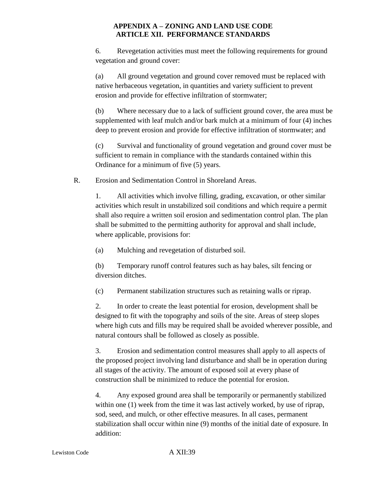6. Revegetation activities must meet the following requirements for ground vegetation and ground cover:

(a) All ground vegetation and ground cover removed must be replaced with native herbaceous vegetation, in quantities and variety sufficient to prevent erosion and provide for effective infiltration of stormwater;

(b) Where necessary due to a lack of sufficient ground cover, the area must be supplemented with leaf mulch and/or bark mulch at a minimum of four (4) inches deep to prevent erosion and provide for effective infiltration of stormwater; and

(c) Survival and functionality of ground vegetation and ground cover must be sufficient to remain in compliance with the standards contained within this Ordinance for a minimum of five (5) years.

R. Erosion and Sedimentation Control in Shoreland Areas.

1. All activities which involve filling, grading, excavation, or other similar activities which result in unstabilized soil conditions and which require a permit shall also require a written soil erosion and sedimentation control plan. The plan shall be submitted to the permitting authority for approval and shall include, where applicable, provisions for:

(a) Mulching and revegetation of disturbed soil.

(b) Temporary runoff control features such as hay bales, silt fencing or diversion ditches.

(c) Permanent stabilization structures such as retaining walls or riprap.

2. In order to create the least potential for erosion, development shall be designed to fit with the topography and soils of the site. Areas of steep slopes where high cuts and fills may be required shall be avoided wherever possible, and natural contours shall be followed as closely as possible.

3. Erosion and sedimentation control measures shall apply to all aspects of the proposed project involving land disturbance and shall be in operation during all stages of the activity. The amount of exposed soil at every phase of construction shall be minimized to reduce the potential for erosion.

4. Any exposed ground area shall be temporarily or permanently stabilized within one (1) week from the time it was last actively worked, by use of riprap, sod, seed, and mulch, or other effective measures. In all cases, permanent stabilization shall occur within nine (9) months of the initial date of exposure. In addition: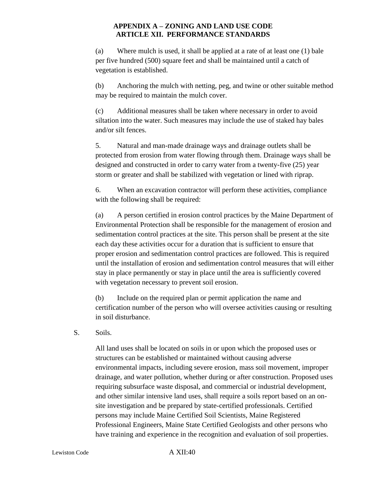(a) Where mulch is used, it shall be applied at a rate of at least one (1) bale per five hundred (500) square feet and shall be maintained until a catch of vegetation is established.

(b) Anchoring the mulch with netting, peg, and twine or other suitable method may be required to maintain the mulch cover.

(c) Additional measures shall be taken where necessary in order to avoid siltation into the water. Such measures may include the use of staked hay bales and/or silt fences.

5. Natural and man-made drainage ways and drainage outlets shall be protected from erosion from water flowing through them. Drainage ways shall be designed and constructed in order to carry water from a twenty-five (25) year storm or greater and shall be stabilized with vegetation or lined with riprap.

6. When an excavation contractor will perform these activities, compliance with the following shall be required:

(a) A person certified in erosion control practices by the Maine Department of Environmental Protection shall be responsible for the management of erosion and sedimentation control practices at the site. This person shall be present at the site each day these activities occur for a duration that is sufficient to ensure that proper erosion and sedimentation control practices are followed. This is required until the installation of erosion and sedimentation control measures that will either stay in place permanently or stay in place until the area is sufficiently covered with vegetation necessary to prevent soil erosion.

(b) Include on the required plan or permit application the name and certification number of the person who will oversee activities causing or resulting in soil disturbance.

S. Soils.

All land uses shall be located on soils in or upon which the proposed uses or structures can be established or maintained without causing adverse environmental impacts, including severe erosion, mass soil movement, improper drainage, and water pollution, whether during or after construction. Proposed uses requiring subsurface waste disposal, and commercial or industrial development, and other similar intensive land uses, shall require a soils report based on an onsite investigation and be prepared by state-certified professionals. Certified persons may include Maine Certified Soil Scientists, Maine Registered Professional Engineers, Maine State Certified Geologists and other persons who have training and experience in the recognition and evaluation of soil properties.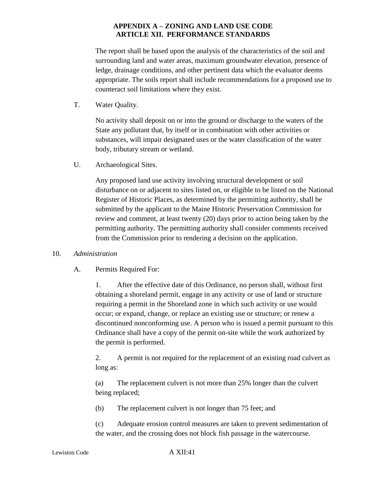The report shall be based upon the analysis of the characteristics of the soil and surrounding land and water areas, maximum groundwater elevation, presence of ledge, drainage conditions, and other pertinent data which the evaluator deems appropriate. The soils report shall include recommendations for a proposed use to counteract soil limitations where they exist.

T. Water Quality.

No activity shall deposit on or into the ground or discharge to the waters of the State any pollutant that, by itself or in combination with other activities or substances, will impair designated uses or the water classification of the water body, tributary stream or wetland.

U. Archaeological Sites.

Any proposed land use activity involving structural development or soil disturbance on or adjacent to sites listed on, or eligible to be listed on the National Register of Historic Places, as determined by the permitting authority, shall be submitted by the applicant to the Maine Historic Preservation Commission for review and comment, at least twenty (20) days prior to action being taken by the permitting authority. The permitting authority shall consider comments received from the Commission prior to rendering a decision on the application.

#### 10. *Administration*

A. Permits Required For:

1. After the effective date of this Ordinance, no person shall, without first obtaining a shoreland permit, engage in any activity or use of land or structure requiring a permit in the Shoreland zone in which such activity or use would occur; or expand, change, or replace an existing use or structure; or renew a discontinued nonconforming use. A person who is issued a permit pursuant to this Ordinance shall have a copy of the permit on-site while the work authorized by the permit is performed.

2. A permit is not required for the replacement of an existing road culvert as long as:

(a) The replacement culvert is not more than 25% longer than the culvert being replaced;

(b) The replacement culvert is not longer than 75 feet; and

(c) Adequate erosion control measures are taken to prevent sedimentation of the water, and the crossing does not block fish passage in the watercourse.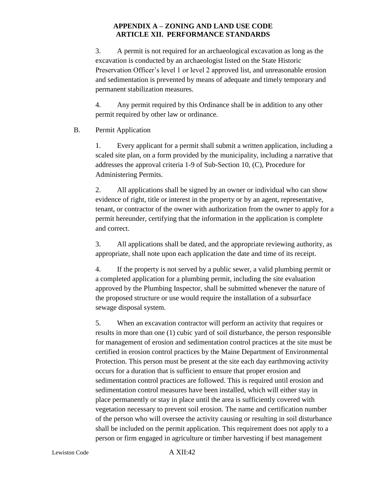3. A permit is not required for an archaeological excavation as long as the excavation is conducted by an archaeologist listed on the State Historic Preservation Officer's level 1 or level 2 approved list, and unreasonable erosion and sedimentation is prevented by means of adequate and timely temporary and permanent stabilization measures.

4. Any permit required by this Ordinance shall be in addition to any other permit required by other law or ordinance.

## B. Permit Application

1. Every applicant for a permit shall submit a written application, including a scaled site plan, on a form provided by the municipality, including a narrative that addresses the approval criteria 1-9 of Sub-Section 10, (C), Procedure for Administering Permits.

2. All applications shall be signed by an owner or individual who can show evidence of right, title or interest in the property or by an agent, representative, tenant, or contractor of the owner with authorization from the owner to apply for a permit hereunder, certifying that the information in the application is complete and correct.

3. All applications shall be dated, and the appropriate reviewing authority, as appropriate, shall note upon each application the date and time of its receipt.

4. If the property is not served by a public sewer, a valid plumbing permit or a completed application for a plumbing permit, including the site evaluation approved by the Plumbing Inspector, shall be submitted whenever the nature of the proposed structure or use would require the installation of a subsurface sewage disposal system.

5. When an excavation contractor will perform an activity that requires or results in more than one (1) cubic yard of soil disturbance, the person responsible for management of erosion and sedimentation control practices at the site must be certified in erosion control practices by the Maine Department of Environmental Protection. This person must be present at the site each day earthmoving activity occurs for a duration that is sufficient to ensure that proper erosion and sedimentation control practices are followed. This is required until erosion and sedimentation control measures have been installed, which will either stay in place permanently or stay in place until the area is sufficiently covered with vegetation necessary to prevent soil erosion. The name and certification number of the person who will oversee the activity causing or resulting in soil disturbance shall be included on the permit application. This requirement does not apply to a person or firm engaged in agriculture or timber harvesting if best management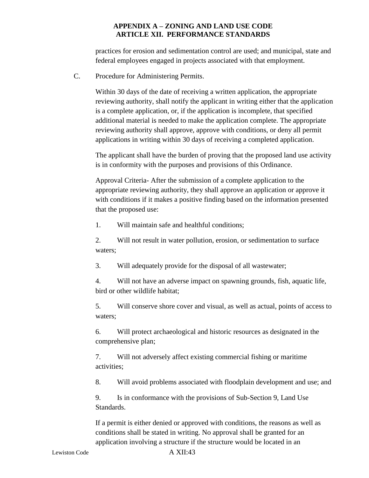practices for erosion and sedimentation control are used; and municipal, state and federal employees engaged in projects associated with that employment.

C. Procedure for Administering Permits.

Within 30 days of the date of receiving a written application, the appropriate reviewing authority, shall notify the applicant in writing either that the application is a complete application, or, if the application is incomplete, that specified additional material is needed to make the application complete. The appropriate reviewing authority shall approve, approve with conditions, or deny all permit applications in writing within 30 days of receiving a completed application.

The applicant shall have the burden of proving that the proposed land use activity is in conformity with the purposes and provisions of this Ordinance.

Approval Criteria- After the submission of a complete application to the appropriate reviewing authority, they shall approve an application or approve it with conditions if it makes a positive finding based on the information presented that the proposed use:

1. Will maintain safe and healthful conditions;

2. Will not result in water pollution, erosion, or sedimentation to surface waters;

3. Will adequately provide for the disposal of all wastewater;

4. Will not have an adverse impact on spawning grounds, fish, aquatic life, bird or other wildlife habitat;

5. Will conserve shore cover and visual, as well as actual, points of access to waters;

6. Will protect archaeological and historic resources as designated in the comprehensive plan;

7. Will not adversely affect existing commercial fishing or maritime activities;

8. Will avoid problems associated with floodplain development and use; and

9. Is in conformance with the provisions of Sub-Section 9, Land Use Standards.

If a permit is either denied or approved with conditions, the reasons as well as conditions shall be stated in writing. No approval shall be granted for an application involving a structure if the structure would be located in an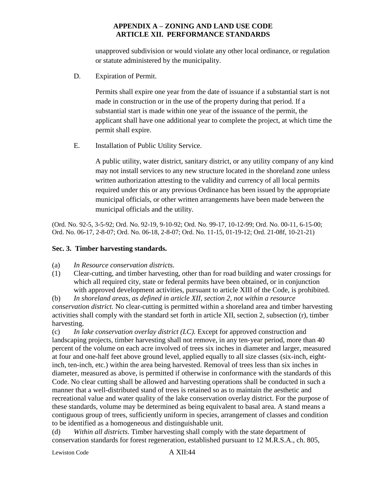unapproved subdivision or would violate any other local ordinance, or regulation or statute administered by the municipality.

D. Expiration of Permit.

Permits shall expire one year from the date of issuance if a substantial start is not made in construction or in the use of the property during that period. If a substantial start is made within one year of the issuance of the permit, the applicant shall have one additional year to complete the project, at which time the permit shall expire.

E. Installation of Public Utility Service.

A public utility, water district, sanitary district, or any utility company of any kind may not install services to any new structure located in the shoreland zone unless written authorization attesting to the validity and currency of all local permits required under this or any previous Ordinance has been issued by the appropriate municipal officials, or other written arrangements have been made between the municipal officials and the utility.

(Ord. No. 92-5, 3-5-92; Ord. No. 92-19, 9-10-92; Ord. No. 99-17, 10-12-99; Ord. No. 00-11, 6-15-00; Ord. No. 06-17, 2-8-07; Ord. No. 06-18, 2-8-07; Ord. No. 11-15, 01-19-12; Ord. 21-08f, 10-21-21)

## **Sec. 3. Timber harvesting standards.**

- (a) *In Resource conservation districts.*
- (1) Clear-cutting, and timber harvesting, other than for road building and water crossings for which all required city, state or federal permits have been obtained, or in conjunction with approved development activities, pursuant to article XIII of the Code, is prohibited.

(b) *In shoreland areas, as defined in article XII, section 2, not within a resource conservation district.* No clear-cutting is permitted within a shoreland area and timber harvesting activities shall comply with the standard set forth in article XII, section 2, subsection (r), timber harvesting.

(c) *In lake conservation overlay district (LC).* Except for approved construction and landscaping projects, timber harvesting shall not remove, in any ten-year period, more than 40 percent of the volume on each acre involved of trees six inches in diameter and larger, measured at four and one-half feet above ground level, applied equally to all size classes (six-inch, eightinch, ten-inch, etc.) within the area being harvested. Removal of trees less than six inches in diameter, measured as above, is permitted if otherwise in conformance with the standards of this Code. No clear cutting shall be allowed and harvesting operations shall be conducted in such a manner that a well-distributed stand of trees is retained so as to maintain the aesthetic and recreational value and water quality of the lake conservation overlay district. For the purpose of these standards, volume may be determined as being equivalent to basal area. A stand means a contiguous group of trees, sufficiently uniform in species, arrangement of classes and condition to be identified as a homogeneous and distinguishable unit.

(d) *Within all districts*. Timber harvesting shall comply with the state department of conservation standards for forest regeneration, established pursuant to 12 M.R.S.A., ch. 805,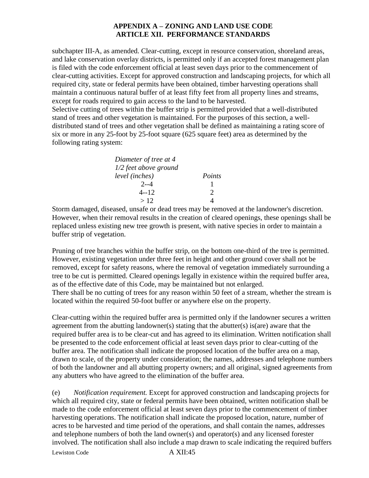subchapter III-A, as amended. Clear-cutting, except in resource conservation, shoreland areas, and lake conservation overlay districts, is permitted only if an accepted forest management plan is filed with the code enforcement official at least seven days prior to the commencement of clear-cutting activities. Except for approved construction and landscaping projects, for which all required city, state or federal permits have been obtained, timber harvesting operations shall maintain a continuous natural buffer of at least fifty feet from all property lines and streams, except for roads required to gain access to the land to be harvested. Selective cutting of trees within the buffer strip is permitted provided that a well-distributed stand of trees and other vegetation is maintained. For the purposes of this section, a welldistributed stand of trees and other vegetation shall be defined as maintaining a rating score of six or more in any 25-foot by 25-foot square (625 square feet) area as determined by the

following rating system:

| Diameter of tree at 4 |               |
|-----------------------|---------------|
| 1/2 feet above ground |               |
| level (inches)        | Points        |
| $2 - 4$               |               |
| 4--12                 | $\mathcal{D}$ |
| >12                   |               |

Storm damaged, diseased, unsafe or dead trees may be removed at the landowner's discretion. However, when their removal results in the creation of cleared openings, these openings shall be replaced unless existing new tree growth is present, with native species in order to maintain a buffer strip of vegetation.

Pruning of tree branches within the buffer strip, on the bottom one-third of the tree is permitted. However, existing vegetation under three feet in height and other ground cover shall not be removed, except for safety reasons, where the removal of vegetation immediately surrounding a tree to be cut is permitted. Cleared openings legally in existence within the required buffer area, as of the effective date of this Code, may be maintained but not enlarged. There shall be no cutting of trees for any reason within 50 feet of a stream, whether the stream is located within the required 50-foot buffer or anywhere else on the property.

Clear-cutting within the required buffer area is permitted only if the landowner secures a written agreement from the abutting landowner(s) stating that the abutter(s) is(are) aware that the required buffer area is to be clear-cut and has agreed to its elimination. Written notification shall be presented to the code enforcement official at least seven days prior to clear-cutting of the buffer area. The notification shall indicate the proposed location of the buffer area on a map, drawn to scale, of the property under consideration; the names, addresses and telephone numbers of both the landowner and all abutting property owners; and all original, signed agreements from any abutters who have agreed to the elimination of the buffer area.

Lewiston Code A XII:45 (e) *Notification requirement.* Except for approved construction and landscaping projects for which all required city, state or federal permits have been obtained, written notification shall be made to the code enforcement official at least seven days prior to the commencement of timber harvesting operations. The notification shall indicate the proposed location, nature, number of acres to be harvested and time period of the operations, and shall contain the names, addresses and telephone numbers of both the land owner(s) and operator(s) and any licensed forester involved. The notification shall also include a map drawn to scale indicating the required buffers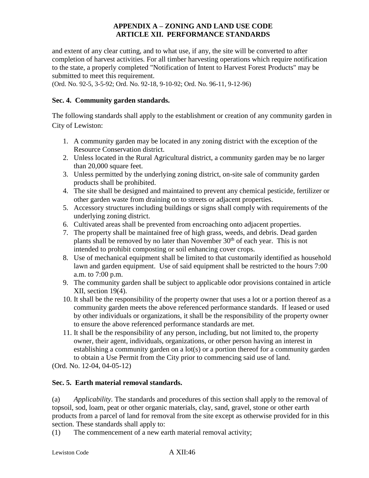and extent of any clear cutting, and to what use, if any, the site will be converted to after completion of harvest activities. For all timber harvesting operations which require notification to the state, a properly completed "Notification of Intent to Harvest Forest Products" may be submitted to meet this requirement.

(Ord. No. 92-5, 3-5-92; Ord. No. 92-18, 9-10-92; Ord. No. 96-11, 9-12-96)

## **Sec. 4. Community garden standards.**

The following standards shall apply to the establishment or creation of any community garden in City of Lewiston:

- 1. A community garden may be located in any zoning district with the exception of the Resource Conservation district.
- 2. Unless located in the Rural Agricultural district, a community garden may be no larger than 20,000 square feet.
- 3. Unless permitted by the underlying zoning district, on-site sale of community garden products shall be prohibited.
- 4. The site shall be designed and maintained to prevent any chemical pesticide, fertilizer or other garden waste from draining on to streets or adjacent properties.
- 5. Accessory structures including buildings or signs shall comply with requirements of the underlying zoning district.
- 6. Cultivated areas shall be prevented from encroaching onto adjacent properties.
- 7. The property shall be maintained free of high grass, weeds, and debris. Dead garden plants shall be removed by no later than November  $30<sup>th</sup>$  of each year. This is not intended to prohibit composting or soil enhancing cover crops.
- 8. Use of mechanical equipment shall be limited to that customarily identified as household lawn and garden equipment. Use of said equipment shall be restricted to the hours 7:00 a.m. to 7:00 p.m.
- 9. The community garden shall be subject to applicable odor provisions contained in article XII, section 19(4).
- 10. It shall be the responsibility of the property owner that uses a lot or a portion thereof as a community garden meets the above referenced performance standards. If leased or used by other individuals or organizations, it shall be the responsibility of the property owner to ensure the above referenced performance standards are met.
- 11. It shall be the responsibility of any person, including, but not limited to, the property owner, their agent, individuals, organizations, or other person having an interest in establishing a community garden on a lot(s) or a portion thereof for a community garden to obtain a Use Permit from the City prior to commencing said use of land.

(Ord. No. 12-04, 04-05-12)

## **Sec. 5. Earth material removal standards.**

(a) *Applicability.* The standards and procedures of this section shall apply to the removal of topsoil, sod, loam, peat or other organic materials, clay, sand, gravel, stone or other earth products from a parcel of land for removal from the site except as otherwise provided for in this section. These standards shall apply to:

(1) The commencement of a new earth material removal activity;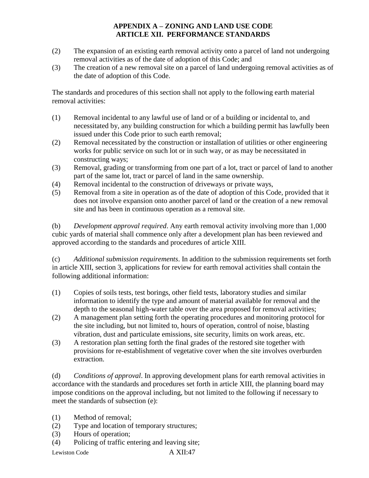- (2) The expansion of an existing earth removal activity onto a parcel of land not undergoing removal activities as of the date of adoption of this Code; and
- (3) The creation of a new removal site on a parcel of land undergoing removal activities as of the date of adoption of this Code.

The standards and procedures of this section shall not apply to the following earth material removal activities:

- (1) Removal incidental to any lawful use of land or of a building or incidental to, and necessitated by, any building construction for which a building permit has lawfully been issued under this Code prior to such earth removal;
- (2) Removal necessitated by the construction or installation of utilities or other engineering works for public service on such lot or in such way, or as may be necessitated in constructing ways;
- (3) Removal, grading or transforming from one part of a lot, tract or parcel of land to another part of the same lot, tract or parcel of land in the same ownership.
- (4) Removal incidental to the construction of driveways or private ways,
- (5) Removal from a site in operation as of the date of adoption of this Code, provided that it does not involve expansion onto another parcel of land or the creation of a new removal site and has been in continuous operation as a removal site.

(b) *Development approval required*. Any earth removal activity involving more than 1,000 cubic yards of material shall commence only after a development plan has been reviewed and approved according to the standards and procedures of article XIII.

(c) *Additional submission requirements*. In addition to the submission requirements set forth in article XIII, section 3, applications for review for earth removal activities shall contain the following additional information:

- (1) Copies of soils tests, test borings, other field tests, laboratory studies and similar information to identify the type and amount of material available for removal and the depth to the seasonal high-water table over the area proposed for removal activities;
- (2) A management plan setting forth the operating procedures and monitoring protocol for the site including, but not limited to, hours of operation, control of noise, blasting vibration, dust and particulate emissions, site security, limits on work areas, etc.
- (3) A restoration plan setting forth the final grades of the restored site together with provisions for re-establishment of vegetative cover when the site involves overburden extraction.

(d) *Conditions of approval*. In approving development plans for earth removal activities in accordance with the standards and procedures set forth in article XIII, the planning board may impose conditions on the approval including, but not limited to the following if necessary to meet the standards of subsection (e):

- (1) Method of removal;
- (2) Type and location of temporary structures;
- (3) Hours of operation;
- (4) Policing of traffic entering and leaving site;

Lewiston Code A XII:47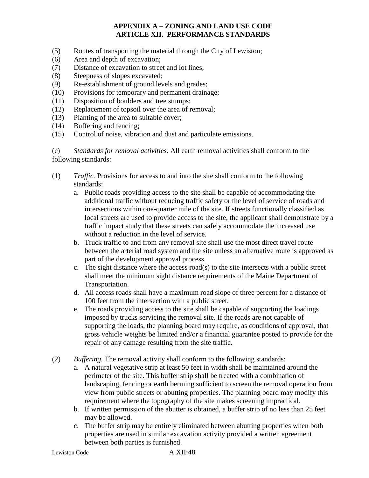- (5) Routes of transporting the material through the City of Lewiston;
- (6) Area and depth of excavation;
- (7) Distance of excavation to street and lot lines;
- (8) Steepness of slopes excavated;
- (9) Re-establishment of ground levels and grades;
- (10) Provisions for temporary and permanent drainage;
- (11) Disposition of boulders and tree stumps;
- (12) Replacement of topsoil over the area of removal;
- (13) Planting of the area to suitable cover;
- (14) Buffering and fencing;
- (15) Control of noise, vibration and dust and particulate emissions.

(e) *Standards for removal activities.* All earth removal activities shall conform to the following standards:

- (1) *Traffic.* Provisions for access to and into the site shall conform to the following standards:
	- a. Public roads providing access to the site shall be capable of accommodating the additional traffic without reducing traffic safety or the level of service of roads and intersections within one-quarter mile of the site. If streets functionally classified as local streets are used to provide access to the site, the applicant shall demonstrate by a traffic impact study that these streets can safely accommodate the increased use without a reduction in the level of service.
	- b. Truck traffic to and from any removal site shall use the most direct travel route between the arterial road system and the site unless an alternative route is approved as part of the development approval process.
	- c. The sight distance where the access road(s) to the site intersects with a public street shall meet the minimum sight distance requirements of the Maine Department of Transportation.
	- d. All access roads shall have a maximum road slope of three percent for a distance of 100 feet from the intersection with a public street.
	- e. The roads providing access to the site shall be capable of supporting the loadings imposed by trucks servicing the removal site. If the roads are not capable of supporting the loads, the planning board may require, as conditions of approval, that gross vehicle weights be limited and/or a financial guarantee posted to provide for the repair of any damage resulting from the site traffic.
- (2) *Buffering.* The removal activity shall conform to the following standards:
	- a. A natural vegetative strip at least 50 feet in width shall be maintained around the perimeter of the site. This buffer strip shall be treated with a combination of landscaping, fencing or earth berming sufficient to screen the removal operation from view from public streets or abutting properties. The planning board may modify this requirement where the topography of the site makes screening impractical.
	- b. If written permission of the abutter is obtained, a buffer strip of no less than 25 feet may be allowed.
	- c. The buffer strip may be entirely eliminated between abutting properties when both properties are used in similar excavation activity provided a written agreement between both parties is furnished.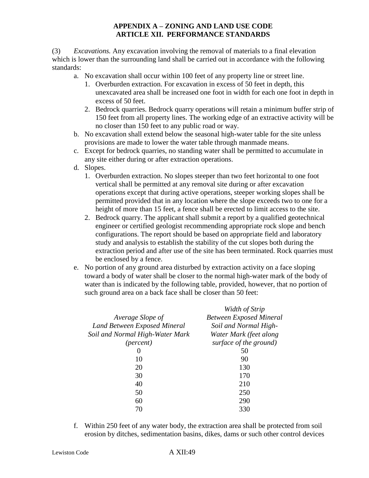(3) *Excavations.* Any excavation involving the removal of materials to a final elevation which is lower than the surrounding land shall be carried out in accordance with the following standards:

- a. No excavation shall occur within 100 feet of any property line or street line.
	- 1. Overburden extraction. For excavation in excess of 50 feet in depth, this unexcavated area shall be increased one foot in width for each one foot in depth in excess of 50 feet.
	- 2. Bedrock quarries. Bedrock quarry operations will retain a minimum buffer strip of 150 feet from all property lines. The working edge of an extractive activity will be no closer than 150 feet to any public road or way.
- b. No excavation shall extend below the seasonal high-water table for the site unless provisions are made to lower the water table through manmade means.
- c. Except for bedrock quarries, no standing water shall be permitted to accumulate in any site either during or after extraction operations.
- d. Slopes.
	- 1. Overburden extraction. No slopes steeper than two feet horizontal to one foot vertical shall be permitted at any removal site during or after excavation operations except that during active operations, steeper working slopes shall be permitted provided that in any location where the slope exceeds two to one for a height of more than 15 feet, a fence shall be erected to limit access to the site.
	- 2. Bedrock quarry. The applicant shall submit a report by a qualified geotechnical engineer or certified geologist recommending appropriate rock slope and bench configurations. The report should be based on appropriate field and laboratory study and analysis to establish the stability of the cut slopes both during the extraction period and after use of the site has been terminated. Rock quarries must be enclosed by a fence.
- e. No portion of any ground area disturbed by extraction activity on a face sloping toward a body of water shall be closer to the normal high-water mark of the body of water than is indicated by the following table, provided, however, that no portion of such ground area on a back face shall be closer than 50 feet:

|                                 | Width of Strip                 |
|---------------------------------|--------------------------------|
| Average Slope of                | <b>Between Exposed Mineral</b> |
| Land Between Exposed Mineral    | Soil and Normal High-          |
| Soil and Normal High-Water Mark | Water Mark (feet along         |
| ( <i>percent</i> )              | surface of the ground)         |
|                                 | 50                             |
| 10                              | 90                             |
| 20                              | 130                            |
| 30                              | 170                            |
| 40                              | 210                            |
| 50                              | 250                            |
| 60                              | 290                            |
| 70                              | 330                            |

f. Within 250 feet of any water body, the extraction area shall be protected from soil erosion by ditches, sedimentation basins, dikes, dams or such other control devices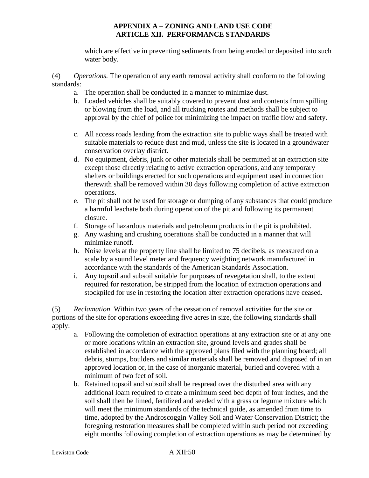which are effective in preventing sediments from being eroded or deposited into such water body.

(4) *Operations.* The operation of any earth removal activity shall conform to the following standards:

- a. The operation shall be conducted in a manner to minimize dust.
- b. Loaded vehicles shall be suitably covered to prevent dust and contents from spilling or blowing from the load, and all trucking routes and methods shall be subject to approval by the chief of police for minimizing the impact on traffic flow and safety.
- c. All access roads leading from the extraction site to public ways shall be treated with suitable materials to reduce dust and mud, unless the site is located in a groundwater conservation overlay district.
- d. No equipment, debris, junk or other materials shall be permitted at an extraction site except those directly relating to active extraction operations, and any temporary shelters or buildings erected for such operations and equipment used in connection therewith shall be removed within 30 days following completion of active extraction operations.
- e. The pit shall not be used for storage or dumping of any substances that could produce a harmful leachate both during operation of the pit and following its permanent closure.
- f. Storage of hazardous materials and petroleum products in the pit is prohibited.
- g. Any washing and crushing operations shall be conducted in a manner that will minimize runoff.
- h. Noise levels at the property line shall be limited to 75 decibels, as measured on a scale by a sound level meter and frequency weighting network manufactured in accordance with the standards of the American Standards Association.
- i. Any topsoil and subsoil suitable for purposes of revegetation shall, to the extent required for restoration, be stripped from the location of extraction operations and stockpiled for use in restoring the location after extraction operations have ceased.

(5) *Reclamation.* Within two years of the cessation of removal activities for the site or portions of the site for operations exceeding five acres in size, the following standards shall apply:

- a. Following the completion of extraction operations at any extraction site or at any one or more locations within an extraction site, ground levels and grades shall be established in accordance with the approved plans filed with the planning board; all debris, stumps, boulders and similar materials shall be removed and disposed of in an approved location or, in the case of inorganic material, buried and covered with a minimum of two feet of soil.
- b. Retained topsoil and subsoil shall be respread over the disturbed area with any additional loam required to create a minimum seed bed depth of four inches, and the soil shall then be limed, fertilized and seeded with a grass or legume mixture which will meet the minimum standards of the technical guide, as amended from time to time, adopted by the Androscoggin Valley Soil and Water Conservation District; the foregoing restoration measures shall be completed within such period not exceeding eight months following completion of extraction operations as may be determined by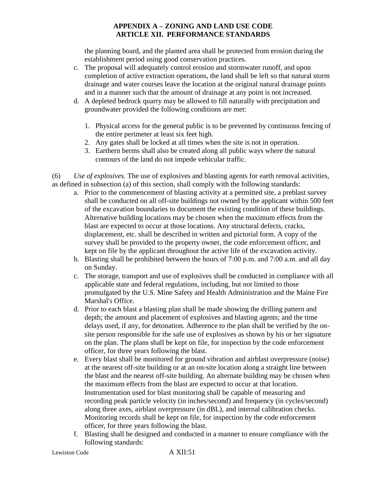the planning board, and the planted area shall be protected from erosion during the establishment period using good conservation practices.

- c. The proposal will adequately control erosion and stormwater runoff, and upon completion of active extraction operations, the land shall be left so that natural storm drainage and water courses leave the location at the original natural drainage points and in a manner such that the amount of drainage at any point is not increased.
- d. A depleted bedrock quarry may be allowed to fill naturally with precipitation and groundwater provided the following conditions are met:
	- 1. Physical access for the general public is to be prevented by continuous fencing of the entire perimeter at least six feet high.
	- 2. Any gates shall be locked at all times when the site is not in operation.
	- 3. Earthern berms shall also be created along all public ways where the natural contours of the land do not impede vehicular traffic.

(6) *Use of explosives.* The use of explosives and blasting agents for earth removal activities, as defined in subsection (a) of this section, shall comply with the following standards:

- a. Prior to the commencement of blasting activity at a permitted site, a preblast survey shall be conducted on all off-site buildings not owned by the applicant within 500 feet of the excavation boundaries to document the existing condition of these buildings. Alternative building locations may be chosen when the maximum effects from the blast are expected to occur at those locations. Any structural defects, cracks, displacement, etc. shall be described in written and pictorial form. A copy of the survey shall be provided to the property owner, the code enforcement officer, and kept on file by the applicant throughout the active life of the excavation activity.
- b. Blasting shall be prohibited between the hours of 7:00 p.m. and 7:00 a.m. and all day on Sunday.
- c. The storage, transport and use of explosives shall be conducted in compliance with all applicable state and federal regulations, including, but not limited to those promulgated by the U.S. Mine Safety and Health Administration and the Maine Fire Marshal's Office.
- d. Prior to each blast a blasting plan shall be made showing the drilling pattern and depth; the amount and placement of explosives and blasting agents; and the time delays used, if any, for detonation. Adherence to the plan shall be verified by the onsite person responsible for the safe use of explosives as shown by his or her signature on the plan. The plans shall be kept on file, for inspection by the code enforcement officer, for three years following the blast.
- e. Every blast shall be monitored for ground vibration and airblast overpressure (noise) at the nearest off-site building or at an on-site location along a straight line between the blast and the nearest off-site building. An alternate building may be chosen when the maximum effects from the blast are expected to occur at that location. Instrumentation used for blast monitoring shall be capable of measuring and recording peak particle velocity (in inches/second) and frequency (in cycles/second) along three axes, airblast overpressure (in dBL), and internal calibration checks. Monitoring records shall be kept on file, for inspection by the code enforcement officer, for three years following the blast.
- f. Blasting shall be designed and conducted in a manner to ensure compliance with the following standards: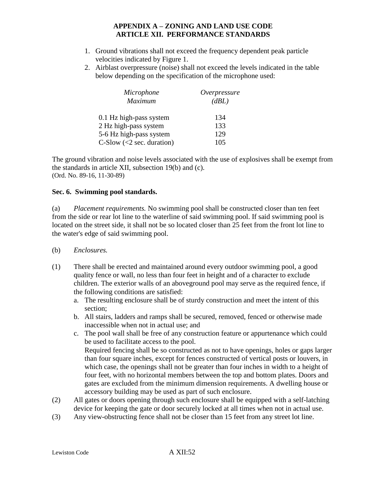- 1. Ground vibrations shall not exceed the frequency dependent peak particle velocities indicated by Figure 1.
- 2. Airblast overpressure (noise) shall not exceed the levels indicated in the table below depending on the specification of the microphone used:

| Microphone                         | Overpressure |
|------------------------------------|--------------|
| Maximum                            | (dBL)        |
| 0.1 Hz high-pass system            | 134          |
| 2 Hz high-pass system              | 133          |
| 5-6 Hz high-pass system            | 129          |
| C-Slow $\left($ < 2 sec. duration) | 105          |

The ground vibration and noise levels associated with the use of explosives shall be exempt from the standards in article XII, subsection 19(b) and (c). (Ord. No. 89-16, 11-30-89)

#### **Sec. 6. Swimming pool standards.**

(a) *Placement requirements.* No swimming pool shall be constructed closer than ten feet from the side or rear lot line to the waterline of said swimming pool. If said swimming pool is located on the street side, it shall not be so located closer than 25 feet from the front lot line to the water's edge of said swimming pool.

- (b) *Enclosures.*
- (1) There shall be erected and maintained around every outdoor swimming pool, a good quality fence or wall, no less than four feet in height and of a character to exclude children. The exterior walls of an aboveground pool may serve as the required fence, if the following conditions are satisfied:
	- a. The resulting enclosure shall be of sturdy construction and meet the intent of this section;
	- b. All stairs, ladders and ramps shall be secured, removed, fenced or otherwise made inaccessible when not in actual use; and
	- c. The pool wall shall be free of any construction feature or appurtenance which could be used to facilitate access to the pool. Required fencing shall be so constructed as not to have openings, holes or gaps larger than four square inches, except for fences constructed of vertical posts or louvers, in which case, the openings shall not be greater than four inches in width to a height of four feet, with no horizontal members between the top and bottom plates. Doors and gates are excluded from the minimum dimension requirements. A dwelling house or accessory building may be used as part of such enclosure.
- (2) All gates or doors opening through such enclosure shall be equipped with a self-latching device for keeping the gate or door securely locked at all times when not in actual use.
- (3) Any view-obstructing fence shall not be closer than 15 feet from any street lot line.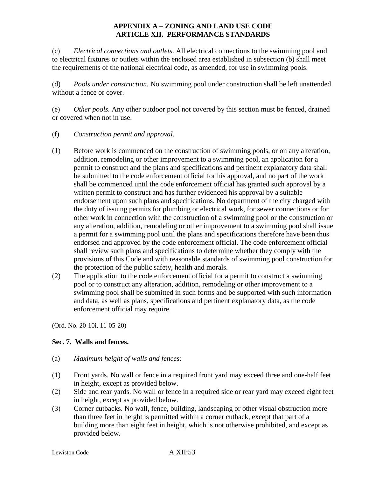(c) *Electrical connections and outlets*. All electrical connections to the swimming pool and to electrical fixtures or outlets within the enclosed area established in subsection (b) shall meet the requirements of the national electrical code, as amended, for use in swimming pools.

(d) *Pools under construction.* No swimming pool under construction shall be left unattended without a fence or cover.

(e) *Other pools.* Any other outdoor pool not covered by this section must be fenced, drained or covered when not in use.

- (f) *Construction permit and approval.*
- (1) Before work is commenced on the construction of swimming pools, or on any alteration, addition, remodeling or other improvement to a swimming pool, an application for a permit to construct and the plans and specifications and pertinent explanatory data shall be submitted to the code enforcement official for his approval, and no part of the work shall be commenced until the code enforcement official has granted such approval by a written permit to construct and has further evidenced his approval by a suitable endorsement upon such plans and specifications. No department of the city charged with the duty of issuing permits for plumbing or electrical work, for sewer connections or for other work in connection with the construction of a swimming pool or the construction or any alteration, addition, remodeling or other improvement to a swimming pool shall issue a permit for a swimming pool until the plans and specifications therefore have been thus endorsed and approved by the code enforcement official. The code enforcement official shall review such plans and specifications to determine whether they comply with the provisions of this Code and with reasonable standards of swimming pool construction for the protection of the public safety, health and morals.
- (2) The application to the code enforcement official for a permit to construct a swimming pool or to construct any alteration, addition, remodeling or other improvement to a swimming pool shall be submitted in such forms and be supported with such information and data, as well as plans, specifications and pertinent explanatory data, as the code enforcement official may require.

(Ord. No. 20-10i, 11-05-20)

## **Sec. 7. Walls and fences.**

- (a) *Maximum height of walls and fences:*
- (1) Front yards. No wall or fence in a required front yard may exceed three and one-half feet in height, except as provided below.
- (2) Side and rear yards. No wall or fence in a required side or rear yard may exceed eight feet in height, except as provided below.
- (3) Corner cutbacks. No wall, fence, building, landscaping or other visual obstruction more than three feet in height is permitted within a corner cutback, except that part of a building more than eight feet in height, which is not otherwise prohibited, and except as provided below.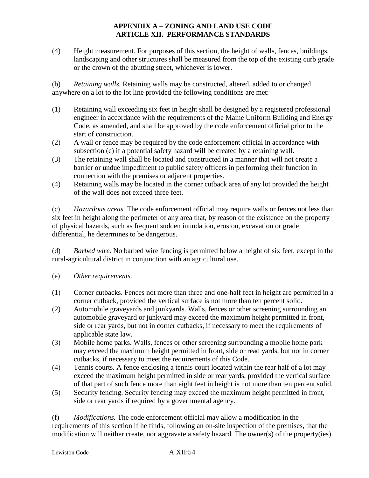(4) Height measurement. For purposes of this section, the height of walls, fences, buildings, landscaping and other structures shall be measured from the top of the existing curb grade or the crown of the abutting street, whichever is lower.

(b) *Retaining walls.* Retaining walls may be constructed, altered, added to or changed anywhere on a lot to the lot line provided the following conditions are met:

- (1) Retaining wall exceeding six feet in height shall be designed by a registered professional engineer in accordance with the requirements of the Maine Uniform Building and Energy Code, as amended, and shall be approved by the code enforcement official prior to the start of construction.
- (2) A wall or fence may be required by the code enforcement official in accordance with subsection (c) if a potential safety hazard will be created by a retaining wall.
- (3) The retaining wall shall be located and constructed in a manner that will not create a barrier or undue impediment to public safety officers in performing their function in connection with the premises or adjacent properties.
- (4) Retaining walls may be located in the corner cutback area of any lot provided the height of the wall does not exceed three feet.

(c) *Hazardous areas.* The code enforcement official may require walls or fences not less than six feet in height along the perimeter of any area that, by reason of the existence on the property of physical hazards, such as frequent sudden inundation, erosion, excavation or grade differential, he determines to be dangerous.

(d) *Barbed wire.* No barbed wire fencing is permitted below a height of six feet, except in the rural-agricultural district in conjunction with an agricultural use.

- (e) *Other requirements.*
- (1) Corner cutbacks. Fences not more than three and one-half feet in height are permitted in a corner cutback, provided the vertical surface is not more than ten percent solid.
- (2) Automobile graveyards and junkyards. Walls, fences or other screening surrounding an automobile graveyard or junkyard may exceed the maximum height permitted in front, side or rear yards, but not in corner cutbacks, if necessary to meet the requirements of applicable state law.
- (3) Mobile home parks. Walls, fences or other screening surrounding a mobile home park may exceed the maximum height permitted in front, side or read yards, but not in corner cutbacks, if necessary to meet the requirements of this Code.
- (4) Tennis courts. A fence enclosing a tennis court located within the rear half of a lot may exceed the maximum height permitted in side or rear yards, provided the vertical surface of that part of such fence more than eight feet in height is not more than ten percent solid.
- (5) Security fencing. Security fencing may exceed the maximum height permitted in front, side or rear yards if required by a governmental agency.

(f) *Modifications.* The code enforcement official may allow a modification in the requirements of this section if he finds, following an on-site inspection of the premises, that the modification will neither create, nor aggravate a safety hazard. The owner(s) of the property(ies)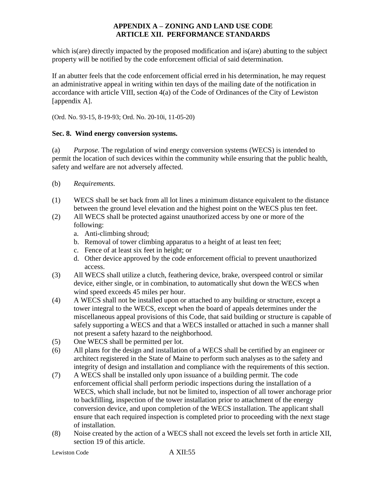which is(are) directly impacted by the proposed modification and is(are) abutting to the subject property will be notified by the code enforcement official of said determination.

If an abutter feels that the code enforcement official erred in his determination, he may request an administrative appeal in writing within ten days of the mailing date of the notification in accordance with article VIII, section 4(a) of the Code of Ordinances of the City of Lewiston [appendix A].

(Ord. No. 93-15, 8-19-93; Ord. No. 20-10i, 11-05-20)

#### **Sec. 8. Wind energy conversion systems.**

(a) *Purpose.* The regulation of wind energy conversion systems (WECS) is intended to permit the location of such devices within the community while ensuring that the public health, safety and welfare are not adversely affected.

- (b) *Requirements.*
- (1) WECS shall be set back from all lot lines a minimum distance equivalent to the distance between the ground level elevation and the highest point on the WECS plus ten feet.
- (2) All WECS shall be protected against unauthorized access by one or more of the following:
	- a. Anti-climbing shroud;
	- b. Removal of tower climbing apparatus to a height of at least ten feet;
	- c. Fence of at least six feet in height; or
	- d. Other device approved by the code enforcement official to prevent unauthorized access.
- (3) All WECS shall utilize a clutch, feathering device, brake, overspeed control or similar device, either single, or in combination, to automatically shut down the WECS when wind speed exceeds 45 miles per hour.
- (4) A WECS shall not be installed upon or attached to any building or structure, except a tower integral to the WECS, except when the board of appeals determines under the miscellaneous appeal provisions of this Code, that said building or structure is capable of safely supporting a WECS and that a WECS installed or attached in such a manner shall not present a safety hazard to the neighborhood.
- (5) One WECS shall be permitted per lot.
- (6) All plans for the design and installation of a WECS shall be certified by an engineer or architect registered in the State of Maine to perform such analyses as to the safety and integrity of design and installation and compliance with the requirements of this section.
- (7) A WECS shall be installed only upon issuance of a building permit. The code enforcement official shall perform periodic inspections during the installation of a WECS, which shall include, but not be limited to, inspection of all tower anchorage prior to backfilling, inspection of the tower installation prior to attachment of the energy conversion device, and upon completion of the WECS installation. The applicant shall ensure that each required inspection is completed prior to proceeding with the next stage of installation.
- (8) Noise created by the action of a WECS shall not exceed the levels set forth in article XII, section 19 of this article.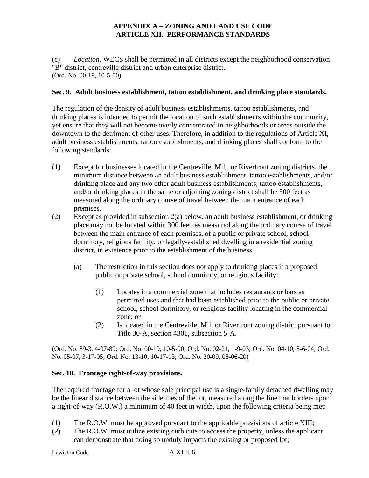(c) *Location.* WECS shall be permitted in all districts except the neighborhood conservation "B" district, centreville district and urban enterprise district. (Ord. No. 00-19, 10-5-00)

### **Sec. 9. Adult business establishment, tattoo establishment, and drinking place standards.**

The regulation of the density of adult business establishments, tattoo establishments, and drinking places is intended to permit the location of such establishments within the community, yet ensure that they will not become overly concentrated in neighborhoods or areas outside the downtown to the detriment of other uses. Therefore, in addition to the regulations of Article XI, adult business establishments, tattoo establishments, and drinking places shall conform to the following standards:

- (1) Except for businesses located in the Centreville, Mill, or Riverfront zoning districts, the minimum distance between an adult business establishment, tattoo establishments, and/or drinking place and any two other adult business establishments, tattoo establishments, and/or drinking places in the same or adjoining zoning district shall be 500 feet as measured along the ordinary course of travel between the main entrance of each premises.
- (2) Except as provided in subsection 2(a) below, an adult business establishment, or drinking place may not be located within 300 feet, as measured along the ordinary course of travel between the main entrance of each premises, of a public or private school, school dormitory, religious facility, or legally-established dwelling in a residential zoning district, in existence prior to the establishment of the business.
	- (a) The restriction in this section does not apply to drinking places if a proposed public or private school, school dormitory, or religious facility:
		- (1) Locates in a commercial zone that includes restaurants or bars as permitted uses and that had been established prior to the public or private school, school dormitory, or religious facility locating in the commercial zone; or
		- (2) Is located in the Centreville, Mill or Riverfront zoning district pursuant to Title 30-A, section 4301, subsection 5-A.

(Ord. No. 89-3, 4-07-89; Ord. No. 00-19, 10-5-00; Ord. No. 02-21, 1-9-03; Ord. No. 04-10, 5-6-04; Ord. No. 05-07, 3-17-05; Ord. No. 13-10, 10-17-13; Ord. No. 20-09, 08-06-20)

#### **Sec. 10. Frontage right-of-way provisions.**

The required frontage for a lot whose sole principal use is a single-family detached dwelling may be the linear distance between the sidelines of the lot, measured along the line that borders upon a right-of-way (R.O.W.) a minimum of 40 feet in width, upon the following criteria being met:

- (1) The R.O.W. must be approved pursuant to the applicable provisions of article XIII;
- (2) The R.O.W. must utilize existing curb cuts to access the property, unless the applicant can demonstrate that doing so unduly impacts the existing or proposed lot;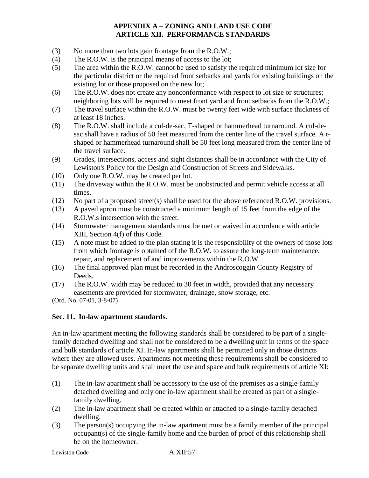- (3) No more than two lots gain frontage from the R.O.W.;
- (4) The R.O.W. is the principal means of access to the lot;
- (5) The area within the R.O.W. cannot be used to satisfy the required minimum lot size for the particular district or the required front setbacks and yards for existing buildings on the existing lot or those proposed on the new lot;
- (6) The R.O.W. does not create any nonconformance with respect to lot size or structures; neighboring lots will be required to meet front yard and front setbacks from the R.O.W.;
- (7) The travel surface within the R.O.W. must be twenty feet wide with surface thickness of at least 18 inches.
- (8) The R.O.W. shall include a cul-de-sac, T-shaped or hammerhead turnaround. A cul-desac shall have a radius of 50 feet measured from the center line of the travel surface. A tshaped or hammerhead turnaround shall be 50 feet long measured from the center line of the travel surface.
- (9) Grades, intersections, access and sight distances shall be in accordance with the City of Lewiston's Policy for the Design and Construction of Streets and Sidewalks.
- (10) Only one R.O.W. may be created per lot.
- (11) The driveway within the R.O.W. must be unobstructed and permit vehicle access at all times.
- (12) No part of a proposed street(s) shall be used for the above referenced R.O.W. provisions.
- (13) A paved apron must be constructed a minimum length of 15 feet from the edge of the R.O.W.s intersection with the street.
- (14) Stormwater management standards must be met or waived in accordance with article XIII, Section 4(f) of this Code.
- (15) A note must be added to the plan stating it is the responsibility of the owners of those lots from which frontage is obtained off the R.O.W. to assure the long-term maintenance, repair, and replacement of and improvements within the R.O.W.
- (16) The final approved plan must be recorded in the Androscoggin County Registry of Deeds.
- (17) The R.O.W. width may be reduced to 30 feet in width, provided that any necessary easements are provided for stormwater, drainage, snow storage, etc.

(Ord. No. 07-01, 3-8-07)

## **Sec. 11. In-law apartment standards.**

An in-law apartment meeting the following standards shall be considered to be part of a singlefamily detached dwelling and shall not be considered to be a dwelling unit in terms of the space and bulk standards of article XI. In-law apartments shall be permitted only in those districts where they are allowed uses. Apartments not meeting these requirements shall be considered to be separate dwelling units and shall meet the use and space and bulk requirements of article XI:

- (1) The in-law apartment shall be accessory to the use of the premises as a single-family detached dwelling and only one in-law apartment shall be created as part of a singlefamily dwelling.
- (2) The in-law apartment shall be created within or attached to a single-family detached dwelling.
- (3) The person(s) occupying the in-law apartment must be a family member of the principal occupant(s) of the single-family home and the burden of proof of this relationship shall be on the homeowner.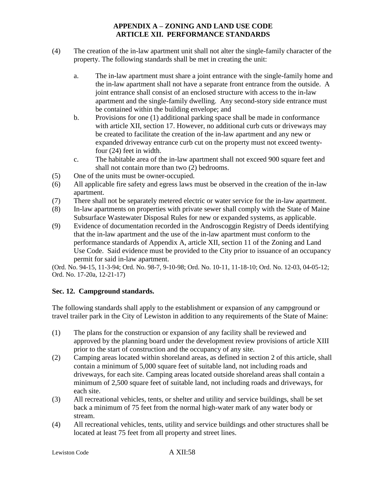- (4) The creation of the in-law apartment unit shall not alter the single-family character of the property. The following standards shall be met in creating the unit:
	- a. The in-law apartment must share a joint entrance with the single-family home and the in-law apartment shall not have a separate front entrance from the outside. A joint entrance shall consist of an enclosed structure with access to the in-law apartment and the single-family dwelling. Any second-story side entrance must be contained within the building envelope; and
	- b. Provisions for one (1) additional parking space shall be made in conformance with article XII, section 17. However, no additional curb cuts or driveways may be created to facilitate the creation of the in-law apartment and any new or expanded driveway entrance curb cut on the property must not exceed twentyfour (24) feet in width.
	- c. The habitable area of the in-law apartment shall not exceed 900 square feet and shall not contain more than two (2) bedrooms.
- (5) One of the units must be owner-occupied.
- (6) All applicable fire safety and egress laws must be observed in the creation of the in-law apartment.
- (7) There shall not be separately metered electric or water service for the in-law apartment.
- (8) In-law apartments on properties with private sewer shall comply with the State of Maine Subsurface Wastewater Disposal Rules for new or expanded systems, as applicable.
- (9) Evidence of documentation recorded in the Androscoggin Registry of Deeds identifying that the in-law apartment and the use of the in-law apartment must conform to the performance standards of Appendix A, article XII, section 11 of the Zoning and Land Use Code. Said evidence must be provided to the City prior to issuance of an occupancy permit for said in-law apartment.

(Ord. No. 94-15, 11-3-94; Ord. No. 98-7, 9-10-98; Ord. No. 10-11, 11-18-10; Ord. No. 12-03, 04-05-12; Ord. No. 17-20a, 12-21-17)

# **Sec. 12. Campground standards.**

The following standards shall apply to the establishment or expansion of any campground or travel trailer park in the City of Lewiston in addition to any requirements of the State of Maine:

- (1) The plans for the construction or expansion of any facility shall be reviewed and approved by the planning board under the development review provisions of article XIII prior to the start of construction and the occupancy of any site.
- (2) Camping areas located within shoreland areas, as defined in section 2 of this article, shall contain a minimum of 5,000 square feet of suitable land, not including roads and driveways, for each site. Camping areas located outside shoreland areas shall contain a minimum of 2,500 square feet of suitable land, not including roads and driveways, for each site.
- (3) All recreational vehicles, tents, or shelter and utility and service buildings, shall be set back a minimum of 75 feet from the normal high-water mark of any water body or stream.
- (4) All recreational vehicles, tents, utility and service buildings and other structures shall be located at least 75 feet from all property and street lines.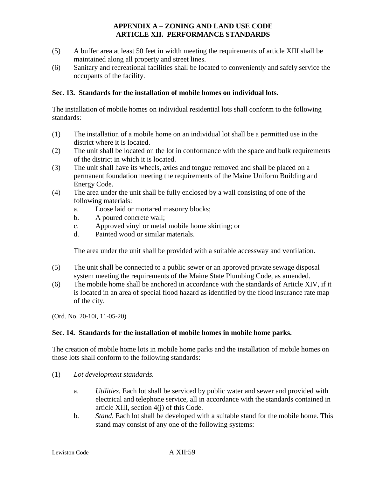- (5) A buffer area at least 50 feet in width meeting the requirements of article XIII shall be maintained along all property and street lines.
- (6) Sanitary and recreational facilities shall be located to conveniently and safely service the occupants of the facility.

### **Sec. 13. Standards for the installation of mobile homes on individual lots.**

The installation of mobile homes on individual residential lots shall conform to the following standards:

- (1) The installation of a mobile home on an individual lot shall be a permitted use in the district where it is located.
- (2) The unit shall be located on the lot in conformance with the space and bulk requirements of the district in which it is located.
- (3) The unit shall have its wheels, axles and tongue removed and shall be placed on a permanent foundation meeting the requirements of the Maine Uniform Building and Energy Code.
- (4) The area under the unit shall be fully enclosed by a wall consisting of one of the following materials:
	- a. Loose laid or mortared masonry blocks;
	- b. A poured concrete wall;
	- c. Approved vinyl or metal mobile home skirting; or
	- d. Painted wood or similar materials.

The area under the unit shall be provided with a suitable accessway and ventilation.

- (5) The unit shall be connected to a public sewer or an approved private sewage disposal system meeting the requirements of the Maine State Plumbing Code, as amended.
- (6) The mobile home shall be anchored in accordance with the standards of Article XIV, if it is located in an area of special flood hazard as identified by the flood insurance rate map of the city.

(Ord. No. 20-10i, 11-05-20)

#### **Sec. 14. Standards for the installation of mobile homes in mobile home parks.**

The creation of mobile home lots in mobile home parks and the installation of mobile homes on those lots shall conform to the following standards:

- (1) *Lot development standards.*
	- a. *Utilities.* Each lot shall be serviced by public water and sewer and provided with electrical and telephone service, all in accordance with the standards contained in article XIII, section 4(j) of this Code.
	- b. *Stand.* Each lot shall be developed with a suitable stand for the mobile home. This stand may consist of any one of the following systems: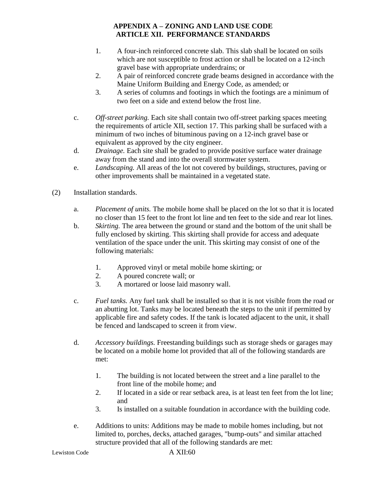- 1. A four-inch reinforced concrete slab. This slab shall be located on soils which are not susceptible to frost action or shall be located on a 12-inch gravel base with appropriate underdrains; or
- 2. A pair of reinforced concrete grade beams designed in accordance with the Maine Uniform Building and Energy Code, as amended; or
- 3. A series of columns and footings in which the footings are a minimum of two feet on a side and extend below the frost line.
- c. *Off-street parking.* Each site shall contain two off-street parking spaces meeting the requirements of article XII, section 17. This parking shall be surfaced with a minimum of two inches of bituminous paving on a 12-inch gravel base or equivalent as approved by the city engineer.
- d. *Drainage.* Each site shall be graded to provide positive surface water drainage away from the stand and into the overall stormwater system.
- e. *Landscaping.* All areas of the lot not covered by buildings, structures, paving or other improvements shall be maintained in a vegetated state.
- (2) Installation standards.
	- a. *Placement of units.* The mobile home shall be placed on the lot so that it is located no closer than 15 feet to the front lot line and ten feet to the side and rear lot lines.
	- b. *Skirting.* The area between the ground or stand and the bottom of the unit shall be fully enclosed by skirting. This skirting shall provide for access and adequate ventilation of the space under the unit. This skirting may consist of one of the following materials:
		- 1. Approved vinyl or metal mobile home skirting; or
		- 2. A poured concrete wall; or
		- 3. A mortared or loose laid masonry wall.
	- c. *Fuel tanks.* Any fuel tank shall be installed so that it is not visible from the road or an abutting lot. Tanks may be located beneath the steps to the unit if permitted by applicable fire and safety codes. If the tank is located adjacent to the unit, it shall be fenced and landscaped to screen it from view.
	- d. *Accessory buildings.* Freestanding buildings such as storage sheds or garages may be located on a mobile home lot provided that all of the following standards are met:
		- 1. The building is not located between the street and a line parallel to the front line of the mobile home; and
		- 2. If located in a side or rear setback area, is at least ten feet from the lot line; and
		- 3. Is installed on a suitable foundation in accordance with the building code.
	- e. Additions to units: Additions may be made to mobile homes including, but not limited to, porches, decks, attached garages, "bump-outs" and similar attached structure provided that all of the following standards are met: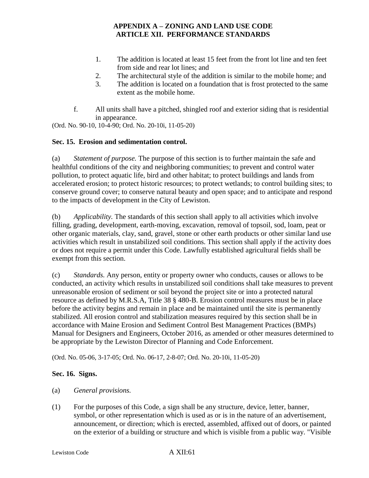- 1. The addition is located at least 15 feet from the front lot line and ten feet from side and rear lot lines; and
- 2. The architectural style of the addition is similar to the mobile home; and
- 3. The addition is located on a foundation that is frost protected to the same extent as the mobile home.
- f. All units shall have a pitched, shingled roof and exterior siding that is residential in appearance.

(Ord. No. 90-10, 10-4-90; Ord. No. 20-10i, 11-05-20)

### **Sec. 15. Erosion and sedimentation control.**

(a) *Statement of purpose.* The purpose of this section is to further maintain the safe and healthful conditions of the city and neighboring communities; to prevent and control water pollution, to protect aquatic life, bird and other habitat; to protect buildings and lands from accelerated erosion; to protect historic resources; to protect wetlands; to control building sites; to conserve ground cover; to conserve natural beauty and open space; and to anticipate and respond to the impacts of development in the City of Lewiston.

(b) *Applicability.* The standards of this section shall apply to all activities which involve filling, grading, development, earth-moving, excavation, removal of topsoil, sod, loam, peat or other organic materials, clay, sand, gravel, stone or other earth products or other similar land use activities which result in unstabilized soil conditions. This section shall apply if the activity does or does not require a permit under this Code. Lawfully established agricultural fields shall be exempt from this section.

(c) *Standards.* Any person, entity or property owner who conducts, causes or allows to be conducted, an activity which results in unstabilized soil conditions shall take measures to prevent unreasonable erosion of sediment or soil beyond the project site or into a protected natural resource as defined by M.R.S.A, Title 38 § 480-B. Erosion control measures must be in place before the activity begins and remain in place and be maintained until the site is permanently stabilized. All erosion control and stabilization measures required by this section shall be in accordance with Maine Erosion and Sediment Control Best Management Practices (BMPs) Manual for Designers and Engineers, October 2016, as amended or other measures determined to be appropriate by the Lewiston Director of Planning and Code Enforcement.

(Ord. No. 05-06, 3-17-05; Ord. No. 06-17, 2-8-07; Ord. No. 20-10i, 11-05-20)

#### **Sec. 16. Signs.**

- (a) *General provisions.*
- (1) For the purposes of this Code, a sign shall be any structure, device, letter, banner, symbol, or other representation which is used as or is in the nature of an advertisement, announcement, or direction; which is erected, assembled, affixed out of doors, or painted on the exterior of a building or structure and which is visible from a public way. "Visible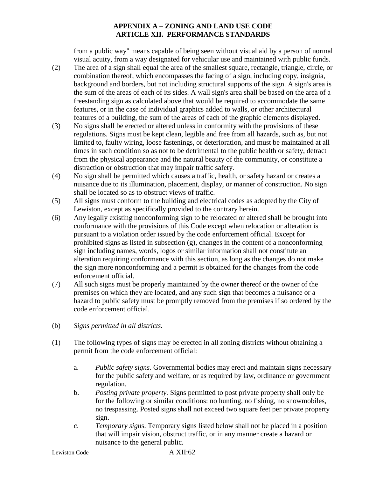from a public way" means capable of being seen without visual aid by a person of normal visual acuity, from a way designated for vehicular use and maintained with public funds.

- (2) The area of a sign shall equal the area of the smallest square, rectangle, triangle, circle, or combination thereof, which encompasses the facing of a sign, including copy, insignia, background and borders, but not including structural supports of the sign. A sign's area is the sum of the areas of each of its sides. A wall sign's area shall be based on the area of a freestanding sign as calculated above that would be required to accommodate the same features, or in the case of individual graphics added to walls, or other architectural features of a building, the sum of the areas of each of the graphic elements displayed.
- (3) No signs shall be erected or altered unless in conformity with the provisions of these regulations. Signs must be kept clean, legible and free from all hazards, such as, but not limited to, faulty wiring, loose fastenings, or deterioration, and must be maintained at all times in such condition so as not to be detrimental to the public health or safety, detract from the physical appearance and the natural beauty of the community, or constitute a distraction or obstruction that may impair traffic safety.
- (4) No sign shall be permitted which causes a traffic, health, or safety hazard or creates a nuisance due to its illumination, placement, display, or manner of construction. No sign shall be located so as to obstruct views of traffic.
- (5) All signs must conform to the building and electrical codes as adopted by the City of Lewiston, except as specifically provided to the contrary herein.
- (6) Any legally existing nonconforming sign to be relocated or altered shall be brought into conformance with the provisions of this Code except when relocation or alteration is pursuant to a violation order issued by the code enforcement official. Except for prohibited signs as listed in subsection (g), changes in the content of a nonconforming sign including names, words, logos or similar information shall not constitute an alteration requiring conformance with this section, as long as the changes do not make the sign more nonconforming and a permit is obtained for the changes from the code enforcement official.
- (7) All such signs must be properly maintained by the owner thereof or the owner of the premises on which they are located, and any such sign that becomes a nuisance or a hazard to public safety must be promptly removed from the premises if so ordered by the code enforcement official.
- (b) *Signs permitted in all districts.*
- (1) The following types of signs may be erected in all zoning districts without obtaining a permit from the code enforcement official:
	- a. *Public safety signs.* Governmental bodies may erect and maintain signs necessary for the public safety and welfare, or as required by law, ordinance or government regulation.
	- b. *Posting private property.* Signs permitted to post private property shall only be for the following or similar conditions: no hunting, no fishing, no snowmobiles, no trespassing. Posted signs shall not exceed two square feet per private property sign.
	- c. *Temporary sign*s. Temporary signs listed below shall not be placed in a position that will impair vision, obstruct traffic, or in any manner create a hazard or nuisance to the general public.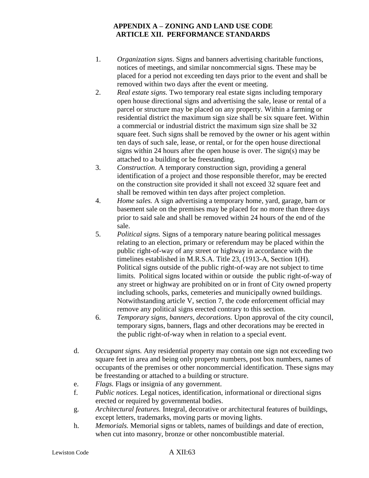- 1. *Organization signs*. Signs and banners advertising charitable functions, notices of meetings, and similar noncommercial signs. These may be placed for a period not exceeding ten days prior to the event and shall be removed within two days after the event or meeting.
- 2. *Real estate signs.* Two temporary real estate signs including temporary open house directional signs and advertising the sale, lease or rental of a parcel or structure may be placed on any property. Within a farming or residential district the maximum sign size shall be six square feet. Within a commercial or industrial district the maximum sign size shall be 32 square feet. Such signs shall be removed by the owner or his agent within ten days of such sale, lease, or rental, or for the open house directional signs within 24 hours after the open house is over. The sign(s) may be attached to a building or be freestanding.
- 3. *Construction.* A temporary construction sign, providing a general identification of a project and those responsible therefor, may be erected on the construction site provided it shall not exceed 32 square feet and shall be removed within ten days after project completion.
- 4. *Home sales.* A sign advertising a temporary home, yard, garage, barn or basement sale on the premises may be placed for no more than three days prior to said sale and shall be removed within 24 hours of the end of the sale.
- 5. *Political signs.* Signs of a temporary nature bearing political messages relating to an election, primary or referendum may be placed within the public right-of-way of any street or highway in accordance with the timelines established in M.R.S.A. Title 23, (1913-A, Section 1(H). Political signs outside of the public right-of-way are not subject to time limits. Political signs located within or outside the public right-of-way of any street or highway are prohibited on or in front of City owned property including schools, parks, cemeteries and municipally owned buildings. Notwithstanding article V, section 7, the code enforcement official may remove any political signs erected contrary to this section.
- 6. *Temporary signs, banners, decorations.* Upon approval of the city council, temporary signs, banners, flags and other decorations may be erected in the public right-of-way when in relation to a special event.
- d. *Occupant signs.* Any residential property may contain one sign not exceeding two square feet in area and being only property numbers, post box numbers, names of occupants of the premises or other noncommercial identification. These signs may be freestanding or attached to a building or structure.
- e. *Flags.* Flags or insignia of any government.
- f. *Public notices.* Legal notices, identification, informational or directional signs erected or required by governmental bodies.
- g. *Architectural features.* Integral, decorative or architectural features of buildings, except letters, trademarks, moving parts or moving lights.
- h. *Memorials.* Memorial signs or tablets, names of buildings and date of erection, when cut into masonry, bronze or other noncombustible material.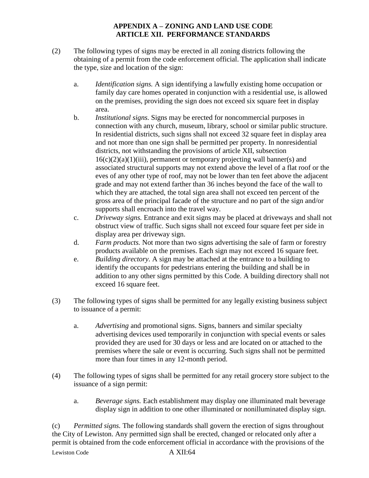- (2) The following types of signs may be erected in all zoning districts following the obtaining of a permit from the code enforcement official. The application shall indicate the type, size and location of the sign:
	- a. *Identification signs.* A sign identifying a lawfully existing home occupation or family day care homes operated in conjunction with a residential use, is allowed on the premises, providing the sign does not exceed six square feet in display area.
	- b. *Institutional signs.* Signs may be erected for noncommercial purposes in connection with any church, museum, library, school or similar public structure. In residential districts, such signs shall not exceed 32 square feet in display area and not more than one sign shall be permitted per property. In nonresidential districts, not withstanding the provisions of article XII, subsection  $16(c)(2)(a)(1)(iii)$ , permanent or temporary projecting wall banner(s) and associated structural supports may not extend above the level of a flat roof or the eves of any other type of roof, may not be lower than ten feet above the adjacent grade and may not extend farther than 36 inches beyond the face of the wall to which they are attached, the total sign area shall not exceed ten percent of the gross area of the principal facade of the structure and no part of the sign and/or supports shall encroach into the travel way.
	- c. *Driveway signs.* Entrance and exit signs may be placed at driveways and shall not obstruct view of traffic. Such signs shall not exceed four square feet per side in display area per driveway sign.
	- d. *Farm products.* Not more than two signs advertising the sale of farm or forestry products available on the premises. Each sign may not exceed 16 square feet.
	- e. *Building directory.* A sign may be attached at the entrance to a building to identify the occupants for pedestrians entering the building and shall be in addition to any other signs permitted by this Code. A building directory shall not exceed 16 square feet.
- (3) The following types of signs shall be permitted for any legally existing business subject to issuance of a permit:
	- a. *Advertising* and promotional signs. Signs, banners and similar specialty advertising devices used temporarily in conjunction with special events or sales provided they are used for 30 days or less and are located on or attached to the premises where the sale or event is occurring. Such signs shall not be permitted more than four times in any 12-month period.
- (4) The following types of signs shall be permitted for any retail grocery store subject to the issuance of a sign permit:
	- a. *Beverage signs.* Each establishment may display one illuminated malt beverage display sign in addition to one other illuminated or nonilluminated display sign.

Lewiston Code A XII:64 (c) *Permitted signs.* The following standards shall govern the erection of signs throughout the City of Lewiston. Any permitted sign shall be erected, changed or relocated only after a permit is obtained from the code enforcement official in accordance with the provisions of the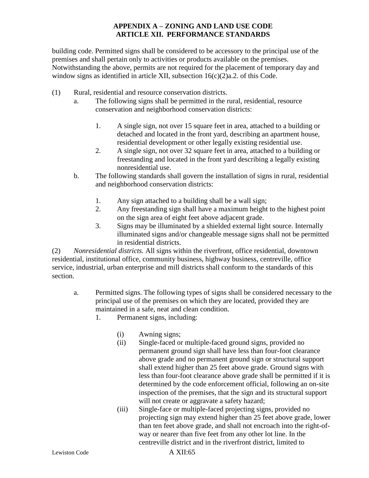building code. Permitted signs shall be considered to be accessory to the principal use of the premises and shall pertain only to activities or products available on the premises. Notwithstanding the above, permits are not required for the placement of temporary day and window signs as identified in article XII, subsection 16(c)(2)a.2. of this Code.

- (1) Rural, residential and resource conservation districts.
	- a. The following signs shall be permitted in the rural, residential, resource conservation and neighborhood conservation districts:
		- 1. A single sign, not over 15 square feet in area, attached to a building or detached and located in the front yard, describing an apartment house, residential development or other legally existing residential use.
		- 2. A single sign, not over 32 square feet in area, attached to a building or freestanding and located in the front yard describing a legally existing nonresidential use.
	- b. The following standards shall govern the installation of signs in rural, residential and neighborhood conservation districts:
		- 1. Any sign attached to a building shall be a wall sign;
		- 2. Any freestanding sign shall have a maximum height to the highest point on the sign area of eight feet above adjacent grade.
		- 3. Signs may be illuminated by a shielded external light source. Internally illuminated signs and/or changeable message signs shall not be permitted in residential districts.

(2) *Nonresidential districts.* All signs within the riverfront, office residential, downtown residential, institutional office, community business, highway business, centreville, office service, industrial, urban enterprise and mill districts shall conform to the standards of this section.

- a. Permitted signs. The following types of signs shall be considered necessary to the principal use of the premises on which they are located, provided they are maintained in a safe, neat and clean condition.
	- 1. Permanent signs, including:
		- (i) Awning signs;
		- (ii) Single-faced or multiple-faced ground signs, provided no permanent ground sign shall have less than four-foot clearance above grade and no permanent ground sign or structural support shall extend higher than 25 feet above grade. Ground signs with less than four-foot clearance above grade shall be permitted if it is determined by the code enforcement official, following an on-site inspection of the premises, that the sign and its structural support will not create or aggravate a safety hazard;
		- (iii) Single-face or multiple-faced projecting signs, provided no projecting sign may extend higher than 25 feet above grade, lower than ten feet above grade, and shall not encroach into the right-ofway or nearer than five feet from any other lot line. In the centreville district and in the riverfront district, limited to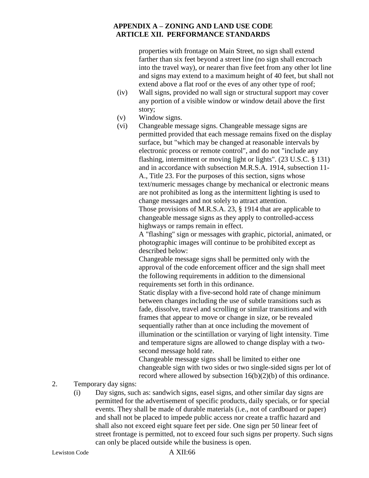properties with frontage on Main Street, no sign shall extend farther than six feet beyond a street line (no sign shall encroach into the travel way), or nearer than five feet from any other lot line and signs may extend to a maximum height of 40 feet, but shall not extend above a flat roof or the eves of any other type of roof;

- (iv) Wall signs, provided no wall sign or structural support may cover any portion of a visible window or window detail above the first story;
- (v) Window signs.
- (vi) Changeable message signs. Changeable message signs are permitted provided that each message remains fixed on the display surface, but "which may be changed at reasonable intervals by electronic process or remote control", and do not "include any flashing, intermittent or moving light or lights". (23 U.S.C. § 131) and in accordance with subsection M.R.S.A. 1914, subsection 11- A., Title 23. For the purposes of this section, signs whose text/numeric messages change by mechanical or electronic means are not prohibited as long as the intermittent lighting is used to change messages and not solely to attract attention. Those provisions of M.R.S.A. 23, § 1914 that are applicable to

changeable message signs as they apply to controlled-access highways or ramps remain in effect.

A "flashing" sign or messages with graphic, pictorial, animated, or photographic images will continue to be prohibited except as described below:

Changeable message signs shall be permitted only with the approval of the code enforcement officer and the sign shall meet the following requirements in addition to the dimensional requirements set forth in this ordinance.

Static display with a five-second hold rate of change minimum between changes including the use of subtle transitions such as fade, dissolve, travel and scrolling or similar transitions and with frames that appear to move or change in size, or be revealed sequentially rather than at once including the movement of illumination or the scintillation or varying of light intensity. Time and temperature signs are allowed to change display with a twosecond message hold rate.

Changeable message signs shall be limited to either one changeable sign with two sides or two single-sided signs per lot of record where allowed by subsection 16(b)(2)(b) of this ordinance.

## 2. Temporary day signs:

(i) Day signs, such as: sandwich signs, easel signs, and other similar day signs are permitted for the advertisement of specific products, daily specials, or for special events. They shall be made of durable materials (i.e., not of cardboard or paper) and shall not be placed to impede public access nor create a traffic hazard and shall also not exceed eight square feet per side. One sign per 50 linear feet of street frontage is permitted, not to exceed four such signs per property. Such signs can only be placed outside while the business is open.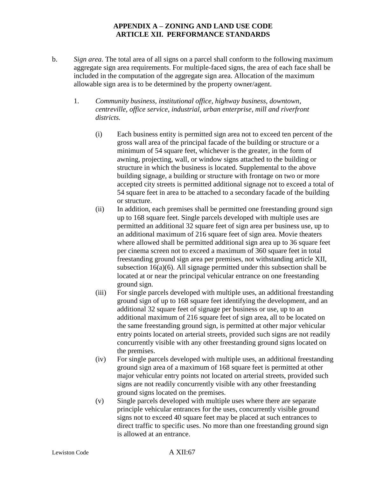- b. *Sign area.* The total area of all signs on a parcel shall conform to the following maximum aggregate sign area requirements. For multiple-faced signs, the area of each face shall be included in the computation of the aggregate sign area. Allocation of the maximum allowable sign area is to be determined by the property owner/agent.
	- 1. *Community business, institutional office, highway business, downtown, centreville, office service, industrial, urban enterprise, mill and riverfront districts.*
		- (i) Each business entity is permitted sign area not to exceed ten percent of the gross wall area of the principal facade of the building or structure or a minimum of 54 square feet, whichever is the greater, in the form of awning, projecting, wall, or window signs attached to the building or structure in which the business is located. Supplemental to the above building signage, a building or structure with frontage on two or more accepted city streets is permitted additional signage not to exceed a total of 54 square feet in area to be attached to a secondary facade of the building or structure.
		- (ii) In addition, each premises shall be permitted one freestanding ground sign up to 168 square feet. Single parcels developed with multiple uses are permitted an additional 32 square feet of sign area per business use, up to an additional maximum of 216 square feet of sign area. Movie theaters where allowed shall be permitted additional sign area up to 36 square feet per cinema screen not to exceed a maximum of 360 square feet in total freestanding ground sign area per premises, not withstanding article XII, subsection 16(a)(6). All signage permitted under this subsection shall be located at or near the principal vehicular entrance on one freestanding ground sign.
		- (iii) For single parcels developed with multiple uses, an additional freestanding ground sign of up to 168 square feet identifying the development, and an additional 32 square feet of signage per business or use, up to an additional maximum of 216 square feet of sign area, all to be located on the same freestanding ground sign, is permitted at other major vehicular entry points located on arterial streets, provided such signs are not readily concurrently visible with any other freestanding ground signs located on the premises.
		- (iv) For single parcels developed with multiple uses, an additional freestanding ground sign area of a maximum of 168 square feet is permitted at other major vehicular entry points not located on arterial streets, provided such signs are not readily concurrently visible with any other freestanding ground signs located on the premises.
		- (v) Single parcels developed with multiple uses where there are separate principle vehicular entrances for the uses, concurrently visible ground signs not to exceed 40 square feet may be placed at such entrances to direct traffic to specific uses. No more than one freestanding ground sign is allowed at an entrance.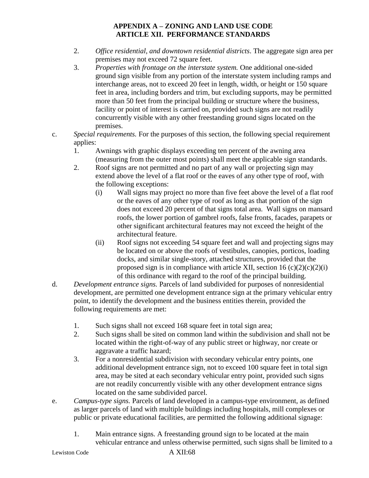- 2. *Office residential, and downtown residential districts*. The aggregate sign area per premises may not exceed 72 square feet.
- 3. *Properties with frontage on the interstate system.* One additional one-sided ground sign visible from any portion of the interstate system including ramps and interchange areas, not to exceed 20 feet in length, width, or height or 150 square feet in area, including borders and trim, but excluding supports, may be permitted more than 50 feet from the principal building or structure where the business, facility or point of interest is carried on, provided such signs are not readily concurrently visible with any other freestanding ground signs located on the premises.
- c. *Special requirements.* For the purposes of this section, the following special requirement applies:
	- 1. Awnings with graphic displays exceeding ten percent of the awning area (measuring from the outer most points) shall meet the applicable sign standards.
	- 2. Roof signs are not permitted and no part of any wall or projecting sign may extend above the level of a flat roof or the eaves of any other type of roof, with the following exceptions:
		- (i) Wall signs may project no more than five feet above the level of a flat roof or the eaves of any other type of roof as long as that portion of the sign does not exceed 20 percent of that signs total area. Wall signs on mansard roofs, the lower portion of gambrel roofs, false fronts, facades, parapets or other significant architectural features may not exceed the height of the architectural feature.
		- (ii) Roof signs not exceeding 54 square feet and wall and projecting signs may be located on or above the roofs of vestibules, canopies, porticos, loading docks, and similar single-story, attached structures, provided that the proposed sign is in compliance with article XII, section  $16 \frac{c}{2}(c)(2)(i)$ of this ordinance with regard to the roof of the principal building.
- d. *Development entrance signs.* Parcels of land subdivided for purposes of nonresidential development, are permitted one development entrance sign at the primary vehicular entry point, to identify the development and the business entities therein, provided the following requirements are met:
	- 1. Such signs shall not exceed 168 square feet in total sign area;
	- 2. Such signs shall be sited on common land within the subdivision and shall not be located within the right-of-way of any public street or highway, nor create or aggravate a traffic hazard;
	- 3. For a nonresidential subdivision with secondary vehicular entry points, one additional development entrance sign, not to exceed 100 square feet in total sign area, may be sited at each secondary vehicular entry point, provided such signs are not readily concurrently visible with any other development entrance signs located on the same subdivided parcel.
- e. *Campus-type signs.* Parcels of land developed in a campus-type environment, as defined as larger parcels of land with multiple buildings including hospitals, mill complexes or public or private educational facilities, are permitted the following additional signage:
	- 1. Main entrance signs. A freestanding ground sign to be located at the main vehicular entrance and unless otherwise permitted, such signs shall be limited to a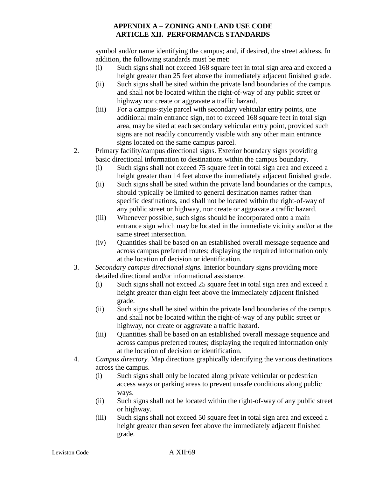symbol and/or name identifying the campus; and, if desired, the street address. In addition, the following standards must be met:

- (i) Such signs shall not exceed 168 square feet in total sign area and exceed a height greater than 25 feet above the immediately adjacent finished grade.
- (ii) Such signs shall be sited within the private land boundaries of the campus and shall not be located within the right-of-way of any public street or highway nor create or aggravate a traffic hazard.
- (iii) For a campus-style parcel with secondary vehicular entry points, one additional main entrance sign, not to exceed 168 square feet in total sign area, may be sited at each secondary vehicular entry point, provided such signs are not readily concurrently visible with any other main entrance signs located on the same campus parcel.
- 2. Primary facility/campus directional signs. Exterior boundary signs providing basic directional information to destinations within the campus boundary.
	- (i) Such signs shall not exceed 75 square feet in total sign area and exceed a height greater than 14 feet above the immediately adjacent finished grade.
	- (ii) Such signs shall be sited within the private land boundaries or the campus, should typically be limited to general destination names rather than specific destinations, and shall not be located within the right-of-way of any public street or highway, nor create or aggravate a traffic hazard.
	- (iii) Whenever possible, such signs should be incorporated onto a main entrance sign which may be located in the immediate vicinity and/or at the same street intersection.
	- (iv) Quantities shall be based on an established overall message sequence and across campus preferred routes; displaying the required information only at the location of decision or identification.
- 3. *Secondary campus directional signs.* Interior boundary signs providing more detailed directional and/or informational assistance.
	- (i) Such signs shall not exceed 25 square feet in total sign area and exceed a height greater than eight feet above the immediately adjacent finished grade.
	- (ii) Such signs shall be sited within the private land boundaries of the campus and shall not be located within the right-of-way of any public street or highway, nor create or aggravate a traffic hazard.
	- (iii) Quantities shall be based on an established overall message sequence and across campus preferred routes; displaying the required information only at the location of decision or identification.
- 4. *Campus directory.* Map directions graphically identifying the various destinations across the campus.
	- (i) Such signs shall only be located along private vehicular or pedestrian access ways or parking areas to prevent unsafe conditions along public ways.
	- (ii) Such signs shall not be located within the right-of-way of any public street or highway.
	- (iii) Such signs shall not exceed 50 square feet in total sign area and exceed a height greater than seven feet above the immediately adjacent finished grade.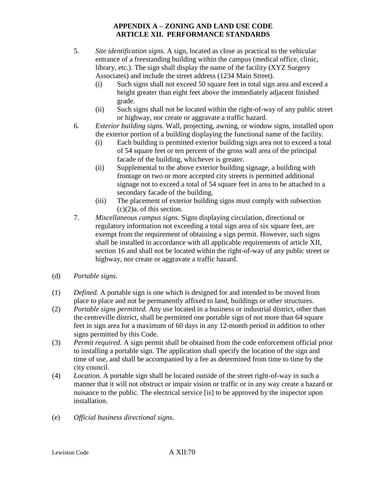- 5. *Site identification signs.* A sign, located as close as practical to the vehicular entrance of a freestanding building within the campus (medical office, clinic, library, etc.). The sign shall display the name of the facility (XYZ Surgery Associates) and include the street address (1234 Main Street).
	- (i) Such signs shall not exceed 50 square feet in total sign area and exceed a height greater than eight feet above the immediately adjacent finished grade.
	- (ii) Such signs shall not be located within the right-of-way of any public street or highway, nor create or aggravate a traffic hazard.
- 6. *Exterior building signs.* Wall, projecting, awning, or window signs, installed upon the exterior portion of a building displaying the functional name of the facility.
	- (i) Each building is permitted exterior building sign area not to exceed a total of 54 square feet or ten percent of the gross wall area of the principal facade of the building, whichever is greater.
	- (ii) Supplemental to the above exterior building signage, a building with frontage on two or more accepted city streets is permitted additional signage not to exceed a total of 54 square feet in area to be attached to a secondary facade of the building.
	- (iii) The placement of exterior building signs must comply with subsection  $(c)(2)a$ . of this section.
- 7. *Miscellaneous campus signs.* Signs displaying circulation, directional or regulatory information not exceeding a total sign area of six square feet, are exempt from the requirement of obtaining a sign permit. However, such signs shall be installed in accordance with all applicable requirements of article XII, section 16 and shall not be located within the right-of-way of any public street or highway, nor create or aggravate a traffic hazard.
- (d) *Portable signs.*
- (1) *Defined.* A portable sign is one which is designed for and intended to be moved from place to place and not be permanently affixed to land, buildings or other structures.
- (2) *Portable signs permitted.* Any use located in a business or industrial district, other than the centreville district, shall be permitted one portable sign of not more than 64 square feet in sign area for a maximum of 60 days in any 12-month period in addition to other signs permitted by this Code.
- (3) *Permit required.* A sign permit shall be obtained from the code enforcement official prior to installing a portable sign. The application shall specify the location of the sign and time of use, and shall be accompanied by a fee as determined from time to time by the city council.
- (4) *Location.* A portable sign shall be located outside of the street right-of-way in such a manner that it will not obstruct or impair vision or traffic or in any way create a hazard or nuisance to the public. The electrical service [is] to be approved by the inspector upon installation.
- (e) *Official business directional signs.*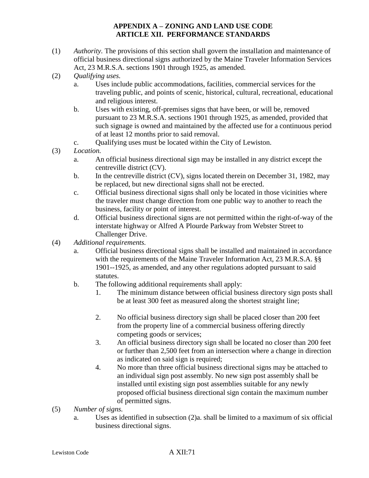- (1) *Authority.* The provisions of this section shall govern the installation and maintenance of official business directional signs authorized by the Maine Traveler Information Services Act, 23 M.R.S.A. sections 1901 through 1925, as amended.
- (2) *Qualifying uses.*
	- a. Uses include public accommodations, facilities, commercial services for the traveling public, and points of scenic, historical, cultural, recreational, educational and religious interest.
	- b. Uses with existing, off-premises signs that have been, or will be, removed pursuant to 23 M.R.S.A. sections 1901 through 1925, as amended, provided that such signage is owned and maintained by the affected use for a continuous period of at least 12 months prior to said removal.
	- c. Qualifying uses must be located within the City of Lewiston.
- (3) *Location.*
	- a. An official business directional sign may be installed in any district except the centreville district (CV).
	- b. In the centreville district (CV), signs located therein on December 31, 1982, may be replaced, but new directional signs shall not be erected.
	- c. Official business directional signs shall only be located in those vicinities where the traveler must change direction from one public way to another to reach the business, facility or point of interest.
	- d. Official business directional signs are not permitted within the right-of-way of the interstate highway or Alfred A Plourde Parkway from Webster Street to Challenger Drive.
- (4) *Additional requirements.*
	- a. Official business directional signs shall be installed and maintained in accordance with the requirements of the Maine Traveler Information Act, 23 M.R.S.A. §§ 1901--1925, as amended, and any other regulations adopted pursuant to said statutes.
	- b. The following additional requirements shall apply:
		- 1. The minimum distance between official business directory sign posts shall be at least 300 feet as measured along the shortest straight line;
		- 2. No official business directory sign shall be placed closer than 200 feet from the property line of a commercial business offering directly competing goods or services;
		- 3. An official business directory sign shall be located no closer than 200 feet or further than 2,500 feet from an intersection where a change in direction as indicated on said sign is required;
		- 4. No more than three official business directional signs may be attached to an individual sign post assembly. No new sign post assembly shall be installed until existing sign post assemblies suitable for any newly proposed official business directional sign contain the maximum number of permitted signs.
- (5) *Number of signs.*
	- a. Uses as identified in subsection (2)a. shall be limited to a maximum of six official business directional signs.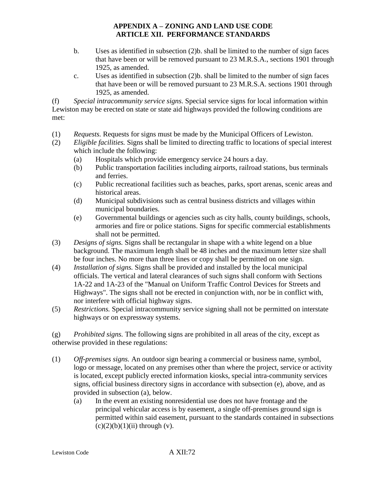- b. Uses as identified in subsection (2)b. shall be limited to the number of sign faces that have been or will be removed pursuant to 23 M.R.S.A., sections 1901 through 1925, as amended.
- c. Uses as identified in subsection (2)b. shall be limited to the number of sign faces that have been or will be removed pursuant to 23 M.R.S.A. sections 1901 through 1925, as amended.

(f) *Special intracommunity service signs.* Special service signs for local information within Lewiston may be erected on state or state aid highways provided the following conditions are met:

- (1) *Requests.* Requests for signs must be made by the Municipal Officers of Lewiston.
- (2) *Eligible facilities.* Signs shall be limited to directing traffic to locations of special interest which include the following:
	- (a) Hospitals which provide emergency service 24 hours a day.
	- (b) Public transportation facilities including airports, railroad stations, bus terminals and ferries.
	- (c) Public recreational facilities such as beaches, parks, sport arenas, scenic areas and historical areas.
	- (d) Municipal subdivisions such as central business districts and villages within municipal boundaries.
	- (e) Governmental buildings or agencies such as city halls, county buildings, schools, armories and fire or police stations. Signs for specific commercial establishments shall not be permitted.
- (3) *Designs of signs.* Signs shall be rectangular in shape with a white legend on a blue background. The maximum length shall be 48 inches and the maximum letter size shall be four inches. No more than three lines or copy shall be permitted on one sign.
- (4) *Installation of signs.* Signs shall be provided and installed by the local municipal officials. The vertical and lateral clearances of such signs shall conform with Sections 1A-22 and 1A-23 of the "Manual on Uniform Traffic Control Devices for Streets and Highways". The signs shall not be erected in conjunction with, nor be in conflict with, nor interfere with official highway signs.
- (5) *Restrictions.* Special intracommunity service signing shall not be permitted on interstate highways or on expressway systems.

(g) *Prohibited signs.* The following signs are prohibited in all areas of the city, except as otherwise provided in these regulations:

- (1) *Off-premises signs.* An outdoor sign bearing a commercial or business name, symbol, logo or message, located on any premises other than where the project, service or activity is located, except publicly erected information kiosks, special intra-community services signs, official business directory signs in accordance with subsection (e), above, and as provided in subsection (a), below.
	- (a) In the event an existing nonresidential use does not have frontage and the principal vehicular access is by easement, a single off-premises ground sign is permitted within said easement, pursuant to the standards contained in subsections  $(c)(2)(b)(1)(ii)$  through  $(v)$ .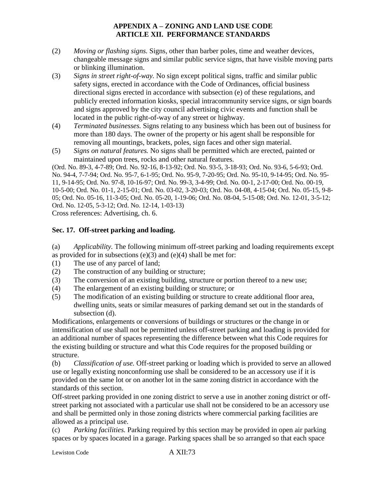- (2) *Moving or flashing signs.* Signs, other than barber poles, time and weather devices, changeable message signs and similar public service signs, that have visible moving parts or blinking illumination.
- (3) *Signs in street right-of-way.* No sign except political signs, traffic and similar public safety signs, erected in accordance with the Code of Ordinances, official business directional signs erected in accordance with subsection (e) of these regulations, and publicly erected information kiosks, special intracommunity service signs, or sign boards and signs approved by the city council advertising civic events and function shall be located in the public right-of-way of any street or highway.
- (4) *Terminated businesses.* Signs relating to any business which has been out of business for more than 180 days. The owner of the property or his agent shall be responsible for removing all mountings, brackets, poles, sign faces and other sign material.
- (5) *Signs on natural features.* No signs shall be permitted which are erected, painted or maintained upon trees, rocks and other natural features.

(Ord. No. 89-3, 4-7-89; Ord. No. 92-16, 8-13-92; Ord. No. 93-5, 3-18-93; Ord. No. 93-6, 5-6-93; Ord. No. 94-4, 7-7-94; Ord. No. 95-7, 6-1-95; Ord. No. 95-9, 7-20-95; Ord. No. 95-10, 9-14-95; Ord. No. 95- 11, 9-14-95; Ord. No. 97-8, 10-16-97; Ord. No. 99-3, 3-4-99; Ord. No. 00-1, 2-17-00; Ord. No. 00-19, 10-5-00; Ord. No. 01-1, 2-15-01; Ord. No. 03-02, 3-20-03; Ord. No. 04-08, 4-15-04; Ord. No. 05-15, 9-8- 05; Ord. No. 05-16, 11-3-05; Ord. No. 05-20, 1-19-06; Ord. No. 08-04, 5-15-08; Ord. No. 12-01, 3-5-12; Ord. No. 12-05, 5-3-12; Ord. No. 12-14, 1-03-13)

Cross references: Advertising, ch. 6.

# **Sec. 17. Off-street parking and loading.**

(a) *Applicability.* The following minimum off-street parking and loading requirements except as provided for in subsections (e)(3) and (e)(4) shall be met for:

- (1) The use of any parcel of land;
- (2) The construction of any building or structure;
- (3) The conversion of an existing building, structure or portion thereof to a new use;
- (4) The enlargement of an existing building or structure; or
- (5) The modification of an existing building or structure to create additional floor area, dwelling units, seats or similar measures of parking demand set out in the standards of subsection (d).

Modifications, enlargements or conversions of buildings or structures or the change in or intensification of use shall not be permitted unless off-street parking and loading is provided for an additional number of spaces representing the difference between what this Code requires for the existing building or structure and what this Code requires for the proposed building or structure.

(b) *Classification of use.* Off-street parking or loading which is provided to serve an allowed use or legally existing nonconforming use shall be considered to be an accessory use if it is provided on the same lot or on another lot in the same zoning district in accordance with the standards of this section.

Off-street parking provided in one zoning district to serve a use in another zoning district or offstreet parking not associated with a particular use shall not be considered to be an accessory use and shall be permitted only in those zoning districts where commercial parking facilities are allowed as a principal use.

(c) *Parking facilities.* Parking required by this section may be provided in open air parking spaces or by spaces located in a garage. Parking spaces shall be so arranged so that each space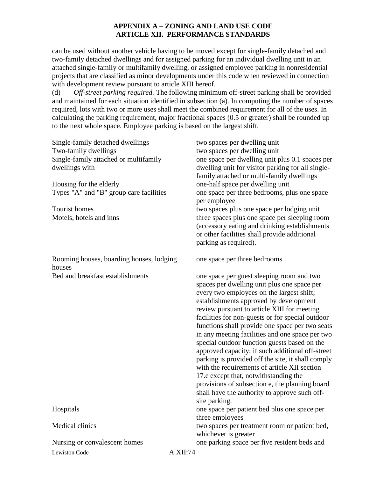can be used without another vehicle having to be moved except for single-family detached and two-family detached dwellings and for assigned parking for an individual dwelling unit in an attached single-family or multifamily dwelling, or assigned employee parking in nonresidential projects that are classified as minor developments under this code when reviewed in connection with development review pursuant to article XIII hereof.

(d) *Off-street parking required.* The following minimum off-street parking shall be provided and maintained for each situation identified in subsection (a). In computing the number of spaces required, lots with two or more uses shall meet the combined requirement for all of the uses. In calculating the parking requirement, major fractional spaces (0.5 or greater) shall be rounded up to the next whole space. Employee parking is based on the largest shift.

| Single-family detached dwellings<br>Two-family dwellings<br>Single-family attached or multifamily<br>dwellings with<br>Housing for the elderly<br>Types "A" and "B" group care facilities<br>Tourist homes<br>Motels, hotels and inns | two spaces per dwelling unit<br>two spaces per dwelling unit<br>one space per dwelling unit plus 0.1 spaces per<br>dwelling unit for visitor parking for all single-<br>family attached or multi-family dwellings<br>one-half space per dwelling unit<br>one space per three bedrooms, plus one space<br>per employee<br>two spaces plus one space per lodging unit<br>three spaces plus one space per sleeping room<br>(accessory eating and drinking establishments<br>or other facilities shall provide additional<br>parking as required).                                                                                                                                                                                                                 |
|---------------------------------------------------------------------------------------------------------------------------------------------------------------------------------------------------------------------------------------|----------------------------------------------------------------------------------------------------------------------------------------------------------------------------------------------------------------------------------------------------------------------------------------------------------------------------------------------------------------------------------------------------------------------------------------------------------------------------------------------------------------------------------------------------------------------------------------------------------------------------------------------------------------------------------------------------------------------------------------------------------------|
| Rooming houses, boarding houses, lodging<br>houses                                                                                                                                                                                    | one space per three bedrooms                                                                                                                                                                                                                                                                                                                                                                                                                                                                                                                                                                                                                                                                                                                                   |
| Bed and breakfast establishments                                                                                                                                                                                                      | one space per guest sleeping room and two<br>spaces per dwelling unit plus one space per<br>every two employees on the largest shift;<br>establishments approved by development<br>review pursuant to article XIII for meeting<br>facilities for non-guests or for special outdoor<br>functions shall provide one space per two seats<br>in any meeting facilities and one space per two<br>special outdoor function guests based on the<br>approved capacity; if such additional off-street<br>parking is provided off the site, it shall comply<br>with the requirements of article XII section<br>17.e except that, notwithstanding the<br>provisions of subsection e, the planning board<br>shall have the authority to approve such off-<br>site parking. |
| Hospitals                                                                                                                                                                                                                             | one space per patient bed plus one space per<br>three employees                                                                                                                                                                                                                                                                                                                                                                                                                                                                                                                                                                                                                                                                                                |
| Medical clinics                                                                                                                                                                                                                       | two spaces per treatment room or patient bed,<br>whichever is greater                                                                                                                                                                                                                                                                                                                                                                                                                                                                                                                                                                                                                                                                                          |
| Nursing or convalescent homes                                                                                                                                                                                                         | one parking space per five resident beds and                                                                                                                                                                                                                                                                                                                                                                                                                                                                                                                                                                                                                                                                                                                   |
| Lewiston Code                                                                                                                                                                                                                         | A XII:74                                                                                                                                                                                                                                                                                                                                                                                                                                                                                                                                                                                                                                                                                                                                                       |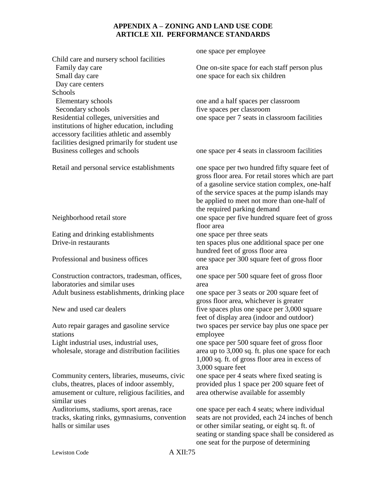Child care and nursery school facilities Family day care Small day care Day care centers **Schools**  Elementary schools one and a half spaces per classroom Secondary schools five spaces per classroom Residential colleges, universities and institutions of higher education, including accessory facilities athletic and assembly facilities designed primarily for student use Business colleges and schools one space per 4 seats in classroom facilities Retail and personal service establishments Neighborhood retail store floor area Eating and drinking establishments one space per three seats Drive-in restaurants ten spaces plus one additional space per one Professional and business offices one space per 300 square feet of gross floor area Construction contractors, tradesman, offices, laboratories and similar uses area Adult business establishments, drinking place one space per 3 seats or 200 square feet of New and used car dealers five spaces plus one space per 3,000 square Auto repair garages and gasoline service stations employee Light industrial uses, industrial uses, wholesale, storage and distribution facilities 3,000 square feet Community centers, libraries, museums, civic clubs, theatres, places of indoor assembly, amusement or culture, religious facilities, and similar uses area otherwise available for assembly Auditoriums, stadiums, sport arenas, race tracks, skating rinks, gymnasiums, convention halls or similar uses

one space per employee

One on-site space for each staff person plus one space for each six children

one space per 7 seats in classroom facilities

one space per two hundred fifty square feet of gross floor area. For retail stores which are part of a gasoline service station complex, one-half of the service spaces at the pump islands may be applied to meet not more than one-half of the required parking demand one space per five hundred square feet of gross hundred feet of gross floor area one space per 500 square feet of gross floor gross floor area, whichever is greater feet of display area (indoor and outdoor) two spaces per service bay plus one space per one space per 500 square feet of gross floor area up to 3,000 sq. ft. plus one space for each 1,000 sq. ft. of gross floor area in excess of one space per 4 seats where fixed seating is provided plus 1 space per 200 square feet of

one space per each 4 seats; where individual seats are not provided, each 24 inches of bench or other similar seating, or eight sq. ft. of seating or standing space shall be considered as one seat for the purpose of determining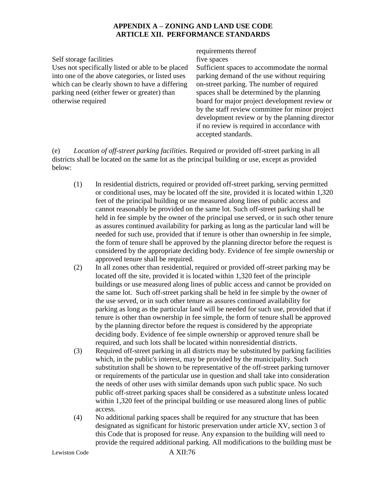Self storage facilities five spaces Uses not specifically listed or able to be placed into one of the above categories, or listed uses which can be clearly shown to have a differing parking need (either fewer or greater) than otherwise required

# requirements thereof

Sufficient spaces to accommodate the normal parking demand of the use without requiring on-street parking. The number of required spaces shall be determined by the planning board for major project development review or by the staff review committee for minor project development review or by the planning director if no review is required in accordance with accepted standards.

(e) *Location of off-street parking facilities.* Required or provided off-street parking in all districts shall be located on the same lot as the principal building or use, except as provided below:

- (1) In residential districts, required or provided off-street parking, serving permitted or conditional uses, may be located off the site, provided it is located within 1,320 feet of the principal building or use measured along lines of public access and cannot reasonably be provided on the same lot. Such off-street parking shall be held in fee simple by the owner of the principal use served, or in such other tenure as assures continued availability for parking as long as the particular land will be needed for such use, provided that if tenure is other than ownership in fee simple, the form of tenure shall be approved by the planning director before the request is considered by the appropriate deciding body. Evidence of fee simple ownership or approved tenure shall be required.
- (2) In all zones other than residential, required or provided off-street parking may be located off the site, provided it is located within 1,320 feet of the principle buildings or use measured along lines of public access and cannot be provided on the same lot. Such off-street parking shall be held in fee simple by the owner of the use served, or in such other tenure as assures continued availability for parking as long as the particular land will be needed for such use, provided that if tenure is other than ownership in fee simple, the form of tenure shall be approved by the planning director before the request is considered by the appropriate deciding body. Evidence of fee simple ownership or approved tenure shall be required, and such lots shall be located within nonresidential districts.
- (3) Required off-street parking in all districts may be substituted by parking facilities which, in the public's interest, may be provided by the municipality. Such substitution shall be shown to be representative of the off-street parking turnover or requirements of the particular use in question and shall take into consideration the needs of other uses with similar demands upon such public space. No such public off-street parking spaces shall be considered as a substitute unless located within 1,320 feet of the principal building or use measured along lines of public access.
- (4) No additional parking spaces shall be required for any structure that has been designated as significant for historic preservation under article XV, section 3 of this Code that is proposed for reuse. Any expansion to the building will need to provide the required additional parking. All modifications to the building must be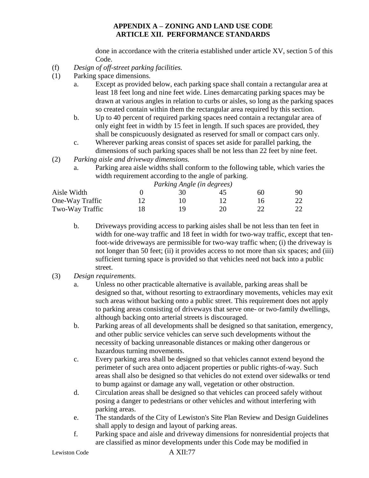done in accordance with the criteria established under article XV, section 5 of this Code.

- (f) *Design of off-street parking facilities.*
- (1) Parking space dimensions.
	- a. Except as provided below, each parking space shall contain a rectangular area at least 18 feet long and nine feet wide. Lines demarcating parking spaces may be drawn at various angles in relation to curbs or aisles, so long as the parking spaces so created contain within them the rectangular area required by this section.
	- b. Up to 40 percent of required parking spaces need contain a rectangular area of only eight feet in width by 15 feet in length. If such spaces are provided, they shall be conspicuously designated as reserved for small or compact cars only.
	- c. Wherever parking areas consist of spaces set aside for parallel parking, the dimensions of such parking spaces shall be not less than 22 feet by nine feet.
- (2) *Parking aisle and driveway dimensions.*
	- a. Parking area aisle widths shall conform to the following table, which varies the width requirement according to the angle of parking.

*Parking Angle (in degrees)*

| Aisle Width     |  | 60 | 90 |
|-----------------|--|----|----|
| One-Way Traffic |  |    | 22 |
| Two-Way Traffic |  |    | 22 |

- b. Driveways providing access to parking aisles shall be not less than ten feet in width for one-way traffic and 18 feet in width for two-way traffic, except that tenfoot-wide driveways are permissible for two-way traffic when; (i) the driveway is not longer than 50 feet; (ii) it provides access to not more than six spaces; and (iii) sufficient turning space is provided so that vehicles need not back into a public street.
- (3) *Design requirements.*
	- a. Unless no other practicable alternative is available, parking areas shall be designed so that, without resorting to extraordinary movements, vehicles may exit such areas without backing onto a public street. This requirement does not apply to parking areas consisting of driveways that serve one- or two-family dwellings, although backing onto arterial streets is discouraged.
	- b. Parking areas of all developments shall be designed so that sanitation, emergency, and other public service vehicles can serve such developments without the necessity of backing unreasonable distances or making other dangerous or hazardous turning movements.
	- c. Every parking area shall be designed so that vehicles cannot extend beyond the perimeter of such area onto adjacent properties or public rights-of-way. Such areas shall also be designed so that vehicles do not extend over sidewalks or tend to bump against or damage any wall, vegetation or other obstruction.
	- d. Circulation areas shall be designed so that vehicles can proceed safely without posing a danger to pedestrians or other vehicles and without interfering with parking areas.
	- e. The standards of the City of Lewiston's Site Plan Review and Design Guidelines shall apply to design and layout of parking areas.
	- f. Parking space and aisle and driveway dimensions for nonresidential projects that are classified as minor developments under this Code may be modified in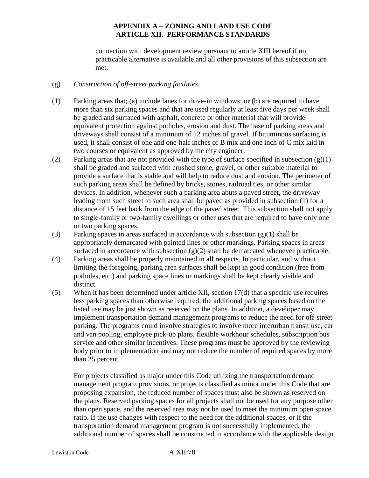connection with development review pursuant to article XIII hereof if no practicable alternative is available and all other provisions of this subsection are met.

#### (g) *Construction of off-street parking facilities.*

- (1) Parking areas that; (a) include lanes for drive-in windows; or (b) are required to have more than six parking spaces and that are used regularly at least five days per week shall be graded and surfaced with asphalt, concrete or other material that will provide equivalent protection against potholes, erosion and dust. The base of parking areas and driveways shall consist of a minimum of 12 inches of gravel. If bituminous surfacing is used, it shall consist of one and one-half inches of B mix and one inch of C mix laid in two courses or equivalent as approved by the city engineer.
- (2) Parking areas that are not provided with the type of surface specified in subsection  $(g)(1)$ shall be graded and surfaced with crushed stone, gravel, or other suitable material to provide a surface that is stable and will help to reduce dust and erosion. The perimeter of such parking areas shall be defined by bricks, stones, railroad ties, or other similar devices. In addition, whenever such a parking area abuts a paved street, the driveway leading from such street to such area shall be paved as provided in subsection (1) for a distance of 15 feet back from the edge of the paved street. This subsection shall not apply to single-family or two-family dwellings or other uses that are required to have only one or two parking spaces.
- (3) Parking spaces in areas surfaced in accordance with subsection (g)(1) shall be appropriately demarcated with painted lines or other markings. Parking spaces in areas surfaced in accordance with subsection  $(g)(2)$  shall be demarcated whenever practicable.
- (4) Parking areas shall be properly maintained in all respects. In particular, and without limiting the foregoing, parking area surfaces shall be kept in good condition (free from potholes, etc.) and parking space lines or markings shall be kept clearly visible and distinct.
- (5) When it has been determined under article XII, section 17(d) that a specific use requires less parking spaces than otherwise required, the additional parking spaces based on the listed use may be just shown as reserved on the plans. In addition, a developer may implement transportation demand management programs to reduce the need for off-street parking. The programs could involve strategies to involve more interurban transit use, car and van pooling, employee pick-up plans, flexible workhour schedules, subscription bus service and other similar incentives. These programs must be approved by the reviewing body prior to implementation and may not reduce the number of required spaces by more than 25 percent.

For projects classified as major under this Code utilizing the transportation demand management program provisions, or projects classified as minor under this Code that are proposing expansion, the reduced number of spaces must also be shown as reserved on the plans. Reserved parking spaces for all projects shall not be used for any purpose other than open space, and the reserved area may not be used to meet the minimum open space ratio. If the use changes with respect to the need for the additional spaces, or if the transportation demand management program is not successfully implemented, the additional number of spaces shall be constructed in accordance with the applicable design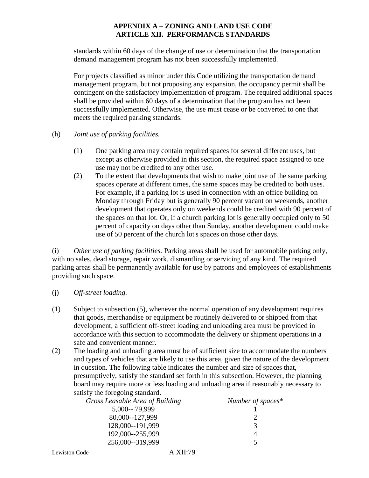standards within 60 days of the change of use or determination that the transportation demand management program has not been successfully implemented.

For projects classified as minor under this Code utilizing the transportation demand management program, but not proposing any expansion, the occupancy permit shall be contingent on the satisfactory implementation of program. The required additional spaces shall be provided within 60 days of a determination that the program has not been successfully implemented. Otherwise, the use must cease or be converted to one that meets the required parking standards.

- (h) *Joint use of parking facilities.*
	- (1) One parking area may contain required spaces for several different uses, but except as otherwise provided in this section, the required space assigned to one use may not be credited to any other use.
	- (2) To the extent that developments that wish to make joint use of the same parking spaces operate at different times, the same spaces may be credited to both uses. For example, if a parking lot is used in connection with an office building on Monday through Friday but is generally 90 percent vacant on weekends, another development that operates only on weekends could be credited with 90 percent of the spaces on that lot. Or, if a church parking lot is generally occupied only to 50 percent of capacity on days other than Sunday, another development could make use of 50 percent of the church lot's spaces on those other days.

(i) *Other use of parking facilities.* Parking areas shall be used for automobile parking only, with no sales, dead storage, repair work, dismantling or servicing of any kind. The required parking areas shall be permanently available for use by patrons and employees of establishments providing such space.

- (j) *Off-street loading.*
- (1) Subject to subsection (5), whenever the normal operation of any development requires that goods, merchandise or equipment be routinely delivered to or shipped from that development, a sufficient off-street loading and unloading area must be provided in accordance with this section to accommodate the delivery or shipment operations in a safe and convenient manner.
- (2) The loading and unloading area must be of sufficient size to accommodate the numbers and types of vehicles that are likely to use this area, given the nature of the development in question. The following table indicates the number and size of spaces that, presumptively, satisfy the standard set forth in this subsection. However, the planning board may require more or less loading and unloading area if reasonably necessary to satisfy the foregoing standard.

| Gross Leasable Area of Building | Number of spaces* |
|---------------------------------|-------------------|
| 5,000--79,999                   |                   |
| 80,000--127,999                 |                   |
| 128,000--191,999                | 3                 |
| 192,000--255,999                |                   |
| 256,000--319,999                |                   |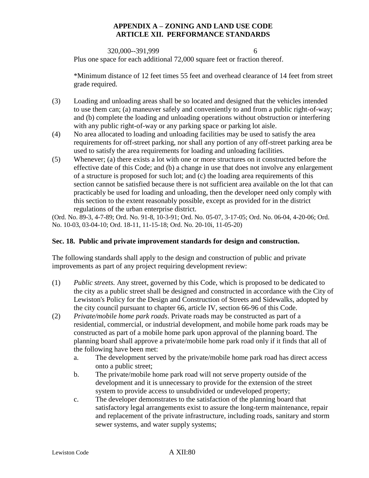320,000--391,999 6

Plus one space for each additional 72,000 square feet or fraction thereof.

\*Minimum distance of 12 feet times 55 feet and overhead clearance of 14 feet from street grade required.

- (3) Loading and unloading areas shall be so located and designed that the vehicles intended to use them can; (a) maneuver safely and conveniently to and from a public right-of-way; and (b) complete the loading and unloading operations without obstruction or interfering with any public right-of-way or any parking space or parking lot aisle.
- (4) No area allocated to loading and unloading facilities may be used to satisfy the area requirements for off-street parking, nor shall any portion of any off-street parking area be used to satisfy the area requirements for loading and unloading facilities.
- (5) Whenever; (a) there exists a lot with one or more structures on it constructed before the effective date of this Code; and (b) a change in use that does not involve any enlargement of a structure is proposed for such lot; and (c) the loading area requirements of this section cannot be satisfied because there is not sufficient area available on the lot that can practicably be used for loading and unloading, then the developer need only comply with this section to the extent reasonably possible, except as provided for in the district regulations of the urban enterprise district.

(Ord. No. 89-3, 4-7-89; Ord. No. 91-8, 10-3-91; Ord. No. 05-07, 3-17-05; Ord. No. 06-04, 4-20-06; Ord. No. 10-03, 03-04-10; Ord. 18-11, 11-15-18; Ord. No. 20-10i, 11-05-20)

# **Sec. 18. Public and private improvement standards for design and construction.**

The following standards shall apply to the design and construction of public and private improvements as part of any project requiring development review:

- (1) *Public streets.* Any street, governed by this Code, which is proposed to be dedicated to the city as a public street shall be designed and constructed in accordance with the City of Lewiston's Policy for the Design and Construction of Streets and Sidewalks, adopted by the city council pursuant to chapter 66, article IV, section 66-96 of this Code.
- (2) *Private/mobile home park roads*. Private roads may be constructed as part of a residential, commercial, or industrial development, and mobile home park roads may be constructed as part of a mobile home park upon approval of the planning board. The planning board shall approve a private/mobile home park road only if it finds that all of the following have been met:
	- a. The development served by the private/mobile home park road has direct access onto a public street;
	- b. The private/mobile home park road will not serve property outside of the development and it is unnecessary to provide for the extension of the street system to provide access to unsubdivided or undeveloped property;
	- c. The developer demonstrates to the satisfaction of the planning board that satisfactory legal arrangements exist to assure the long-term maintenance, repair and replacement of the private infrastructure, including roads, sanitary and storm sewer systems, and water supply systems;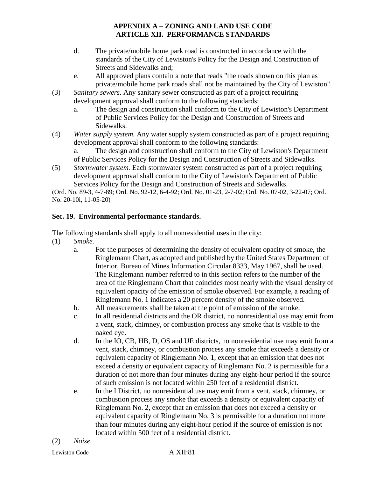- d. The private/mobile home park road is constructed in accordance with the standards of the City of Lewiston's Policy for the Design and Construction of Streets and Sidewalks and;
- e. All approved plans contain a note that reads "the roads shown on this plan as private/mobile home park roads shall not be maintained by the City of Lewiston".
- (3) *Sanitary sewers*. Any sanitary sewer constructed as part of a project requiring development approval shall conform to the following standards:
	- a. The design and construction shall conform to the City of Lewiston's Department of Public Services Policy for the Design and Construction of Streets and Sidewalks.
- (4) *Water supply system.* Any water supply system constructed as part of a project requiring development approval shall conform to the following standards:

a. The design and construction shall conform to the City of Lewiston's Department of Public Services Policy for the Design and Construction of Streets and Sidewalks.

(5) *Stormwater system.* Each stormwater system constructed as part of a project requiring development approval shall conform to the City of Lewiston's Department of Public Services Policy for the Design and Construction of Streets and Sidewalks.

(Ord. No. 89-3, 4-7-89; Ord. No. 92-12, 6-4-92; Ord. No. 01-23, 2-7-02; Ord. No. 07-02, 3-22-07; Ord. No. 20-10i, 11-05-20)

# **Sec. 19. Environmental performance standards.**

The following standards shall apply to all nonresidential uses in the city:

- (1) *Smoke.*
	- a. For the purposes of determining the density of equivalent opacity of smoke, the Ringlemann Chart, as adopted and published by the United States Department of Interior, Bureau of Mines Information Circular 8333, May 1967, shall be used. The Ringlemann number referred to in this section refers to the number of the area of the Ringlemann Chart that coincides most nearly with the visual density of equivalent opacity of the emission of smoke observed. For example, a reading of Ringlemann No. 1 indicates a 20 percent density of the smoke observed.
	- b. All measurements shall be taken at the point of emission of the smoke.
	- c. In all residential districts and the OR district, no nonresidential use may emit from a vent, stack, chimney, or combustion process any smoke that is visible to the naked eye.
	- d. In the IO, CB, HB, D, OS and UE districts, no nonresidential use may emit from a vent, stack, chimney, or combustion process any smoke that exceeds a density or equivalent capacity of Ringlemann No. 1, except that an emission that does not exceed a density or equivalent capacity of Ringlemann No. 2 is permissible for a duration of not more than four minutes during any eight-hour period if the source of such emission is not located within 250 feet of a residential district.
	- e. In the I District, no nonresidential use may emit from a vent, stack, chimney, or combustion process any smoke that exceeds a density or equivalent capacity of Ringlemann No. 2, except that an emission that does not exceed a density or equivalent capacity of Ringlemann No. 3 is permissible for a duration not more than four minutes during any eight-hour period if the source of emission is not located within 500 feet of a residential district.
- (2) *Noise.*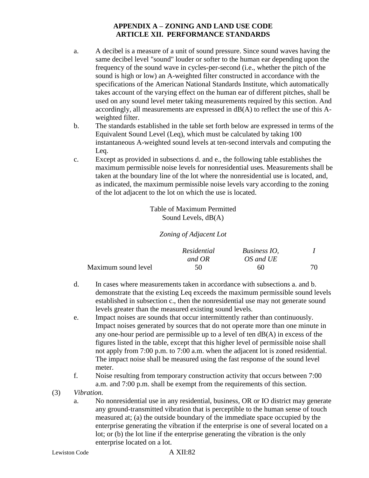- a. A decibel is a measure of a unit of sound pressure. Since sound waves having the same decibel level "sound" louder or softer to the human ear depending upon the frequency of the sound wave in cycles-per-second (i.e., whether the pitch of the sound is high or low) an A-weighted filter constructed in accordance with the specifications of the American National Standards Institute, which automatically takes account of the varying effect on the human ear of different pitches, shall be used on any sound level meter taking measurements required by this section. And accordingly, all measurements are expressed in dB(A) to reflect the use of this Aweighted filter.
- b. The standards established in the table set forth below are expressed in terms of the Equivalent Sound Level (Leq), which must be calculated by taking 100 instantaneous A-weighted sound levels at ten-second intervals and computing the Leq.
- c. Except as provided in subsections d. and e., the following table establishes the maximum permissible noise levels for nonresidential uses. Measurements shall be taken at the boundary line of the lot where the nonresidential use is located, and, as indicated, the maximum permissible noise levels vary according to the zoning of the lot adjacent to the lot on which the use is located.

Table of Maximum Permitted Sound Levels, dB(A)

*Zoning of Adjacent Lot*

|                     | Residential | Business IO. |    |
|---------------------|-------------|--------------|----|
|                     | and OR      | OS and UE    |    |
| Maximum sound level | 50          | 60           | 70 |

- d. In cases where measurements taken in accordance with subsections a. and b. demonstrate that the existing Leq exceeds the maximum permissible sound levels established in subsection c., then the nonresidential use may not generate sound levels greater than the measured existing sound levels.
- e. Impact noises are sounds that occur intermittently rather than continuously. Impact noises generated by sources that do not operate more than one minute in any one-hour period are permissible up to a level of ten dB(A) in excess of the figures listed in the table, except that this higher level of permissible noise shall not apply from 7:00 p.m. to 7:00 a.m. when the adjacent lot is zoned residential. The impact noise shall be measured using the fast response of the sound level meter.
- f. Noise resulting from temporary construction activity that occurs between 7:00 a.m. and 7:00 p.m. shall be exempt from the requirements of this section.
- (3) *Vibration.*
	- a. No nonresidential use in any residential, business, OR or IO district may generate any ground-transmitted vibration that is perceptible to the human sense of touch measured at; (a) the outside boundary of the immediate space occupied by the enterprise generating the vibration if the enterprise is one of several located on a lot; or (b) the lot line if the enterprise generating the vibration is the only enterprise located on a lot.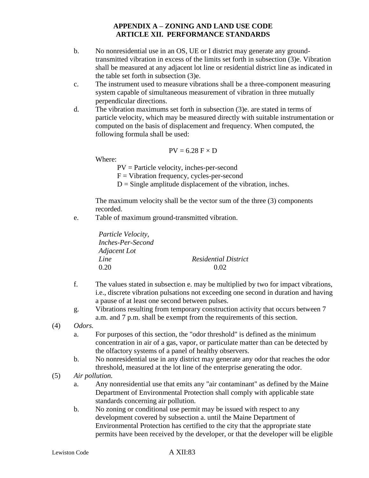- b. No nonresidential use in an OS, UE or I district may generate any groundtransmitted vibration in excess of the limits set forth in subsection (3)e. Vibration shall be measured at any adjacent lot line or residential district line as indicated in the table set forth in subsection (3)e.
- c. The instrument used to measure vibrations shall be a three-component measuring system capable of simultaneous measurement of vibration in three mutually perpendicular directions.
- d. The vibration maximums set forth in subsection (3)e. are stated in terms of particle velocity, which may be measured directly with suitable instrumentation or computed on the basis of displacement and frequency. When computed, the following formula shall be used:

$$
PV = 6.28\; F \times D
$$

Where:

PV = Particle velocity, inches-per-second

 $F = Vibration frequency, cycles-per-second$ 

 $D =$  Single amplitude displacement of the vibration, inches.

The maximum velocity shall be the vector sum of the three (3) components recorded.

e. Table of maximum ground-transmitted vibration.

| Particle Velocity, |                             |
|--------------------|-----------------------------|
| Inches-Per-Second  |                             |
| Adjacent Lot       |                             |
| Line               | <b>Residential District</b> |
| 0.20               | 0.02                        |

- f. The values stated in subsection e. may be multiplied by two for impact vibrations, i.e., discrete vibration pulsations not exceeding one second in duration and having a pause of at least one second between pulses.
- g. Vibrations resulting from temporary construction activity that occurs between 7 a.m. and 7 p.m. shall be exempt from the requirements of this section.

(4) *Odors.*

- a. For purposes of this section, the "odor threshold" is defined as the minimum concentration in air of a gas, vapor, or particulate matter than can be detected by the olfactory systems of a panel of healthy observers.
- b. No nonresidential use in any district may generate any odor that reaches the odor threshold, measured at the lot line of the enterprise generating the odor.
- (5) *Air pollution.*
	- a. Any nonresidential use that emits any "air contaminant" as defined by the Maine Department of Environmental Protection shall comply with applicable state standards concerning air pollution.
	- b. No zoning or conditional use permit may be issued with respect to any development covered by subsection a. until the Maine Department of Environmental Protection has certified to the city that the appropriate state permits have been received by the developer, or that the developer will be eligible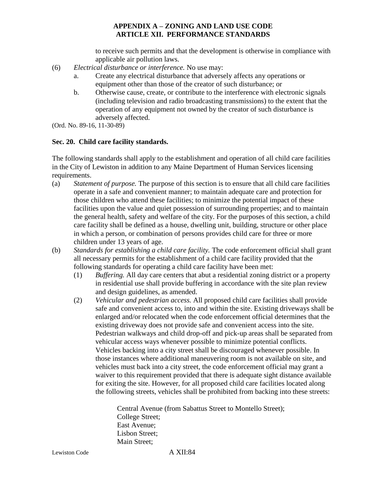to receive such permits and that the development is otherwise in compliance with applicable air pollution laws.

- (6) *Electrical disturbance or interference.* No use may:
	- a. Create any electrical disturbance that adversely affects any operations or equipment other than those of the creator of such disturbance; or
	- b. Otherwise cause, create, or contribute to the interference with electronic signals (including television and radio broadcasting transmissions) to the extent that the operation of any equipment not owned by the creator of such disturbance is adversely affected.
- (Ord. No. 89-16, 11-30-89)

#### **Sec. 20. Child care facility standards.**

The following standards shall apply to the establishment and operation of all child care facilities in the City of Lewiston in addition to any Maine Department of Human Services licensing requirements.

- (a) *Statement of purpose.* The purpose of this section is to ensure that all child care facilities operate in a safe and convenient manner; to maintain adequate care and protection for those children who attend these facilities; to minimize the potential impact of these facilities upon the value and quiet possession of surrounding properties; and to maintain the general health, safety and welfare of the city. For the purposes of this section, a child care facility shall be defined as a house, dwelling unit, building, structure or other place in which a person, or combination of persons provides child care for three or more children under 13 years of age.
- (b) *Standards for establishing a child care facility.* The code enforcement official shall grant all necessary permits for the establishment of a child care facility provided that the following standards for operating a child care facility have been met:
	- (1) *Buffering.* All day care centers that abut a residential zoning district or a property in residential use shall provide buffering in accordance with the site plan review and design guidelines, as amended.
	- (2) *Vehicular and pedestrian access.* All proposed child care facilities shall provide safe and convenient access to, into and within the site. Existing driveways shall be enlarged and/or relocated when the code enforcement official determines that the existing driveway does not provide safe and convenient access into the site. Pedestrian walkways and child drop-off and pick-up areas shall be separated from vehicular access ways whenever possible to minimize potential conflicts. Vehicles backing into a city street shall be discouraged whenever possible. In those instances where additional maneuvering room is not available on site, and vehicles must back into a city street, the code enforcement official may grant a waiver to this requirement provided that there is adequate sight distance available for exiting the site. However, for all proposed child care facilities located along the following streets, vehicles shall be prohibited from backing into these streets:

Central Avenue (from Sabattus Street to Montello Street); College Street; East Avenue; Lisbon Street; Main Street;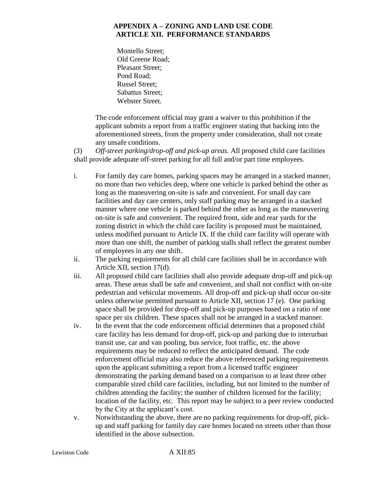Montello Street; Old Greene Road; Pleasant Street; Pond Road; Russel Street; Sabattus Street; Webster Street.

The code enforcement official may grant a waiver to this prohibition if the applicant submits a report from a traffic engineer stating that backing into the aforementioned streets, from the property under consideration, shall not create any unsafe conditions.

(3) *Off-street parking/drop-off and pick-up areas.* All proposed child care facilities shall provide adequate off-street parking for all full and/or part time employees.

- i. For family day care homes, parking spaces may be arranged in a stacked manner, no more than two vehicles deep, where one vehicle is parked behind the other as long as the maneuvering on-site is safe and convenient. For small day care facilities and day care centers, only staff parking may be arranged in a stacked manner where one vehicle is parked behind the other as long as the maneuvering on-site is safe and convenient. The required front, side and rear yards for the zoning district in which the child care facility is proposed must be maintained, unless modified pursuant to Article IX. If the child care facility will operate with more than one shift, the number of parking stalls shall reflect the greatest number of employees in any one shift.
- ii. The parking requirements for all child care facilities shall be in accordance with Article XII, section 17(d).
- iii. All proposed child care facilities shall also provide adequate drop-off and pick-up areas. These areas shall be safe and convenient, and shall not conflict with on-site pedestrian and vehicular movements. All drop-off and pick-up shall occur on-site unless otherwise permitted pursuant to Article XII, section 17 (e). One parking space shall be provided for drop-off and pick-up purposes based on a ratio of one space per six children. These spaces shall not be arranged in a stacked manner.
- iv. In the event that the code enforcement official determines that a proposed child care facility has less demand for drop-off, pick-up and parking due to interurban transit use, car and van pooling, bus service, foot traffic, etc. the above requirements may be reduced to reflect the anticipated demand. The code enforcement official may also reduce the above referenced parking requirements upon the applicant submitting a report from a licensed traffic engineer demonstrating the parking demand based on a comparison to at least three other comparable sized child care facilities, including, but not limited to the number of children attending the facility; the number of children licensed for the facility; location of the facility, etc. This report may be subject to a peer review conducted by the City at the applicant's cost.
- v. Notwithstanding the above, there are no parking requirements for drop-off, pickup and staff parking for family day care homes located on streets other than those identified in the above subsection.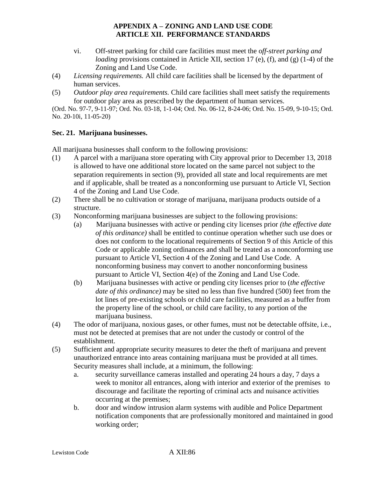- vi. Off-street parking for child care facilities must meet the o*ff-street parking and loading* provisions contained in Article XII, section 17 (e), (f), and (g) (1-4) of the Zoning and Land Use Code.
- (4) *Licensing requirements.* All child care facilities shall be licensed by the department of human services.
- (5) *Outdoor play area requirements.* Child care facilities shall meet satisfy the requirements for outdoor play area as prescribed by the department of human services.

(Ord. No. 97-7, 9-11-97; Ord. No. 03-18, 1-1-04; Ord. No. 06-12, 8-24-06; Ord. No. 15-09, 9-10-15; Ord. No. 20-10i, 11-05-20)

#### **Sec. 21. Marijuana businesses.**

All marijuana businesses shall conform to the following provisions:

- (1) A parcel with a marijuana store operating with City approval prior to December 13, 2018 is allowed to have one additional store located on the same parcel not subject to the separation requirements in section (9), provided all state and local requirements are met and if applicable, shall be treated as a nonconforming use pursuant to Article VI, Section 4 of the Zoning and Land Use Code.
- (2) There shall be no cultivation or storage of marijuana, marijuana products outside of a structure.
- (3) Nonconforming marijuana businesses are subject to the following provisions:
	- (a) Marijuana businesses with active or pending city licenses prior *(the effective date of this ordinance)* shall be entitled to continue operation whether such use does or does not conform to the locational requirements of Section 9 of this Article of this Code or applicable zoning ordinances and shall be treated as a nonconforming use pursuant to Article VI, Section 4 of the Zoning and Land Use Code. A nonconforming business may convert to another nonconforming business pursuant to Article VI, Section 4(e) of the Zoning and Land Use Code.
	- (b) Marijuana businesses with active or pending city licenses prior to (*the effective date of this ordinance)* may be sited no less than five hundred (500) feet from the lot lines of pre-existing schools or child care facilities, measured as a buffer from the property line of the school, or child care facility, to any portion of the marijuana business.
- (4) The odor of marijuana, noxious gases, or other fumes, must not be detectable offsite, i.e., must not be detected at premises that are not under the custody or control of the establishment.
- (5) Sufficient and appropriate security measures to deter the theft of marijuana and prevent unauthorized entrance into areas containing marijuana must be provided at all times. Security measures shall include, at a minimum, the following:
	- a. security surveillance cameras installed and operating 24 hours a day, 7 days a week to monitor all entrances, along with interior and exterior of the premises to discourage and facilitate the reporting of criminal acts and nuisance activities occurring at the premises;
	- b. door and window intrusion alarm systems with audible and Police Department notification components that are professionally monitored and maintained in good working order;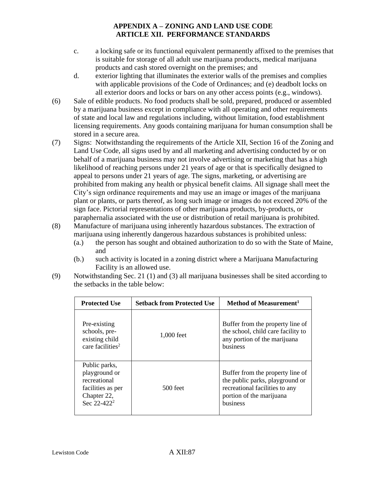- c. a locking safe or its functional equivalent permanently affixed to the premises that is suitable for storage of all adult use marijuana products, medical marijuana products and cash stored overnight on the premises; and
- d. exterior lighting that illuminates the exterior walls of the premises and complies with applicable provisions of the Code of Ordinances; and (e) deadbolt locks on all exterior doors and locks or bars on any other access points (e.g., windows).
- (6) Sale of edible products. No food products shall be sold, prepared, produced or assembled by a marijuana business except in compliance with all operating and other requirements of state and local law and regulations including, without limitation, food establishment licensing requirements. Any goods containing marijuana for human consumption shall be stored in a secure area.
- (7) Signs: Notwithstanding the requirements of the Article XII, Section 16 of the Zoning and Land Use Code, all signs used by and all marketing and advertising conducted by or on behalf of a marijuana business may not involve advertising or marketing that has a high likelihood of reaching persons under 21 years of age or that is specifically designed to appeal to persons under 21 years of age. The signs, marketing, or advertising are prohibited from making any health or physical benefit claims. All signage shall meet the City's sign ordinance requirements and may use an image or images of the marijuana plant or plants, or parts thereof, as long such image or images do not exceed 20% of the sign face. Pictorial representations of other marijuana products, by-products, or paraphernalia associated with the use or distribution of retail marijuana is prohibited.
- (8) Manufacture of marijuana using inherently hazardous substances. The extraction of marijuana using inherently dangerous hazardous substances is prohibited unless:
	- (a.) the person has sought and obtained authorization to do so with the State of Maine, and
	- (b.) such activity is located in a zoning district where a Marijuana Manufacturing Facility is an allowed use.
- (9) Notwithstanding Sec. 21 (1) and (3) all marijuana businesses shall be sited according to the setbacks in the table below:

| <b>Protected Use</b>                                                                                          | <b>Setback from Protected Use</b> | Method of Measurement <sup>1</sup>                                                                                                            |
|---------------------------------------------------------------------------------------------------------------|-----------------------------------|-----------------------------------------------------------------------------------------------------------------------------------------------|
| Pre-existing<br>schools, pre-<br>existing child<br>care facilities <sup>2</sup>                               | 1,000 feet                        | Buffer from the property line of<br>the school, child care facility to<br>any portion of the marijuana<br>business                            |
| Public parks,<br>playground or<br>recreational<br>facilities as per<br>Chapter 22,<br>Sec 22-422 <sup>2</sup> | $500$ feet                        | Buffer from the property line of<br>the public parks, playground or<br>recreational facilities to any<br>portion of the marijuana<br>business |